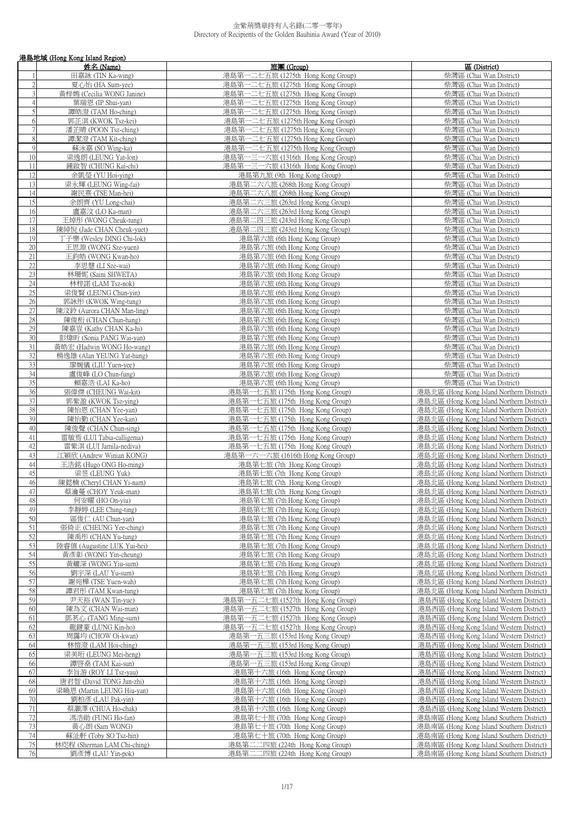|                | 港島地域 (Hong Kong Island Region)                     |                                                                        |                                                                                        |
|----------------|----------------------------------------------------|------------------------------------------------------------------------|----------------------------------------------------------------------------------------|
|                | 姓名 (Name)                                          | 旅團 (Group)                                                             | 區 (District)                                                                           |
|                | 田嘉詠 (TIN Ka-wing)                                  | 港島第一二七五旅 (1275th Hong Kong Group)                                      | 柴灣區 (Chai Wan District)                                                                |
| $\overline{2}$ | 夏心怡 (HA Sum-yee)                                   | 港島第一二七五旅 (1275th Hong Kong Group)                                      | 柴灣區 (Chai Wan District)                                                                |
| 3              | 黃梓嫣 (Cecilia WONG Janine)                          | 港島第一二七五旅 (1275th Hong Kong Group)                                      | 柴灣區 (Chai Wan District)                                                                |
| $\overline{4}$ | 葉瑞恩 (IP Shui-yan)                                  | 港島第一二七五旅 (1275th Hong Kong Group)                                      | 柴灣區 (Chai Wan District)                                                                |
| 5              | 譚皓澄 (TAM Ho-ching)                                 | 港島第一二七五旅 (1275th Hong Kong Group)                                      | 柴灣區 (Chai Wan District)                                                                |
| 6<br>$\tau$    | 郭芷淇 (KWOK Tsz-kei)                                 | 港島第一二七五旅 (1275th Hong Kong Group)                                      | 柴灣區 (Chai Wan District)                                                                |
| 8              | 潘芷晴 (POON Tsz-ching)<br>譚潔澄 (TAM Kit-ching)        | 港島第一二七五旅 (1275th Hong Kong Group)<br>港島第一二七五旅 (1275th Hong Kong Group) | 柴灣區 (Chai Wan District)<br>柴灣區 (Chai Wan District)                                     |
| 9              | 蘇泳嘉 (SO Wing-ka)                                   | 港島第一二七五旅 (1275th Hong Kong Group)                                      | 柴灣區 (Chai Wan District)                                                                |
| 10             | 梁逸朗 (LEUNG Yat-lon)                                | 港島第一三一六旅 (1316th Hong Kong Group)                                      | 柴灣區 (Chai Wan District)                                                                |
| 11             | 鍾啟智 (CHUNG Kai-chi)                                | 港島第一三一六旅 (1316th Hong Kong Group)                                      | 柴灣區 (Chai Wan District)                                                                |
| 12             | 余凱瑩 (YU Hoi-ying)                                  | 港島第九旅 (9th Hong Kong Group)                                            | 柴灣區 (Chai Wan District)                                                                |
| 13             | 梁永輝 (LEUNG Wing-fai)                               | 港島第二六八旅 (268th Hong Kong Group)                                        | 柴灣區 (Chai Wan District)                                                                |
| 14             | 謝民熹 (TSE Man-hei)                                  | 港島第二六八旅 (268th Hong Kong Group)                                        | 柴灣區 (Chai Wan District)                                                                |
| 15             | 余朗齊 (YU Long-chai)                                 | 港島第二六三旅 (263rd Hong Kong Group)                                        | 柴灣區 (Chai Wan District)                                                                |
| 16             | 盧嘉汶 (LO Ka-man)                                    | 港島第二六三旅 (263rd Hong Kong Group)                                        | 柴灣區 (Chai Wan District)                                                                |
| 17             | 王焯彤 (WONG Cheuk-tung)                              | 港島第二四三旅 (243rd Hong Kong Group)                                        | 柴灣區 (Chai Wan District)                                                                |
| 18             | 陳綽悅 (Jade CHAN Cheuk-yuet)                         | 港島第二四三旅 (243rd Hong Kong Group)                                        | 柴灣區 (Chai Wan District)                                                                |
| 19             | 丁子樂 (Wesley DING Chi-lok)                          | 港島第六旅 (6th Hong Kong Group)                                            | 柴灣區 (Chai Wan District)                                                                |
| 20             | 王思源 (WONG Sze-yuen)                                | 港島第六旅 (6th Hong Kong Group)                                            | 柴灣區 (Chai Wan District)                                                                |
| 21             | 王鈞皓 (WONG Kwan-ho)                                 | 港島第六旅 (6th Hong Kong Group)                                            | 柴灣區 (Chai Wan District)                                                                |
| 22             | 李思慧 (LI Sze-wai)                                   | 港島第六旅 (6th Hong Kong Group)                                            | 柴灣區 (Chai Wan District)                                                                |
| 23             | 林珊妮 (Saini SHWETA)                                 | 港島第六旅 (6th Hong Kong Group)                                            | 柴灣區 (Chai Wan District)                                                                |
| 24             | 林梓諾 (LAM Tsz-nok)                                  | 港島第六旅 (6th Hong Kong Group)                                            | 柴灣區 (Chai Wan District)                                                                |
| 25             | 梁俊賢 (LEUNG Chun-yin)                               | 港島第六旅 (6th Hong Kong Group)                                            | 柴灣區 (Chai Wan District)                                                                |
| 26<br>27       | 郭詠彤 (KWOK Wing-tung)<br>陳汶鈴 (Aurora CHAN Man-ling) | 港島第六旅 (6th Hong Kong Group)<br>港島第六旅 (6th Hong Kong Group)             | 柴灣區 (Chai Wan District)                                                                |
| 28             | 陳俊桁 (CHAN Chun-hang)                               | 港島第六旅 (6th Hong Kong Group)                                            | 柴灣區 (Chai Wan District)<br>柴灣區 (Chai Wan District)                                     |
| 29             | 陳嘉豈 (Kathy CHAN Ka-hi)                             | 港島第六旅 (6th Hong Kong Group)                                            | 柴灣區 (Chai Wan District)                                                                |
| 30             | 彭煒昕 (Sonia PANG Wai-yan)                           | 港島第六旅 (6th Hong Kong Group)                                            | 柴灣區 (Chai Wan District)                                                                |
| 31             | 黃皓宏 (Hadwin WONG Ho-wang)                          | 港島第六旅 (6th Hong Kong Group)                                            | 柴灣區 (Chai Wan District)                                                                |
| 32             | 楊逸雄 (Alan YEUNG Yat-hung)                          | 港島第六旅 (6th Hong Kong Group)                                            | 柴灣區 (Chai Wan District)                                                                |
| 33             | 廖婉儀 (LIU Yuen-yee)                                 | 港島第六旅 (6th Hong Kong Group)                                            | 柴灣區 (Chai Wan District)                                                                |
| 34             | 盧俊峰 (LO Chun-fung)                                 | 港島第六旅 (6th Hong Kong Group)                                            | 柴灣區 (Chai Wan District)                                                                |
| 35             | 賴嘉浩 (LAI Ka-ho)                                    | 港島第六旅 (6th Hong Kong Group)                                            | 柴灣區 (Chai Wan District)                                                                |
| 36             | 張偉傑 (CHEUNG Wai-kit)                               | 港島第一七五旅 (175th Hong Kong Group)                                        | 港島北區 (Hong Kong Island Northern District)                                              |
| 37             | 郭紫盈 (KWOK Tsz-ying)                                | 港島第一七五旅 (175th Hong Kong Group)                                        | 港島北區 (Hong Kong Island Northern District)                                              |
| 38             | 陳怡恩 (CHAN Yee-yan)                                 | 港島第一七五旅 (175th Hong Kong Group)                                        | 港島北區 (Hong Kong Island Northern District)                                              |
| 39             | 陳怡勤 (CHAN Yee-kan)                                 | 港島第一七五旅 (175th Hong Kong Group)                                        | 港島北區 (Hong Kong Island Northern District)                                              |
| 40             | 陳俊聲 (CHAN Chun-sing)                               | 港島第一七五旅 (175th Hong Kong Group)                                        | 港島北區 (Hong Kong Island Northern District)                                              |
| 41             | 雷敏焉 (LUI Tabia-calligenia)                         | 港島第一七五旅 (175th Hong Kong Group)                                        | 港島北區 (Hong Kong Island Northern District)                                              |
| 42<br>43       | 雷紫淇 (LUI Jamila-nediva)                            | 港島第一七五旅 (175th Hong Kong Group)                                        | 港島北區 (Hong Kong Island Northern District)                                              |
| 44             | 江穎欣 (Andrew Winian KONG)<br>王浩銘 (Hugo ONG Ho-ming) | 港島第一六一六旅 (1616th Hong Kong Group)<br>港島第七旅 (7th Hong Kong Group)       | 港島北區 (Hong Kong Island Northern District)<br>港島北區 (Hong Kong Island Northern District) |
| 45             | 梁昱 (LEUNG Yuk)                                     | 港島第七旅 (7th Hong Kong Group)                                            | 港島北區 (Hong Kong Island Northern District)                                              |
| 46             | 陳懿楠 (Cheryl CHAN Yi-nam)                           | 港島第七旅 (7th Hong Kong Group)                                            | 港島北區 (Hong Kong Island Northern District)                                              |
| 47             | 蔡瀹蔓 (CHOY Yeuk-man)                                | 港島第七旅 (7th Hong Kong Group)                                            | 港島北區 (Hong Kong Island Northern District)                                              |
| 48             | 何安曜 (HO On-yiu)                                    | 港島第七旅 (7th Hong Kong Group)                                            | 港島北區 (Hong Kong Island Northern District)                                              |
| 49             | 李靜婷 (LEE Ching-ting)                               | 港島第七旅 (7th Hong Kong Group)                                            | 港島北區 (Hong Kong Island Northern District)                                              |
| 50             | 區俊仁 (AU Chun-yan)                                  | 港島第七旅 (7th Hong Kong Group)                                            | 港島北區 (Hong Kong Island Northern District)                                              |
| 51             | 張倚正 (CHEUNG Yee-ching)                             | 港島第七旅 (7th Hong Kong Group)                                            | 港島北區 (Hong Kong Island Northern District)                                              |
| 52             | 陳禹彤 (CHAN Yu-tung)                                 | 港島第七旅 (7th Hong Kong Group)                                            | 港島北區 (Hong Kong Island Northern District)                                              |
| 53             | 陸睿僖 (Augustine LUK Yui-hei)                        | 港島第七旅 (7th Hong Kong Group)                                            | 港島北區 (Hong Kong Island Northern District)                                              |
| 54             | 黃彥彰 (WONG Yin-cheung)                              | 港島第七旅 (7th Hong Kong Group)                                            | 港島北區 (Hong Kong Island Northern District)                                              |
| 55             | 黃耀深 (WONG Yiu-sum)                                 | 港島第七旅 (7th Hong Kong Group)                                            | 港島北區 (Hong Kong Island Northern District)                                              |
| 56             | 劉宇深 (LAU Yu-sum)                                   | 港島第七旅 (7th Hong Kong Group)                                            | 港島北區 (Hong Kong Island Northern District)                                              |
| 57             | 謝宛樺 (TSE Yuen-wah)                                 | 港島第七旅 (7th Hong Kong Group)                                            | 港島北區 (Hong Kong Island Northern District)                                              |
| 58<br>59       | 譚君彤 (TAM Kwan-tung)                                | 港島第七旅 (7th Hong Kong Group)                                            | 港島北區 (Hong Kong Island Northern District)                                              |
| 60             | 尹天裕 (WAN Tin-yue)<br>陳為文 (CHAN Wai-man)            | 港島第一五二七旅 (1527th Hong Kong Group)<br>港島第一五二七旅 (1527th Hong Kong Group) | 港島西區 (Hong Kong Island Western District)<br>港島西區 (Hong Kong Island Western District)   |
| 61             | 鄧茗心 (TANG Ming-sum)                                | 港島第一五二七旅 (1527th Hong Kong Group)                                      | 港島西區 (Hong Kong Island Western District)                                               |
| 62             | 龍鍵豪 (LUNG Kin-ho)                                  | 港島第一五二七旅 (1527th Hong Kong Group)                                      | 港島西區 (Hong Kong Island Western District)                                               |
| 63             | 周靄均 (CHOW Oi-kwan)                                 | 港島第一五三旅 (153rd Hong Kong Group)                                        | 港島西區 (Hong Kong Island Western District)                                               |
| 64             | 林愷澄 (LAM Hoi-ching)                                | 港島第一五三旅 (153rd Hong Kong Group)                                        | 港島西區 (Hong Kong Island Western District)                                               |
| 65             | 梁美珩 (LEUNG Mei-heng)                               | 港島第一五三旅 (153rd Hong Kong Group)                                        | 港島西區 (Hong Kong Island Western District)                                               |
| 66             | 譚啓燊 (TAM Kai-sun)                                  | 港島第一五三旅 (153rd Hong Kong Group)                                        | 港島西區 (Hong Kong Island Western District)                                               |
| 67             | 李旨游 (ROY LI Tsz-yau)                               | 港島第十六旅 (16th Hong Kong Group)                                          | 港島西區 (Hong Kong Island Western District)                                               |
| 68             | 唐君智 (David TONG Jun-zhi)                           | 港島第十六旅 (16th Hong Kong Group)                                          | 港島西區 (Hong Kong Island Western District)                                               |
| 69             | 梁曉恩 (Martin LEUNG Hiu-yan)                         | 港島第十六旅 (16th Hong Kong Group)                                          | 港島西區 (Hong Kong Island Western District)                                               |
| $70\,$         | 劉柏彥 (LAU Pak-yin)                                  | 港島第十六旅 (16th Hong Kong Group)                                          | 港島西區 (Hong Kong Island Western District)                                               |
| 71             | 蔡灝澤 (CHUA Ho-chak)                                 | 港島第十六旅 (16th Hong Kong Group)                                          | 港島西區 (Hong Kong Island Western District)                                               |
| 72             | 馮浩勛 (FUNG Ho-fan)                                  | 港島第七十旅 (70th Hong Kong Group)                                          | 港島南區 (Hong Kong Island Southern District)                                              |
| 73             | 黃心朗 (Sam WONG)                                     | 港島第七十旅 (70th Hong Kong Group)                                          | 港島南區 (Hong Kong Island Southern District)                                              |
| 74             | 蘇沚軒 (Toby SO Tsz-hin)                              | 港島第七十旅 (70th Hong Kong Group)                                          | 港島南區 (Hong Kong Island Southern District)                                              |
| 75             | 林咫程 (Sherman LAM Chi-ching)                        | 港島第二二四旅 (224th Hong Kong Group)                                        | 港島南區 (Hong Kong Island Southern District)                                              |
| 76             | 劉彥博 (LAU Yin-pok)                                  | 港島第二二四旅 (224th Hong Kong Group)                                        | 港島南區 (Hong Kong Island Southern District)                                              |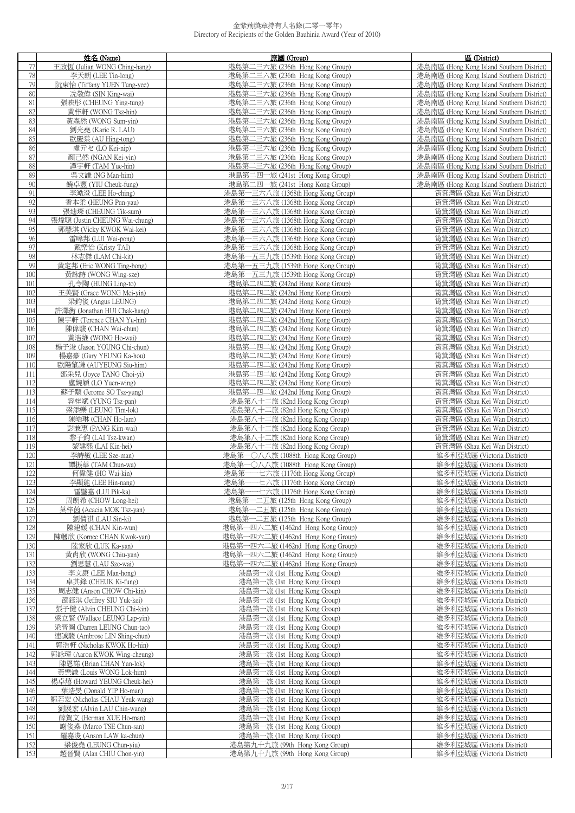|     | 姓名 (Name)                     | 旅團 (Group)                        | 區 (District)                              |
|-----|-------------------------------|-----------------------------------|-------------------------------------------|
| 77  | 王政恆 (Julian WONG Ching-hang)  | 港島第二三六旅 (236th Hong Kong Group)   | 港島南區 (Hong Kong Island Southern District) |
| 78  | 李天朗 (LEE Tin-long)            | 港島第二三六旅 (236th Hong Kong Group)   | 港島南區 (Hong Kong Island Southern District) |
|     |                               |                                   |                                           |
| 79  | 阮東怡 (Tiffany YUEN Tung-yee)   | 港島第二三六旅 (236th Hong Kong Group)   | 港島南區 (Hong Kong Island Southern District) |
| 80  | 冼敬偉 (SIN King-wai)            | 港島第二三六旅 (236th Hong Kong Group)   | 港島南區 (Hong Kong Island Southern District) |
| 81  | 張映彤 (CHEUNG Ying-tung)        | 港島第二三六旅 (236th Hong Kong Group)   | 港島南區 (Hong Kong Island Southern District) |
| 82  | 黃梓軒 (WONG Tsz-hin)            | 港島第二三六旅 (236th Hong Kong Group)   | 港島南區 (Hong Kong Island Southern District) |
| 83  | 黃森然 (WONG Sum-yin)            | 港島第二三六旅 (236th Hong Kong Group)   | 港島南區 (Hong Kong Island Southern District) |
|     |                               | 港島第二三六旅 (236th Hong Kong Group)   |                                           |
| 84  | 劉光堯 (Karic R. LAU)            |                                   | 港島南區 (Hong Kong Island Southern District) |
| 85  | 歐慶棠 (AU Hing-tong)            | 港島第二三六旅 (236th Hong Kong Group)   | 港島南區 (Hong Kong Island Southern District) |
| 86  | 盧亓セ (LO Kei-nip)              | 港島第二三六旅 (236th Hong Kong Group)   | 港島南區 (Hong Kong Island Southern District) |
| 87  | 顏己然 (NGAN Kei-yin)            | 港島第二三六旅 (236th Hong Kong Group)   | 港島南區 (Hong Kong Island Southern District) |
| 88  | 譚宇軒 (TAM Yue-hin)             | 港島第二三六旅 (236th Hong Kong Group)   | 港島南區 (Hong Kong Island Southern District) |
| 89  | 吳文謙 (NG Man-him)              | 港島第二四一旅 (241st Hong Kong Group)   | 港島南區 (Hong Kong Island Southern District) |
|     |                               |                                   |                                           |
| 90  | 饒卓豐 (YIU Cheuk-fung)          | 港島第二四一旅 (241st Hong Kong Group)   | 港島南區 (Hong Kong Island Southern District) |
| 91  | 李澔澄 (LEE Ho-ching)            | 港島第一三六八旅 (1368th Hong Kong Group) | 筲箕灣區 (Shau Kei Wan District)              |
| 92  | 香本柔 (HEUNG Pun-yau)           | 港島第一三六八旅 (1368th Hong Kong Group) | 筲箕灣區 (Shau Kei Wan District)              |
| 93  | 張廸琛 (CHEUNG Tik-sum)          | 港島第一三六八旅 (1368th Hong Kong Group) | 筲箕灣區 (Shau Kei Wan District)              |
| 94  | 張煒聰 (Justin CHEUNG Wai-chung) | 港島第一三六八旅 (1368th Hong Kong Group) | 筲箕灣區 (Shau Kei Wan District)              |
| 95  |                               |                                   |                                           |
|     | 郭慧淇 (Vicky KWOK Wai-kei)      | 港島第一三六八旅 (1368th Hong Kong Group) | 筲箕灣區 (Shau Kei Wan District)              |
| 96  | 雷暐邦 (LUI Wai-pong)            | 港島第一三六八旅 (1368th Hong Kong Group) | 筲箕灣區 (Shau Kei Wan District)              |
| 97  | 戴樂怡 (Kristy TAI)              | 港島第一三六八旅 (1368th Hong Kong Group) | 筲箕灣區 (Shau Kei Wan District)              |
| 98  | 林志傑 (LAM Chi-kit)             | 港島第一五三九旅 (1539th Hong Kong Group) | 筲箕灣區 (Shau Kei Wan District)              |
| 99  | 黃定邦 (Eric WONG Ting-bong)     | 港島第一五三九旅 (1539th Hong Kong Group) | 筲箕灣區 (Shau Kei Wan District)              |
| 100 | 黃詠詩 (WONG Wing-sze)           | 港島第一五三九旅 (1539th Hong Kong Group) | 筲箕灣區 (Shau Kei Wan District)              |
|     |                               |                                   |                                           |
| 101 | 孔令陶 (HUNG Ling-to)            | 港島第二四二旅 (242nd Hong Kong Group)   | 筲箕灣區 (Shau Kei Wan District)              |
| 102 | 王美賢 (Grace WONG Mei-yin)      | 港島第二四二旅 (242nd Hong Kong Group)   | 筲箕灣區 (Shau Kei Wan District)              |
| 103 | 梁鈞俊 (Angus LEUNG)             | 港島第二四二旅 (242nd Hong Kong Group)   | 筲箕灣區 (Shau Kei Wan District)              |
| 104 | 許澤衡 (Jonathan HUI Chak-hang)  | 港島第二四二旅 (242nd Hong Kong Group)   | 筲箕灣區 (Shau Kei Wan District)              |
| 105 | 陳宇軒 (Terence CHAN Yu-hin)     | 港島第二四二旅 (242nd Hong Kong Group)   | 筲箕灣區 (Shau Kei Wan District)              |
| 106 | 陳偉駿 (CHAN Wai-chun)           | 港島第二四二旅 (242nd Hong Kong Group)   | 筲箕灣區 (Shau Kei Wan District)              |
|     |                               |                                   |                                           |
| 107 | 黃浩維 (WONG Ho-wai)             | 港島第二四二旅 (242nd Hong Kong Group)   | 筲箕灣區 (Shau Kei Wan District)              |
| 108 | 楊子浚 (Jason YOUNG Chi-chun)    | 港島第二四二旅 (242nd Hong Kong Group)   | 筲箕灣區 (Shau Kei Wan District)              |
| 109 | 楊嘉豪 (Gary YEUNG Ka-hou)       | 港島第二四二旅 (242nd Hong Kong Group)   | 筲箕灣區 (Shau Kei Wan District)              |
| 110 | 歐陽肇謙 (AUYEUNG Siu-him)        | 港島第二四二旅 (242nd Hong Kong Group)   | 筲箕灣區 (Shau Kei Wan District)              |
| 111 |                               |                                   |                                           |
|     | 鄧采兒 (Joyce TANG Choi-yi)      | 港島第二四二旅 (242nd Hong Kong Group)   | 筲箕灣區 (Shau Kei Wan District)              |
| 112 | 盧婉穎 (LO Yuen-wing)            | 港島第二四二旅 (242nd Hong Kong Group)   | 筲箕灣區 (Shau Kei Wan District)              |
| 113 | 蘇子顒 (Jerome SO Tsz-yung)      | 港島第二四二旅 (242nd Hong Kong Group)   | 筲箕灣區 (Shau Kei Wan District)              |
| 114 | 容梓斌 (YUNG Tsz-pan)            | 港島第八十二旅 (82nd Hong Kong Group)    | 筲箕灣區 (Shau Kei Wan District)              |
| 115 | 梁添樂 (LEUNG Tim-lok)           | 港島第八十二旅 (82nd Hong Kong Group)    | 筲箕灣區 (Shau Kei Wan District)              |
| 116 | 陳皓琳 (CHAN Ho-lam)             | 港島第八十二旅 (82nd Hong Kong Group)    | 筲箕灣區 (Shau Kei Wan District)              |
|     |                               |                                   |                                           |
| 117 | 彭兼惠 (PANG Kim-wai)            | 港島第八十二旅 (82nd Hong Kong Group)    | 筲箕灣區 (Shau Kei Wan District)              |
| 118 | 黎子鈞 (LAI Tsz-kwan)            | 港島第八十二旅 (82nd Hong Kong Group)    | 筲箕灣區 (Shau Kei Wan District)              |
| 119 | 黎建熙 (LAI Kin-hei)             | 港島第八十二旅 (82nd Hong Kong Group)    | 筲箕灣區 (Shau Kei Wan District)              |
| 120 | 李詩敏 (LEE Sze-man)             | 港島第一〇八八旅 (1088th Hong Kong Group) | 維多利亞城區 (Victoria District)                |
| 121 | 譚振華 (TAM Chun-wa)             | 港島第一〇八八旅 (1088th Hong Kong Group) | 維多利亞城區 (Victoria District)                |
| 122 | 何偉健 (HO Wai-kin)              | 港島第一一七六旅 (1176th Hong Kong Group) | 維多利亞城區 (Victoria District)                |
|     |                               |                                   |                                           |
| 123 | 李顯能 (LEE Hin-nang)            | 港島第一一七六旅 (1176th Hong Kong Group) | 維多利亞城區 (Victoria District)                |
| 124 | 雷璧嘉 (LUI Pik-ka)              | 港島第一一七六旅 (1176th Hong Kong Group) | 維多利亞城區 (Victoria District)                |
| 125 | 周朗希 (CHOW Long-hei)           | 港島第一二五旅 (125th Hong Kong Group)   | 維多利亞城區 (Victoria District)                |
| 126 | 莫梓茵 (Acacia MOK Tsz-yan)      | 港島第一二五旅 (125th Hong Kong Group)   | 維多利亞城區 (Victoria District)                |
| 127 | 劉倩祺 (LAU Sin-ki)              | 港島第一二五旅 (125th Hong Kong Group)   | 維多利亞城區 (Victoria District)                |
| 128 |                               | 港島第一四六二旅 (1462nd Hong Kong Group) | 維多利亞城區 (Victoria District)                |
|     | 陳建媛 (CHAN Kin-wun)            |                                   |                                           |
| 129 | 陳幗欣 (Kornee CHAN Kwok-yan)    | 港島第一四六二旅 (1462nd Hong Kong Group) | 維多利亞城區 (Victoria District)                |
| 130 | 陸家欣 (LUK Ka-yan)              | 港島第一四六二旅 (1462nd Hong Kong Group) | 維多利亞城區 (Victoria District)                |
| 131 | 黃肖欣 (WONG Chiu-yan)           | 港島第一四六二旅 (1462nd Hong Kong Group) | 維多利亞城區 (Victoria District)                |
| 132 | 劉思慧 (LAU Sze-wai)             | 港島第一四六二旅 (1462nd Hong Kong Group) | 維多利亞城區 (Victoria District)                |
| 133 | 李文康 (LEE Man-hong)            | 港島第一旅 (1st Hong Kong Group)       | 維多利亞城區 (Victoria District)                |
| 134 | 卓其鋒 (CHEUK Ki-fung)           |                                   | 維多利亞城區 (Victoria District)                |
|     |                               | 港島第一旅 (1st Hong Kong Group)       |                                           |
| 135 | 周志健 (Anson CHOW Chi-kin)      | 港島第一旅 (1st Hong Kong Group)       | 維多利亞城區 (Victoria District)                |
| 136 | 邵鈺淇 (Jeffrey SIU Yuk-kei)     | 港島第一旅 (1st Hong Kong Group)       | 維多利亞城區 (Victoria District)                |
| 137 | 張子健 (Alvin CHEUNG Chi-kin)    | 港島第一旅 (1st Hong Kong Group)       | 維多利亞城區 (Victoria District)                |
| 138 | 梁立賢 (Wallace LEUNG Lap-yin)   | 港島第一旅 (1st Hong Kong Group)       | 維多利亞城區 (Victoria District)                |
| 139 | 梁晉圖 (Darren LEUNG Chun-tao)   | 港島第一旅 (1st Hong Kong Group)       | 維多利亞城區 (Victoria District)                |
|     |                               |                                   |                                           |
| 140 | 連誠駿 (Ambrose LIN Shing-chun)  | 港島第一旅 (1st Hong Kong Group)       | 維多利亞城區 (Victoria District)                |
| 141 | 郭浩軒 (Nicholas KWOK Ho-hin)    | 港島第一旅 (1st Hong Kong Group)       | 維多利亞城區 (Victoria District)                |
| 142 | 郭詠璋 (Aaron KWOK Wing-cheung)  | 港島第一旅 (1st Hong Kong Group)       | 維多利亞城區 (Victoria District)                |
| 143 | 陳恩諾 (Brian CHAN Yan-lok)      | 港島第一旅 (1st Hong Kong Group)       | 維多利亞城區 (Victoria District)                |
| 144 | 黃樂謙 (Louis WONG Lok-him)      | 港島第一旅 (1st Hong Kong Group)       | 維多利亞城區 (Victoria District)                |
| 145 |                               | 港島第一旅 (1st Hong Kong Group)       | 維多利亞城區 (Victoria District)                |
|     | 楊卓熺 (Howard YEUNG Cheuk-hei)  |                                   |                                           |
| 146 | 葉浩旻 (Donald YIP Ho-man)       | 港島第一旅 (1st Hong Kong Group)       | 維多利亞城區 (Victoria District)                |
| 147 | 鄒若宏 (Nicholas CHAU Yeuk-wang) | 港島第一旅 (1st Hong Kong Group)       | 維多利亞城區 (Victoria District)                |
| 148 | 劉展宏 (Alvin LAU Chin-wang)     | 港島第一旅 (1st Hong Kong Group)       | 維多利亞城區 (Victoria District)                |
| 149 | 薛賀文 (Herman XUE Ho-man)       | 港島第一旅 (1st Hong Kong Group)       | 維多利亞城區 (Victoria District)                |
| 150 | 謝俊燊 (Marco TSE Chun-san)      | 港島第一旅 (1st Hong Kong Group)       | 維多利亞城區 (Victoria District)                |
|     |                               |                                   |                                           |
| 151 | 羅嘉浚 (Anson LAW ka-chun)       | 港島第一旅 (1st Hong Kong Group)       | 維多利亞城區 (Victoria District)                |
| 152 | 梁俊堯 (LEUNG Chun-yiu)          | 港島第九十九旅 (99th Hong Kong Group)    | 維多利亞城區 (Victoria District)                |
| 153 | 趙晉賢 (Alan CHIU Chon-yin)      | 港島第九十九旅 (99th Hong Kong Group)    | 維多利亞城區 (Victoria District)                |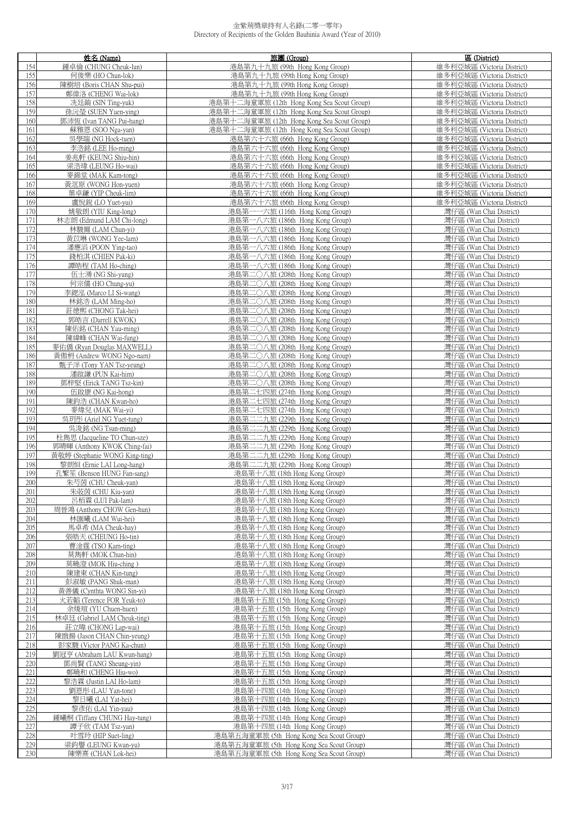|     | 姓名 (Name)                      | 旅團 (Group)                                 | 區 (District)               |
|-----|--------------------------------|--------------------------------------------|----------------------------|
| 154 | 鍾卓倫 (CHUNG Cheuk-lun)          | 港島第九十九旅 (99th Hong Kong Group)             | 維多利亞城區 (Victoria District) |
| 155 | 何俊樂 (HO Chun-lok)              | 港島第九十九旅 (99th Hong Kong Group)             | 維多利亞城區 (Victoria District) |
|     | 陳樹培 (Boris CHAN Shu-pui)       |                                            |                            |
| 156 |                                | 港島第九十九旅 (99th Hong Kong Group)             | 維多利亞城區 (Victoria District) |
| 157 | 鄭偉洛 (CHENG Wai-lok)            | 港島第九十九旅 (99th Hong Kong Group)             | 維多利亞城區 (Victoria District) |
| 158 | 冼廷錡 (SIN Ting-yuk)             | 港島第十二海童軍旅 (12th Hong Kong Sea Scout Group) | 維多利亞城區 (Victoria District) |
| 159 | 孫沅瑩 (SUEN Yuen-ying)           | 港島第十二海童軍旅 (12th Hong Kong Sea Scout Group) | 維多利亞城區 (Victoria District) |
| 160 | 鄧沛恆 (Ivan TANG Pui-hang)       | 港島第十二海童軍旅 (12th Hong Kong Sea Scout Group) | 維多利亞城區 (Victoria District) |
| 161 | 蘇雅恩 (SOO Nga-yan)              | 港島第十二海童軍旅 (12th Hong Kong Sea Scout Group) | 維多利亞城區 (Victoria District) |
|     |                                |                                            |                            |
| 162 | 吳學端 (NG Hock-tuen)             | 港島第六十六旅 (66th Hong Kong Group)             | 維多利亞城區 (Victoria District) |
| 163 | 李浩銘 (LEE Ho-ming)              | 港島第六十六旅 (66th Hong Kong Group)             | 維多利亞城區 (Victoria District) |
| 164 | 姜兆軒 (KEUNG Shiu-hin)           | 港島第六十六旅 (66th Hong Kong Group)             | 維多利亞城區 (Victoria District) |
| 165 | 梁浩瑋 (LEUNG Ho-wai)             | 港島第六十六旅 (66th Hong Kong Group)             | 維多利亞城區 (Victoria District) |
| 166 | 麥錦堂 (MAK Kam-tong)             | 港島第六十六旅 (66th Hong Kong Group)             | 維多利亞城區 (Victoria District) |
| 167 | 黃洭原 (WONG Hon-yuen)            |                                            | 維多利亞城區 (Victoria District) |
|     |                                | 港島第六十六旅 (66th Hong Kong Group)             |                            |
| 168 | 葉卓鎌 (YIP Cheuk-lim)            | 港島第六十六旅 (66th Hong Kong Group)             | 維多利亞城區 (Victoria District) |
| 169 | 盧悅銳 (LO Yuet-yui)              | 港島第六十六旅 (66th Hong Kong Group)             | 維多利亞城區 (Victoria District) |
| 170 | 姚敬朗 (YIU King-long)            | 港島第一一六旅 (116th Hong Kong Group)            | 灣仔區 (Wan Chai District)    |
| 171 | 林志朗 (Edmund LAM Chi-long)      | 港島第一八六旅 (186th Hong Kong Group)            | 灣仔區 (Wan Chai District)    |
| 172 | 林駿爾 (LAM Chun-yi)              | 港島第一八六旅 (186th Hong Kong Group)            | 灣仔區 (Wan Chai District)    |
| 173 | 黃苡琳 (WONG Yee-lam)             | 港島第一八六旅 (186th Hong Kong Group)            | 灣仔區 (Wan Chai District)    |
|     |                                |                                            |                            |
| 174 | 潘應滔 (POON Ying-tao)            | 港島第一八六旅 (186th Hong Kong Group)            | 灣仔區 (Wan Chai District)    |
| 175 | 錢柏淇 (CHIEN Pak-ki)             | 港島第一八六旅 (186th Hong Kong Group)            | 灣仔區 (Wan Chai District)    |
| 176 | 譚皓程 (TAM Ho-ching)             | 港島第一八六旅 (186th Hong Kong Group)            | 灣仔區 (Wan Chai District)    |
| 177 | 伍士湧 (NG Shi-yung)              | 港島第二〇八旅 (208th Hong Kong Group)            | 灣仔區 (Wan Chai District)    |
| 178 | 何宗儒 (HO Chung-yu)              | 港島第二〇八旅 (208th Hong Kong Group)            | 灣仔區 (Wan Chai District)    |
| 179 | 李鍶泓 (Marco LI Si-wang)         | 港島第二〇八旅 (208th Hong Kong Group)            | 灣仔區 (Wan Chai District)    |
|     |                                |                                            |                            |
| 180 | 林銘浩 (LAM Ming-ho)              | 港島第二〇八旅 (208th Hong Kong Group)            | 灣仔區 (Wan Chai District)    |
| 181 | 莊德熙 (CHONG Tak-hei)            | 港島第二〇八旅 (208th Hong Kong Group)            | 灣仔區 (Wan Chai District)    |
| 182 | 郭皓言 (Darrell KWOK)             | 港島第二〇八旅 (208th Hong Kong Group)            | 灣仔區 (Wan Chai District)    |
| 183 | 陳佑銘 (CHAN Yau-ming)            | 港島第二〇八旅 (208th Hong Kong Group)            | 灣仔區 (Wan Chai District)    |
| 184 | 陳緯峰 (CHAN Wai-fung)            | 港島第二〇八旅 (208th Hong Kong Group)            | 灣仔區 (Wan Chai District)    |
| 185 | 麥佑僑 (Ryan Douglas MAXWELL)     | 港島第二〇八旅 (208th Hong Kong Group)            | 灣仔區 (Wan Chai District)    |
|     |                                |                                            |                            |
| 186 | 黃傲枬 (Andrew WONG Ngo-nam)      | 港島第二〇八旅 (208th Hong Kong Group)            | 灣仔區 (Wan Chai District)    |
| 187 | 甄子洋 (Tony YAN Tsz-yeung)       | 港島第二〇八旅 (208th Hong Kong Group)            | 灣仔區 (Wan Chai District)    |
| 188 | 潘啟謙 (PUN Kai-him)              | 港島第二〇八旅 (208th Hong Kong Group)            | 灣仔區 (Wan Chai District)    |
| 189 | 鄧梓堅 (Erick TANG Tsz-kin)       | 港島第二〇八旅 (208th Hong Kong Group)            | 灣仔區 (Wan Chai District)    |
| 190 | 伍啟康 (NG Kai-hong)              | 港島第二七四旅 (274th Hong Kong Group)            | 灣仔區 (Wan Chai District)    |
| 191 | 陳鈞浩 (CHAN Kwan-ho)             | 港島第二七四旅 (274th Hong Kong Group)            | 灣仔區 (Wan Chai District)    |
| 192 |                                |                                            |                            |
|     | 麥煒兒 (MAK Wai-yi)               | 港島第二七四旅 (274th Hong Kong Group)            | 灣仔區 (Wan Chai District)    |
| 193 | 吳玥彤 (Ariel NG Yuet-tung)       | 港島第二二九旅 (229th Hong Kong Group)            | 灣仔區 (Wan Chai District)    |
| 194 | 吳浚銘 (NG Tsun-ming)             | 港島第二二九旅 (229th Hong Kong Group)            | 灣仔區 (Wan Chai District)    |
| 195 | 杜雋思 (Jacqueline TO Chun-sze)   | 港島第二二九旅 (229th Hong Kong Group)            | 灣仔區 (Wan Chai District)    |
| 196 | 郭晴暉 (Anthony KWOK Ching-fai)   | 港島第二二九旅 (229th Hong Kong Group)            | 灣仔區 (Wan Chai District)    |
| 197 | 黃敬婷 (Stephanie WONG King-ting) | 港島第二二九旅 (229th Hong Kong Group)            | 灣仔區 (Wan Chai District)    |
| 198 | 黎朗恒 (Ernie LAI Long-hang)      | 港島第二二九旅 (229th Hong Kong Group)            | 灣仔區 (Wan Chai District)    |
|     |                                |                                            |                            |
| 199 | 孔繁笙 (Benson HUNG Fan-sang)     | 港島第十八旅 (18th Hong Kong Group)              | 灣仔區 (Wan Chai District)    |
| 200 | 朱芍茵 (CHU Cheuk-yan)            | 港島第十八旅 (18th Hong Kong Group)              | 灣仔區 (Wan Chai District)    |
| 201 | 朱荍茵 (CHU Kiu-yan)              | 港島第十八旅 (18th Hong Kong Group)              | 灣仔區 (Wan Chai District)    |
| 202 | 呂栢霖 (LUI Pak-lam)              | 港島第十八旅 (18th Hong Kong Group)              | 灣仔區 (Wan Chai District)    |
| 203 | 周晉鴻 (Anthony CHOW Gen-hun)     | 港島第十八旅 (18th Hong Kong Group)              | 灣仔區 (Wan Chai District)    |
| 204 | 林匯曦 (LAM Wui-hei)              | 港島第十八旅 (18th Hong Kong Group)              | 灣仔區 (Wan Chai District)    |
| 205 | 馬卓希 (MA Cheuk-hay)             | 港島第十八旅 (18th Hong Kong Group)              | 灣仔區 (Wan Chai District)    |
|     |                                |                                            |                            |
| 206 | 張皓天 (CHEUNG Ho-tin)            | 港島第十八旅 (18th Hong Kong Group)              | 灣仔區 (Wan Chai District)    |
| 207 | 曹淦霆 (TSO Kam-ting)             | 港島第十八旅 (18th Hong Kong Group)              | 灣仔區 (Wan Chai District)    |
| 208 | 莫雋軒 (MOK Chun-hin)             | 港島第十八旅 (18th Hong Kong Group)              | 灣仔區 (Wan Chai District)    |
| 209 | 莫曉澄 (MOK Hiu-ching)            | 港島第十八旅 (18th Hong Kong Group)              | 灣仔區 (Wan Chai District)    |
| 210 | 陳建東 (CHAN Kin-tung)            | 港島第十八旅 (18th Hong Kong Group)              | 灣仔區 (Wan Chai District)    |
| 211 | 彭淑敏 (PANG Shuk-man)            | 港島第十八旅 (18th Hong Kong Group)              | 灣仔區 (Wan Chai District)    |
| 212 | 黃善儀 (Cynthta WONG Sin-yi)      | 港島第十八旅 (18th Hong Kong Group)              | 灣仔區 (Wan Chai District)    |
|     |                                |                                            |                            |
| 213 | 火若韜 (Terence FOR Yeuk-to)      | 港島第十五旅 (15th Hong Kong Group)              | 灣仔區 (Wan Chai District)    |
| 214 | 余焌瑄 (YU Chuen-huen)            | 港島第十五旅 (15th Hong Kong Group)              | 灣仔區 (Wan Chai District)    |
| 215 | 林卓廷 (Gabriel LAM Cheuk-ting)   | 港島第十五旅 (15th Hong Kong Group)              | 灣仔區 (Wan Chai District)    |
| 216 | 莊立暐 (CHONG Lap-wai)            | 港島第十五旅 (15th Hong Kong Group)              | 灣仔區 (Wan Chai District)    |
| 217 | 陳戩揚 (Jason CHAN Chin-yeung)    | 港島第十五旅 (15th Hong Kong Group)              | 灣仔區 (Wan Chai District)    |
| 218 | 彭家駿 (Victor PANG Ka-chun)      | 港島第十五旅 (15th Hong Kong Group)              | 灣仔區 (Wan Chai District)    |
| 219 | 劉冠亨 (Abraham LAU Kwun-hang)    |                                            | 灣仔區 (Wan Chai District)    |
|     |                                | 港島第十五旅 (15th Hong Kong Group)              |                            |
| 220 | 鄧尚賢 (TANG Sheung-yin)          | 港島第十五旅 (15th Hong Kong Group)              | 灣仔區 (Wan Chai District)    |
| 221 | 鄭曉和 (CHENG Hiu-wo)             | 港島第十五旅 (15th Hong Kong Group)              | 灣仔區 (Wan Chai District)    |
| 222 | 黎浩霖 (Justin LAI Ho-lam)        | 港島第十五旅 (15th Hong Kong Group)              | 灣仔區 (Wan Chai District)    |
| 223 | 劉恩彤 (LAU Yan-tone)             | 港島第十四旅 (14th Hong Kong Group)              | 灣仔區 (Wan Chai District)    |
| 224 | 黎日曦 (LAI Yat-hei)              | 港島第十四旅 (14th Hong Kong Group)              | 灣仔區 (Wan Chai District)    |
|     |                                | 港島第十四旅 (14th Hong Kong Group)              |                            |
| 225 | 黎彥佑 (LAI Yin-yau)              |                                            | 灣仔區 (Wan Chai District)    |
| 226 | 鍾曦桐 (Tiffany CHUNG Hay-tung)   | 港島第十四旅 (14th Hong Kong Group)              | 灣仔區 (Wan Chai District)    |
| 227 | 譚子欣 (TAM Tsz-yan)              | 港島第十四旅 (14th Hong Kong Group)              | 灣仔區 (Wan Chai District)    |
| 228 | 叶雪玲 (HIP Suet-ling)            | 港島第五海童軍旅 (5th Hong Kong Sea Scout Group)   | 灣仔區 (Wan Chai District)    |
| 229 | 梁鈞譽 (LEUNG Kwan-yu)            | 港島第五海童軍旅 (5th Hong Kong Sea Scout Group)   | 灣仔區 (Wan Chai District)    |
| 230 | 陳樂熹 (CHAN Lok-hei)             | 港島第五海童軍旅 (5th Hong Kong Sea Scout Group)   | 灣仔區 (Wan Chai District)    |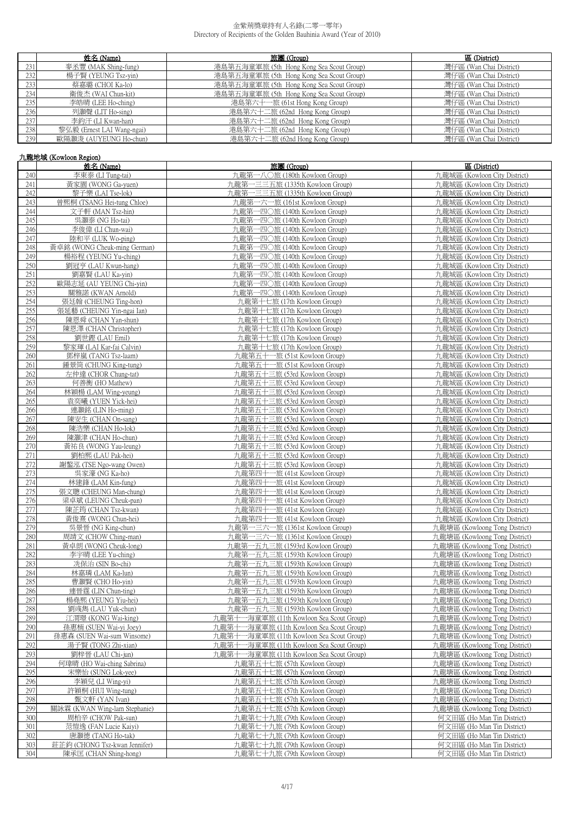|      | 姓名 (Name)                  | 旅團 (Group)                               | 區 (District)            |
|------|----------------------------|------------------------------------------|-------------------------|
| 231  | 麥丞豐 (MAK Shing-fung)       | 港島第五海童軍旅 (5th Hong Kong Sea Scout Group) | 灣仔區 (Wan Chai District) |
| 232  | 楊子賢 (YEUNG Tsz-yin)        | 港島第五海童軍旅 (5th Hong Kong Sea Scout Group) | 灣仔區 (Wan Chai District) |
| 233  | 蔡嘉璐 (CHOI Ka-lo)           | 港島第五海童軍旅 (5th Hong Kong Sea Scout Group) | 灣仔區 (Wan Chai District) |
| 2341 | 衛俊杰 (WAI Chun-kit)         | 港島第五海童軍旅 (5th Hong Kong Sea Scout Group) | 灣仔區 (Wan Chai District) |
| 235  | 李皓晴 (LEE Ho-ching)         | 港島第六十一旅 (61st Hong Kong Group)           | 灣仔區 (Wan Chai District) |
| 2361 | 列灝聲 (LIT Ho-sing)          | 港島第六十二旅 (62nd Hong Kong Group)           | 灣仔區 (Wan Chai District) |
| 237  | 李鈞汗 (LI Kwan-han)          | 港島第六十二旅 (62nd Hong Kong Group)           | 灣仔區 (Wan Chai District) |
| 238  | 黎弘毅 (Ernest LAI Wang-ngai) | 港島第六十二旅 (62nd Hong Kong Group)           | 灣仔區 (Wan Chai District) |
| 239  | 歐陽灝浚 (AUYEUNG Ho-chun)     | 港島第六十二旅 (62nd Hong Kong Group)           | 灣仔區 (Wan Chai District) |

# 九龍地域 (Kowloon Region)

|     | 姓名 (Name)                     | 旅團 (Group)                                   | 區 (District)                   |
|-----|-------------------------------|----------------------------------------------|--------------------------------|
| 240 | 李東泰 (LI Tung-tai)             | 九龍第一八〇旅 (180th Kowloon Group)                | 九龍城區 (Kowloon City District)   |
| 241 | 黃家園 (WONG Ga-yuen)            | 九龍第一三三五旅 (1335th Kowloon Group)              | 九龍城區 (Kowloon City District)   |
|     | 黎子樂 (LAI Tse-lok)             |                                              | 九龍城區 (Kowloon City District)   |
| 242 |                               | 九龍第一三三五旅 (1335th Kowloon Group)              |                                |
| 243 | 曾熙桐 (TSANG Hei-tung Chloe)    | 九龍第一六一旅 (161st Kowloon Group)                | 九龍城區 (Kowloon City District)   |
| 244 | 文子軒 (MAN Tsz-hin)             | 九龍第一四〇旅 (140th Kowloon Group)                | 九龍城區 (Kowloon City District)   |
| 245 | 吳灝泰 (NG Ho-tai)               | 九龍第一四〇旅 (140th Kowloon Group)                | 九龍城區 (Kowloon City District)   |
| 246 | 李俊偉 (LI Chun-wai)             | 九龍第一四〇旅 (140th Kowloon Group)                | 九龍城區 (Kowloon City District)   |
| 247 | 陸和平 (LUK Wo-ping)             | 九龍第一四〇旅 (140th Kowloon Group)                | 九龍城區 (Kowloon City District)   |
|     |                               |                                              |                                |
| 248 | 黃卓銘 (WONG Cheuk-ming German)  | 九龍第一四〇旅 (140th Kowloon Group)                | 九龍城區 (Kowloon City District)   |
| 249 | 楊裕程 (YEUNG Yu-ching)          | 九龍第一四〇旅 (140th Kowloon Group)                | 九龍城區 (Kowloon City District)   |
| 250 | 劉冠亨 (LAU Kwun-hang)           | 九龍第一四〇旅 (140th Kowloon Group)                | 九龍城區 (Kowloon City District)   |
| 251 | 劉嘉賢 (LAU Ka-yin)              | 九龍第一四〇旅 (140th Kowloon Group)                | 九龍城區 (Kowloon City District)   |
| 252 | 歐陽志延 (AU YEUNG Chi-yin)       | 九龍第一四〇旅 (140th Kowloon Group)                | 九龍城區 (Kowloon City District)   |
| 253 | 關雅諾 (KWAN Arnold)             | 九龍第一四〇旅 (140th Kowloon Group)                | 九龍城區 (Kowloon City District)   |
| 254 | 張廷翰 (CHEUNG Ting-hon)         | 九龍第十七旅 (17th Kowloon Group)                  | 九龍城區 (Kowloon City District)   |
| 255 | 張延藝 (CHEUNG Yin-ngai Ian)     | 九龍第十七旅 (17th Kowloon Group)                  | 九龍城區 (Kowloon City District)   |
| 256 | 陳恩舜 (CHAN Yan-shun)           | 九龍第十七旅 (17th Kowloon Group)                  | 九龍城區 (Kowloon City District)   |
| 257 |                               |                                              |                                |
|     | 陳恩澤 (CHAN Christopher)        | 九龍第十七旅 (17th Kowloon Group)                  | 九龍城區 (Kowloon City District)   |
| 258 | 劉世鏗 (LAU Emil)                | 九龍第十七旅 (17th Kowloon Group)                  | 九龍城區 (Kowloon City District)   |
| 259 | 黎家琿 (LAI Kar-fai Calvin)      | 九龍第十七旅 (17th Kowloon Group)                  | 九龍城區 (Kowloon City District)   |
| 260 | 鄧梓嵐 (TANG Tsz-laam)           | 九龍第五十一旅 (51st Kowloon Group)                 | 九龍城區 (Kowloon City District)   |
| 261 | 鍾景筒 (CHUNG King-tung)         | 九龍第五十一旅 (51st Kowloon Group)                 | 九龍城區 (Kowloon City District)   |
| 262 | 左仲達 (CHOR Chung-tat)          | 九龍第五十三旅 (53rd Kowloon Group)                 | 九龍城區 (Kowloon City District)   |
| 263 | 何善衡 (HO Mathew)               | 九龍第五十三旅 (53rd Kowloon Group)                 | 九龍城區 (Kowloon City District)   |
| 264 | 林穎楊 (LAM Wing-yeung)          | 九龍第五十三旅 (53rd Kowloon Group)                 | 九龍城區 (Kowloon City District)   |
| 265 | 袁奕曦 (YUEN Yick-hei)           | 九龍第五十三旅 (53rd Kowloon Group)                 | 九龍城區 (Kowloon City District)   |
| 266 | 連灝銘 (LIN Ho-ming)             | 九龍第五十三旅 (53rd Kowloon Group)                 | 九龍城區 (Kowloon City District)   |
| 267 | 陳安生 (CHAN On-sang)            | 九龍第五十三旅 (53rd Kowloon Group)                 | 九龍城區 (Kowloon City District)   |
|     |                               |                                              |                                |
| 268 | 陳浩樂 (CHAN Ho-lok)             | 九龍第五十三旅 (53rd Kowloon Group)                 | 九龍城區 (Kowloon City District)   |
| 269 | 陳灝津 (CHAN Ho-chun)            | 九龍第五十三旅 (53rd Kowloon Group)                 | 九龍城區 (Kowloon City District)   |
| 270 | 黃祐良 (WONG Yau-leung)          | 九龍第五十三旅 (53rd Kowloon Group)                 | 九龍城區 (Kowloon City District)   |
| 271 | 劉柏熙 (LAU Pak-hei)             | 九龍第五十三旅 (53rd Kowloon Group)                 | 九龍城區 (Kowloon City District)   |
| 272 | 謝鏊泓 (TSE Ngo-wang Owen)       | 九龍第五十三旅 (53rd Kowloon Group)                 | 九龍城區 (Kowloon City District)   |
| 273 | 吳家濠 (NG Ka-ho)                | 九龍第四十一旅 (41st Kowloon Group)                 | 九龍城區 (Kowloon City District)   |
| 274 | 林建鋒 (LAM Kin-fung)            | 九龍第四十一旅 (41st Kowloon Group)                 | 九龍城區 (Kowloon City District)   |
| 275 | 張文聰 (CHEUNG Man-chung)        | 九龍第四十一旅 (41st Kowloon Group)                 | 九龍城區 (Kowloon City District)   |
| 276 | 梁卓斌 (LEUNG Cheuk-pan)         | 九龍第四十一旅 (41st Kowloon Group)                 | 九龍城區 (Kowloon City District)   |
| 277 | 陳芷筠 (CHAN Tsz-kwan)           | 九龍第四十一旅 (41st Kowloon Group)                 | 九龍城區 (Kowloon City District)   |
| 278 | 黃俊熹 (WONG Chun-hei)           | 九龍第四十一旅 (41st Kowloon Group)                 | 九龍城區 (Kowloon City District)   |
| 279 | 吳景晉 (NG King-chun)            | 九龍第一三六一旅 (1361st Kowloon Group)              | 九龍塘區 (Kowloong Tong District)  |
| 280 | 周靖文 (CHOW Ching-man)          | 九龍第一三六一旅 (1361st Kowloon Group)              |                                |
|     |                               |                                              | 九龍塘區 (Kowloong Tong District)  |
| 281 | 黃卓朗 (WONG Cheuk-long)         | 九龍第一五九三旅 (1593rd Kowloon Group)              | 九龍塘區 (Kowloong Tong District)  |
| 282 | 李宇晴 (LEE Yu-ching)            | 九龍第一五九三旅 (1593th Kowloon Group)              | 九龍塘區 (Kowloong Tong District)  |
| 283 | 冼保治 (SIN Bo-chi)              | 九龍第一五九三旅 (1593th Kowloon Group)              | 九龍塘區 (Kowloong Tong District)  |
| 284 | 林嘉璘 (LAM Ka-lun)              | 九龍第一五九三旅 (1593th Kowloon Group)              | 九龍塘區 (Kowloong Tong District)  |
| 285 | 曹灝賢 (CHO Ho-yin)              | 九龍第一五九三旅 (1593th Kowloon Group)              | 九龍塘區 (Kowloong Tong District)  |
| 286 | 連晉霆 (LIN Chun-ting)           | 九龍第一五九三旅 (1593th Kowloon Group)              | 九龍塘區 (Kowloong Tong District)  |
| 287 | 楊堯熙 (YEUNG Yiu-hei)           | 九龍第一五九三旅 (1593th Kowloon Group)              | 九龍塘區 (Kowloong Tong District)  |
| 288 | 劉彧雋 (LAU Yuk-chun)            | 九龍第一五九三旅 (1593th Kowloon Group)              | 九龍塘區 (Kowloong Tong District)  |
| 289 | 江渭璟 (KONG Wai-king)           | 九龍第十一海童軍旅 (11th Kowloon Sea Scout Group)     | 九龍塘區 (Kowloong Tong District)  |
| 290 | 孫惠栭 (SUEN Wai-yi Joey)        | 一海童軍旅 (11th Kowloon Sea Scout Group)<br>九龍第十 | 九龍塘區 (Kowloong Tong District)  |
| 291 | 孫惠森 (SUEN Wai-sum Winsome)    | 九龍第十一海童軍旅 (11th Kowloon Sea Scout Group)     | 九龍塘區 (Kowloong Tong District)  |
|     |                               |                                              |                                |
| 292 | 湯子賢 (TONG Zhi-xian)           | 九龍第十一海童軍旅 (11th Kowloon Sea Scout Group)     | 九龍塘區 (Kowloong Tong District)  |
| 293 | 劉梓晉 (LAU Chi-jun)             | 九龍第十一海童軍旅 (11th Kowloon Sea Scout Group)     | 九龍塘區 (Kowloong Tong District)  |
| 294 | 何瑋晴 (HO Wai-ching Sabrina)    | 九龍第五十七旅 (57th Kowloon Group)                 | 力.龍塘區 (Kowloong Tong District) |
| 295 | 宋樂怡 (SUNG Lok-yee)            | 九龍第五十七旅 (57th Kowloon Group)                 | 九龍塘區 (Kowloong Tong District)  |
| 296 | 李穎兒 (LI Wing-yi)              | 九龍第五十七旅 (57th Kowloon Group)                 | 九龍塘區 (Kowloong Tong District)  |
| 297 | 許穎桐 (HUI Wing-tung)           | 九龍第五十七旅 (57th Kowloon Group)                 | 九龍塘區 (Kowloong Tong District)  |
| 298 | 甄文軒 (YAN Ivan)                | 九龍第五十七旅 (57th Kowloon Group)                 | 九龍塘區 (Kowloong Tong District)  |
| 299 | 關詠霖 (KWAN Wing-lam Stephanie) | 九龍第五十七旅 (57th Kowloon Group)                 | 九龍塘區 (Kowloong Tong District)  |
| 300 | 周柏辛 (CHOW Pak-sun)            | 九龍第七十九旅 (79th Kowloon Group)                 | 何文田區 (Ho Man Tin District)     |
| 301 | 范愷逸 (FAN Lucie Kaivi)         | 九龍第七十九旅 (79th Kowloon Group)                 | 何文田區 (Ho Man Tin District)     |
| 302 | 唐灝德 (TANG Ho-tak)             | 九龍第七十九旅 (79th Kowloon Group)                 | 何文田區 (Ho Man Tin District)     |
| 303 | 莊芷鈞 (CHONG Tsz-kwan Jennifer) | 九龍第七十九旅 (79th Kowloon Group)                 | 何文田區 (Ho Man Tin District)     |
|     |                               |                                              |                                |
| 304 | 陳承匡 (CHAN Shing-hong)         | 九龍第七十九旅 (79th Kowloon Group)                 | 何文田區 (Ho Man Tin District)     |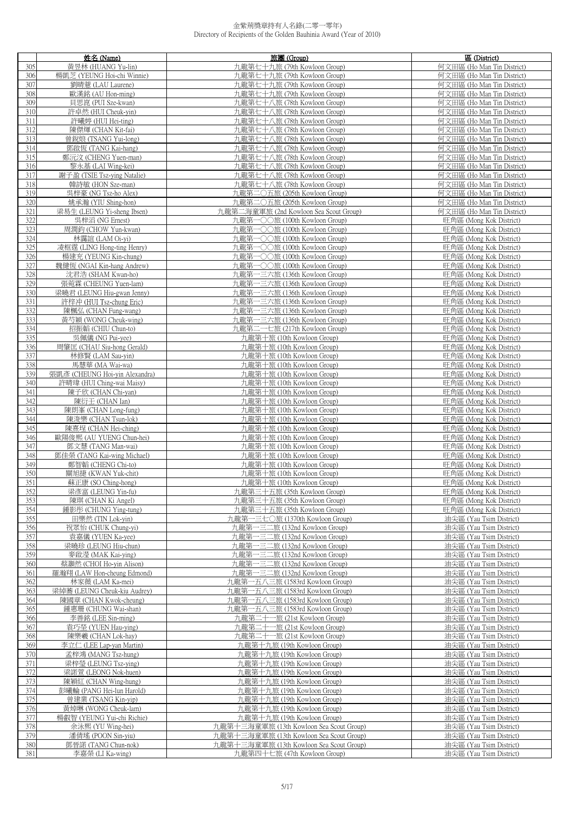|            | 姓名 (Name)                                     | 旅團 (Group)                                                     | 區 (District)                                             |
|------------|-----------------------------------------------|----------------------------------------------------------------|----------------------------------------------------------|
| 305        | 黃昱林 (HUANG Yu-lin)                            | 九龍第七十九旅 (79th Kowloon Group)                                   | 何文田區 (Ho Man Tin District)                               |
| 306        | 楊凱芝 (YEUNG Hoi-chi Winnie)                    | 九龍第七十九旅 (79th Kowloon Group)                                   | 何文田區 (Ho Man Tin District)                               |
| 307        | 劉晴薏 (LAU Laurene)                             | 九龍第七十九旅 (79th Kowloon Group)                                   | 何文田區 (Ho Man Tin District)                               |
| 308        | 歐漢銘 (AU Hon-ming)                             | 九龍第七十九旅 (79th Kowloon Group)                                   | 何文田區 (Ho Man Tin District)                               |
| 309        | 貝思崑 (PUI Sze-kwan)                            | 九龍第七十八旅 (78th Kowloon Group)                                   | 何文田區 (Ho Man Tin District)                               |
| 310        | 許卓然 (HUI Cheuk-yin)                           | 九龍第七十八旅 (78th Kowloon Group)                                   | 何文田區 (Ho Man Tin District)                               |
| 311        | 許曦婷 (HUI Hei-ting)                            | 九龍第七十八旅 (78th Kowloon Group)                                   | 何文田區 (Ho Man Tin District)                               |
| 312        | 陳傑煇 (CHAN Kit-fai)                            | 九龍第七十八旅 (78th Kowloon Group)                                   | 何文田區 (Ho Man Tin District)                               |
| 313        | 曾銳烺 (TSANG Yui-long)                          | 九龍第七十八旅 (78th Kowloon Group)                                   | 何文田區 (Ho Man Tin District)                               |
| 314<br>315 | 鄧啟恆 (TANG Kai-hang)<br>鄭沅汶 (CHENG Yuen-man)   | 九龍第七十八旅 (78th Kowloon Group)<br>九龍第七十八旅 (78th Kowloon Group)   | 何文田區 (Ho Man Tin District)<br>何文田區 (Ho Man Tin District) |
| 316        | 黎永基 (LAI Wing-kei)                            | 九龍第七十八旅 (78th Kowloon Group)                                   | 何文田區 (Ho Man Tin District)                               |
| 317        | 謝子盈 (TSIE Tsz-ving Natalie)                   | 九龍第七十八旅 (78th Kowloon Group)                                   | 何文田區 (Ho Man Tin District)                               |
| 318        | 韓詩敏 (HON Sze-man)                             | 九龍第七十八旅 (78th Kowloon Group)                                   | 何文田區 (Ho Man Tin District)                               |
| 319        | 吳梓豪 (NG Tsz-ho Alex)                          | 九龍第二〇五旅 (205th Kowloon Group)                                  | 何文田區 (Ho Man Tin District)                               |
| 320        | 姚承瀚 (YIU Shing-hon)                           | 九龍第二〇五旅 (205th Kowloon Group)                                  | 何文田區 (Ho Man Tin District)                               |
| 321        | 梁易生 (LEUNG Yi-sheng Ibsen)                    | 九龍第二海童軍旅 (2nd Kowloon Sea Scout Group)                         | 何文田區 (Ho Man Tin District)                               |
| 322        | 吳梓滔 (NG Ernest)                               | 九龍第一〇〇旅 (100th Kowloon Group)                                  | 旺角區 (Mong Kok District)                                  |
| 323        | 周潤鈞 (CHOW Yun-kwan)                           | 九龍第一〇〇旅 (100th Kowloon Group)                                  | 旺角區 (Mong Kok District)                                  |
| 324        | 林靄誼 (LAM Oi-yi)                               | 九龍第一〇〇旅 (100th Kowloon Group)                                  | 旺角區 (Mong Kok District)                                  |
| 325        | 凌框霆 (LING Hong-ting Henry)                    | 九龍第一〇〇旅 (100th Kowloon Group)                                  | 旺角區 (Mong Kok District)                                  |
| 326        | 楊建充 (YEUNG Kin-chung)                         | 九龍第一〇〇旅 (100th Kowloon Group)                                  | 旺角區 (Mong Kok District)                                  |
| 327        | 魏健恆 (NGAI Kin-hang Andrew)                    | 九龍第一〇〇旅 (100th Kowloon Group)                                  | 旺角區 (Mong Kok District)                                  |
| 328        | 沈君浩 (SHAM Kwan-ho)                            | 九龍第一三六旅 (136th Kowloon Group)                                  | 旺角區 (Mong Kok District)                                  |
| 329        | 張菀霖 (CHEUNG Yuen-lam)                         | 九龍第一三六旅 (136th Kowloon Group)                                  | 旺角區 (Mong Kok District)                                  |
| 330        | 梁曉君 (LEUNG Hiu-gwan Jenny)                    | 九龍第一三六旅 (136th Kowloon Group)                                  | 旺角區 (Mong Kok District)                                  |
| 331        | 許梓冲 (HUI Tsz-chung Eric)                      | 九龍第一三六旅 (136th Kowloon Group)                                  | 旺角區 (Mong Kok District)                                  |
| 332<br>333 | 陳楓弘 (CHAN Fung-wang)<br>黃芍穎 (WONG Cheuk-wing) | 九龍第一三六旅 (136th Kowloon Group)<br>九龍第一三六旅 (136th Kowloon Group) | 旺角區 (Mong Kok District)<br>旺角區 (Mong Kok District)       |
| 334        | 招振韜 (CHIU Chun-to)                            | 九龍第二一七旅 (217th Kowloon Group)                                  | 旺角區 (Mong Kok District)                                  |
| 335        | 吳佩儀 (NG Pui-yee)                              | 九龍第十旅 (10th Kowloon Group)                                     | 旺角區 (Mong Kok District)                                  |
| 336        | 周肇匡 (CHAU Siu-hong Gerald)                    | 九龍第十旅 (10th Kowloon Group)                                     | 旺角區 (Mong Kok District)                                  |
| 337        | 林修賢 (LAM Sau-yin)                             | 九龍第十旅 (10th Kowloon Group)                                     | 旺角區 (Mong Kok District)                                  |
| 338        | 馬慧華 (MA Wai-wa)                               | 九龍第十旅 (10th Kowloon Group)                                     | 旺角區 (Mong Kok District)                                  |
| 339        | 張凱彥 (CHEUNG Hoi-yin Alexandra)                | 九龍第十旅 (10th Kowloon Group)                                     | 旺角區 (Mong Kok District)                                  |
| 340        | 許晴瑋 (HUI Ching-wai Maisy)                     | 九龍第十旅 (10th Kowloon Group)                                     | 旺角區 (Mong Kok District)                                  |
| 341        | 陳子欣 (CHAN Chi-yan)                            | 九龍第十旅 (10th Kowloon Group)                                     | 旺角區 (Mong Kok District)                                  |
| 342        | 陳衍壬 (CHAN Ian)                                | 九龍第十旅 (10th Kowloon Group)                                     | 旺角區 (Mong Kok District)                                  |
| 343        | 陳朗峯 (CHAN Long-fung)                          | 九龍第十旅 (10th Kowloon Group)                                     | 旺角區 (Mong Kok District)                                  |
| 344        | 陳浚樂 (CHAN Tsun-lok)<br>陳熹埕 (CHAN Hei-ching)   | 九龍第十旅 (10th Kowloon Group)                                     | 旺角區 (Mong Kok District)                                  |
| 345<br>346 | 歐陽俊熙 (AU YUENG Chun-hei)                      | 九龍第十旅 (10th Kowloon Group)<br>九龍第十旅 (10th Kowloon Group)       | 旺角區 (Mong Kok District)<br>旺角區 (Mong Kok District)       |
| 347        | 鄧文慧 (TANG Man-wai)                            | 九龍第十旅 (10th Kowloon Group)                                     | 旺角區 (Mong Kok District)                                  |
| 348        | 鄧佳榮 (TANG Kai-wing Michael)                   | 九龍第十旅 (10th Kowloon Group)                                     | 旺角區 (Mong Kok District)                                  |
| 349        | 鄭智韜 (CHENG Chi-to)                            | 九龍第十旅 (10th Kowloon Group)                                     | 旺角區 (Mong Kok District)                                  |
| 350        | 關旭捷 (KWAN Yuk-chit)                           | 九龍第十旅 (10th Kowloon Group)                                     | 旺角區 (Mong Kok District)                                  |
| 351        | 蘇正康 (SO Ching-hong)                           | 九龍第十旅 (10th Kowloon Group)                                     | 旺角區 (Mong Kok District)                                  |
| 352        | 梁彥富 (LEUNG Yin-fu)                            | 九龍第三十五旅 (35th Kowloon Group)                                   | 旺角區 (Mong Kok District)                                  |
| 353        | 陳琪 (CHAN Ki Angel)                            | 九龍第三十五旅 (35th Kowloon Group)                                   | 旺角區 (Mong Kok District)                                  |
| 354        | 鍾影彤 (CHUNG Ying-tung)                         | 九龍第三十五旅 (35th Kowloon Group)                                   | 旺角區 (Mong Kok District)                                  |
| 355        | 田樂然 (TIN Lok-yin)                             | 九龍第一三七〇旅 (1370th Kowloon Group)                                | 油尖區 (Yau Tsim District)                                  |
| 356        | 祝眾怡 (CHUK Chung-yi)                           | 九龍第一三二旅 (132nd Kowloon Group)                                  | 油尖區 (Yau Tsim District)                                  |
| 357        | 袁嘉儀 (YUEN Ka-yee)                             | 九龍第一三二旅 (132nd Kowloon Group)                                  | 油尖區 (Yau Tsim District)                                  |
| 358<br>359 | 梁曉珍 (LEUNG Hiu-chun)<br>麥啟瀅 (MAK Kai-ying)    | 九龍第一三二旅 (132nd Kowloon Group)<br>九龍第一三二旅 (132nd Kowloon Group) | 油尖區 (Yau Tsim District)<br>油尖區 (Yau Tsim District)       |
| 360        | 蔡灝然 (CHOI Ho-yin Alison)                      | 九龍第一三二旅 (132nd Kowloon Group)                                  | 油尖區 (Yau Tsim District)                                  |
| 361        | 羅瀚翔 (LAW Hon-cheung Edmond)                   | 九龍第一三二旅 (132nd Kowloon Group)                                  | 油尖區 (Yau Tsim District)                                  |
| 362        | 林家薇 (LAM Ka-mei)                              | 九龍第一五八三旅 (1583rd Kowloon Group)                                | 油尖區 (Yau Tsim District)                                  |
| 363        | 梁綽蕎 (LEUNG Cheuk-kiu Audrey)                  | 九龍第一五八三旅 (1583rd Kowloon Group)                                | 油尖區 (Yau Tsim District)                                  |
| 364        | 陳國章 (CHAN Kwok-cheung)                        | 九龍第一五八三旅 (1583rd Kowloon Group)                                | 油尖區 (Yau Tsim District)                                  |
| 365        | 鍾惠珊 (CHUNG Wai-shan)                          | 九龍第一五八三旅 (1583rd Kowloon Group)                                | 油尖區 (Yau Tsim District)                                  |
| 366        | 李善銘 (LEE Sin-ming)                            | 九龍第二十一旅 (21st Kowloon Group)                                   | 油尖區 (Yau Tsim District)                                  |
| 367        | 袁巧塋 (YUEN Hau-ying)                           | 九龍第二十一旅 (21st Kowloon Group)                                   | 油尖區 (Yau Tsim District)                                  |
| 368        | 陳樂羲 (CHAN Lok-hay)                            | 九龍第二十一旅 (21st Kowloon Group)                                   | 油尖區 (Yau Tsim District)                                  |
| 369        | 李立仁 (LEE Lap-yan Martin)                      | 九龍第十九旅 (19th Kowloon Group)                                    | 油尖區 (Yau Tsim District)                                  |
| 370        | 孟梓鴻 (MANG Tsz-hung)                           | 九龍第十九旅 (19th Kowloon Group)                                    | 油尖區 (Yau Tsim District)                                  |
| 371<br>372 | 梁梓瑩 (LEUNG Tsz-ying)<br>梁諾萱 (LEONG Nok-huen)  | 九龍第十九旅 (19th Kowloon Group)<br>九龍第十九旅 (19th Kowloon Group)     | 油尖區 (Yau Tsim District)<br>油尖區 (Yau Tsim District)       |
| 373        | 陳穎紅 (CHAN Wing-hung)                          | 九龍第十九旅 (19th Kowloon Group)                                    | 油尖區 (Yau Tsim District)                                  |
| 374        | 彭曦輪 (PANG Hei-lun Harold)                     | 九龍第十九旅 (19th Kowloon Group)                                    | 油尖區 (Yau Tsim District)                                  |
| 375        | 曾建業 (TSANG Kin-yip)                           | 九龍第十九旅 (19th Kowloon Group)                                    | 油尖區 (Yau Tsim District)                                  |
| 376        | 黃焯琳 (WONG Cheuk-lam)                          | 九龍第十九旅 (19th Kowloon Group)                                    | 油尖區 (Yau Tsim District)                                  |
| 377        | 楊叡智 (YEUNG Yui-chi Richie)                    | 九龍第十九旅 (19th Kowloon Group)                                    | 油尖區 (Yau Tsim District)                                  |
| 378        | 余泳熙 (YU Wing-hei)                             | 九龍第十三海童軍旅 (13th Kowloon Sea Scout Group)                       | 油尖區 (Yau Tsim District)                                  |
| 379        | 潘倩瑤 (POON Sin-yiu)                            | 九龍第十三海童軍旅 (13th Kowloon Sea Scout Group)                       | 油尖區 (Yau Tsim District)                                  |
| 380        | 鄧晉諾 (TANG Chun-nok)                           | 九龍第十三海童軍旅 (13th Kowloon Sea Scout Group)                       | 油尖區 (Yau Tsim District)                                  |
| 381        | 李嘉榮 (LI Ka-wing)                              | 九龍第四十七旅 (47th Kowloon Group)                                   | 油尖區 (Yau Tsim District)                                  |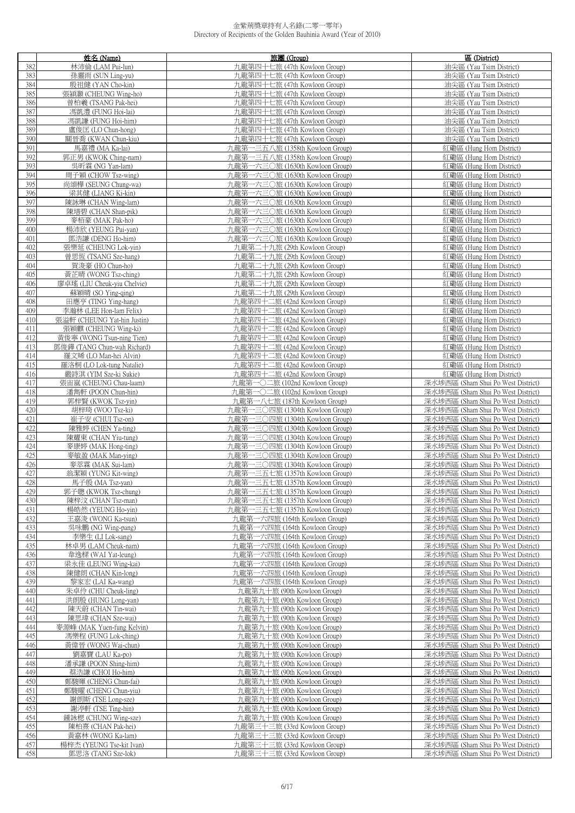|     | 姓名 (Name)                   | 旅團 (Group)                                                 | 區 (District)                                                             |
|-----|-----------------------------|------------------------------------------------------------|--------------------------------------------------------------------------|
| 382 | 林沛倫 (LAM Pui-lun)           | 九龍第四十七旅 (47th Kowloon Group)                               | 油尖區 (Yau Tsim District)                                                  |
| 383 | 孫靈雨 (SUN Ling-yu)           | 九龍第四十七旅 (47th Kowloon Group)                               | 油尖區 (Yau Tsim District)                                                  |
| 384 | 殷祖健 (YAN Cho-kin)           | 九龍第四十七旅 (47th Kowloon Group)                               | 油尖區 (Yau Tsim District)                                                  |
| 385 | 張潁灝 (CHEUNG Wing-ho)        | 九龍第四十七旅 (47th Kowloon Group)                               | 油尖區 (Yau Tsim District)                                                  |
| 386 | 曾柏羲 (TSANG Pak-hei)         | 九龍第四十七旅 (47th Kowloon Group)                               | 油尖區 (Yau Tsim District)                                                  |
| 387 | 馮凱澧 (FUNG Hoi-lai)          | 九龍第四十七旅 (47th Kowloon Group)                               | 油尖區 (Yau Tsim District)                                                  |
| 388 | 馮凱謙 (FUNG Hoi-him)          | 九龍第四十七旅 (47th Kowloon Group)                               | 油尖區 (Yau Tsim District)                                                  |
| 389 | 盧俊匡 (LO Chun-hong)          | 九龍第四十七旅 (47th Kowloon Group)                               | 油尖區 (Yau Tsim District)                                                  |
| 390 | 關晉喬 (KWAN Chun-kiu)         | 九龍第四十七旅 (47th Kowloon Group)                               | 油尖區 (Yau Tsim District)                                                  |
| 391 | 馬嘉禮 (MA Ka-lai)             | 九龍第一三五八旅 (1358th Kowloon Group)                            | 紅磡區 (Hung Hom District)                                                  |
| 392 | 郭正男 (KWOK Ching-nam)        | 九龍第一三五八旅 (1358th Kowloon Group)                            | 紅磡區 (Hung Hom District)                                                  |
| 393 |                             |                                                            | 紅磡區 (Hung Hom District)                                                  |
| 394 | 吳昕霖 (NG Yan-lam)            | 九龍第一六三〇旅 (1630th Kowloon Group)                            |                                                                          |
|     | 周子穎 (CHOW Tsz-wing)         | 九龍第一六三〇旅 (1630th Kowloon Group)                            | 紅磡區 (Hung Hom District)                                                  |
| 395 | 尚頌樺 (SEUNG Chung-wa)        | 九龍第一六三〇旅 (1630th Kowloon Group)                            | 紅磡區 (Hung Hom District)                                                  |
| 396 | 梁其健 (LIANG Ki-kin)          | 九龍第一六三〇旅 (1630th Kowloon Group)                            | 紅磡區 (Hung Hom District)                                                  |
| 397 | 陳詠琳 (CHAN Wing-lam)         | 九龍第一六三〇旅 (1630th Kowloon Group)                            | 紅磡區 (Hung Hom District)                                                  |
| 398 | 陳墡碧 (CHAN Shan-pik)         | 九龍第一六三〇旅 (1630th Kowloon Group)                            | 紅磡區 (Hung Hom District)                                                  |
| 399 | 麥栢豪 (MAK Pak-ho)            | 九龍第一六三〇旅 (1630th Kowloon Group)                            | 紅磡區 (Hung Hom District)                                                  |
| 400 | 楊沛欣 (YEUNG Pui-yan)         | 九龍第一六三〇旅 (1630th Kowloon Group)                            | 紅磡區 (Hung Hom District)                                                  |
| 401 | 鄧浩謙 (DENG Ho-him)           | 九龍第一六三〇旅 (1630th Kowloon Group)                            | 紅磡區 (Hung Hom District)                                                  |
| 402 | 張樂延 (CHEUNG Lok-yin)        | 九龍第二十九旅 (29th Kowloon Group)                               | 紅磡區 (Hung Hom District)                                                  |
| 403 | 曾思恆 (TSANG Sze-hang)        | 九龍第二十九旅 (29th Kowloon Group)                               | 紅磡區 (Hung Hom District)                                                  |
| 404 | 賀浚豪 (HO Chun-ho)            | 九龍第二十九旅 (29th Kowloon Group)                               | 紅磡區 (Hung Hom District)                                                  |
| 405 | 黃芷晴 (WONG Tsz-ching)        | 九龍第二十九旅 (29th Kowloon Group)                               | 紅磡區 (Hung Hom District)                                                  |
| 406 | 廖卓瑤 (LIU Cheuk-yiu Chelvie) | 九龍第二十九旅 (29th Kowloon Group)                               | 紅磡區 (Hung Hom District)                                                  |
| 407 | 蘇穎晴 (SO Ying-qing)          | 九龍第二十九旅 (29th Kowloon Group)                               | 紅磡區 (Hung Hom District)                                                  |
| 408 | 田應亨 (TING Ying-hang)        | 九龍第四十二旅 (42nd Kowloon Group)                               | 紅磡區 (Hung Hom District)                                                  |
| 409 | 李瀚林 (LEE Hon-lam Felix)     | 九龍第四十二旅 (42nd Kowloon Group)                               | 紅磡區 (Hung Hom District)                                                  |
| 410 | 張溢軒 (CHEUNG Yat-hin Justin) | 九龍第四十二旅 (42nd Kowloon Group)                               | 紅磡區 (Hung Hom District)                                                  |
| 411 | 張穎麒 (CHEUNG Wing-ki)        | 九龍第四十二旅 (42nd Kowloon Group)                               | 紅磡區 (Hung Hom District)                                                  |
| 412 | 黃俊寧 (WONG Tsun-ning Tien)   | 九龍第四十二旅 (42nd Kowloon Group)                               | 紅磡區 (Hung Hom District)                                                  |
| 413 | 鄧俊鏵 (TANG Chun-wah Richard) | 九龍第四十二旅 (42nd Kowloon Group)                               | 紅磡區 (Hung Hom District)                                                  |
| 414 | 羅文晞 (LO Man-hei Alvin)      | 九龍第四十二旅 (42nd Kowloon Group)                               | 紅磡區 (Hung Hom District)                                                  |
| 415 | 羅洛桐 (LO Lok-tung Natalie)   | 九龍第四十二旅 (42nd Kowloon Group)                               | 紅磡區 (Hung Hom District)                                                  |
| 416 | 嚴詩淇 (YIM Sze-ki Sukie)      | 九龍第四十二旅 (42nd Kowloon Group)                               | 紅磡區 (Hung Hom District)                                                  |
| 417 | 張宙嵐 (CHEUNG Chau-laam)      | 九龍第一〇二旅 (102nd Kowloon Group)                              | 深水埗西區 (Sham Shui Po West District)                                       |
| 418 | 潘雋軒 (POON Chun-hin)         | 九龍第一〇二旅 (102nd Kowloon Group)                              | 深水埗西區 (Sham Shui Po West District)                                       |
| 419 | 郭梓賢 (KWOK Tsz-yin)          | 九龍第一八七旅 (187th Kowloon Group)                              | 深水埗西區 (Sham Shui Po West District)                                       |
| 420 | 胡梓琦 (WOO Tsz-ki)            | 九龍第一三〇四旅 (1304th Kowloon Group)                            | 深水埗西區 (Sham Shui Po West District)                                       |
| 421 | 崔子安 (CHUI Tsz-on)           | 九龍第一三〇四旅 (1304th Kowloon Group)                            | 深水埗西區 (Sham Shui Po West District)                                       |
| 422 | 陳雅婷 (CHEN Ya-ting)          | 九龍第一三〇四旅 (1304th Kowloon Group)                            | 深水埗西區 (Sham Shui Po West District)                                       |
| 423 | 陳耀東 (CHAN Yiu-tung)         | 九龍第一三〇四旅 (1304th Kowloon Group)                            | 深水埗西區 (Sham Shui Po West District)                                       |
| 424 | 麥康婷 (MAK Hong-ting)         | 九龍第一三〇四旅 (1304th Kowloon Group)                            | 深水埗西區 (Sham Shui Po West District)                                       |
| 425 | 麥敏盈 (MAK Man-ying)          | 九龍第一三〇四旅 (1304th Kowloon Group)                            | 深水埗西區 (Sham Shui Po West District)                                       |
| 426 | 麥萃霖 (MAK Sui-lam)           | 九龍第一三〇四旅 (1304th Kowloon Group)                            | 深水埗西區 (Sham Shui Po West District)                                       |
| 427 | 翁潔穎 (YUNG Kit-wing)         | 九龍第一三五七旅 (1357th Kowloon Group)                            | 深水埗西區 (Sham Shui Po West District)                                       |
| 428 | 馬子殷 (MA Tsz-yan)            | 九龍第一三五七旅 (1357th Kowloon Group)                            | 深水埗西區 (Sham Shui Po West District)                                       |
| 429 | 郭子聰 (KWOK Tsz-chung)        | 九龍第一三五七旅 (1357th Kowloon Group)                            | 深水埗西區 (Sham Shui Po West District)                                       |
| 430 | 陳梓汶 (CHAN Tsz-man)          | 九龍第一三五七旅 (1357th Kowloon Group)                            | 深水埗西區 (Sham Shui Po West District)                                       |
| 431 | 楊皓然 (YEUNG Ho-yin)          | 九龍第一三五七旅 (1357th Kowloon Group)                            | 深水埗西區 (Sham Shui Po West District)                                       |
| 432 | 王嘉浚 (WONG Ka-tsun)          | 九龍第一六四旅 (164th Kowloon Group)                              | 深水埗西區 (Sham Shui Po West District)                                       |
| 433 | 吳咏鵬 (NG Wing-pang)          | 九龍第一六四旅 (164th Kowloon Group)                              | 深水埗西區 (Sham Shui Po West District)                                       |
| 434 | 李樂生 (LI Lok-sang)           | 九龍第一六四旅 (164th Kowloon Group)                              | 深水埗西區 (Sham Shui Po West District)                                       |
| 435 | 林卓男 (LAM Cheuk-nam)         | 九龍第一六四旅 (164th Kowloon Group)                              | 深水埗西區 (Sham Shui Po West District)                                       |
| 436 | 韋逸樑 (WAI Yat-leung)         | 九龍第一六四旅 (164th Kowloon Group)                              | 深水埗西區 (Sham Shui Po West District)                                       |
| 437 | 梁永佳 (LEUNG Wing-kai)        | 九龍第一六四旅 (164th Kowloon Group)                              | 深水埗西區 (Sham Shui Po West District)                                       |
| 438 | 陳健朗 (CHAN Kin-long)         | 九龍第一六四旅 (164th Kowloon Group)                              | 深水埗西區 (Sham Shui Po West District)                                       |
| 439 | 黎家宏 (LAI Ka-wang)           | 九龍第一六四旅 (164th Kowloon Group)                              | 深水埗西區 (Sham Shui Po West District)                                       |
| 440 | 朱卓伶 (CHU Cheuk-ling)        | 九龍第九十旅 (90th Kowloon Group)                                | 深水埗西區 (Sham Shui Po West District)                                       |
| 441 | 洪朗殷 (HUNG Long-yan)         | 九龍第九十旅 (90th Kowloon Group)                                | 深水埗西區 (Sham Shui Po West District)                                       |
| 442 | 陳天蔚 (CHAN Tin-wai)          | 九龍第九十旅 (90th Kowloon Group)                                | 深水埗西區 (Sham Shui Po West District)                                       |
| 443 | 陳思瑋 (CHAN Sze-wai)          | 九龍第九十旅 (90th Kowloon Group)                                | 深水埗西區 (Sham Shui Po West District)                                       |
| 444 | 麥源峰 (MAK Yuen-fung Kelvin)  | 九龍第九十旅 (90th Kowloon Group)                                | 深水埗西區 (Sham Shui Po West District)                                       |
| 445 | 馮樂程 (FUNG Lok-ching)        |                                                            |                                                                          |
|     |                             | 九龍第九十旅 (90th Kowloon Group)<br>九龍第九十旅 (90th Kowloon Group) | 深水埗西區 (Sham Shui Po West District)<br>深水埗西區 (Sham Shui Po West District) |
| 446 | 黃偉晉 (WONG Wai-chun)         |                                                            |                                                                          |
| 447 | 劉嘉寶 (LAU Ka-po)             | 九龍第九十旅 (90th Kowloon Group)                                | 深水埗西區 (Sham Shui Po West District)                                       |
| 448 | 潘承謙 (POON Shing-him)        | 九龍第九十旅 (90th Kowloon Group)                                | 深水埗西區 (Sham Shui Po West District)                                       |
| 449 | 蔡浩謙 (CHOI Ho-him)           | 九龍第九十旅 (90th Kowloon Group)                                | 深水埗西區 (Sham Shui Po West District)                                       |
| 450 | 鄭駿暉 (CHENG Chun-fai)        | 九龍第九十旅 (90th Kowloon Group)                                | 深水埗西區 (Sham Shui Po West District)                                       |
| 451 | 鄭駿曜 (CHENG Chun-yiu)        | 九龍第九十旅 (90th Kowloon Group)                                | 深水埗西區 (Sham Shui Po West District)                                       |
| 452 | 謝朗斯 (TSE Long-sze)          | 九龍第九十旅 (90th Kowloon Group)                                | 深水埗西區 (Sham Shui Po West District)                                       |
| 453 | 謝渟軒 (TSE Ting-hin)          | 九龍第九十旅 (90th Kowloon Group)                                | 深水埗西區 (Sham Shui Po West District)                                       |
| 454 | 鍾詠楒 (CHUNG Wing-sze)        | 九龍第九十旅 (90th Kowloon Group)                                | 深水埗西區 (Sham Shui Po West District)                                       |
| 455 | 陳柏熹 (CHAN Pak-hei)          | 九龍第三十三旅 (33rd Kowloon Group)                               | 深水埗西區 (Sham Shui Po West District)                                       |
| 456 | 黃嘉林 (WONG Ka-lam)           | 九龍第三十三旅 (33rd Kowloon Group)                               | 深水埗西區 (Sham Shui Po West District)                                       |
| 457 | 楊梓杰 (YEUNG Tse-kit Ivan)    | 九龍第三十三旅 (33rd Kowloon Group)                               | 深水埗西區 (Sham Shui Po West District)                                       |
| 458 | 鄧思洛 (TANG Sze-lok)          | 九龍第三十三旅 (33rd Kowloon Group)                               | 深水埗西區 (Sham Shui Po West District)                                       |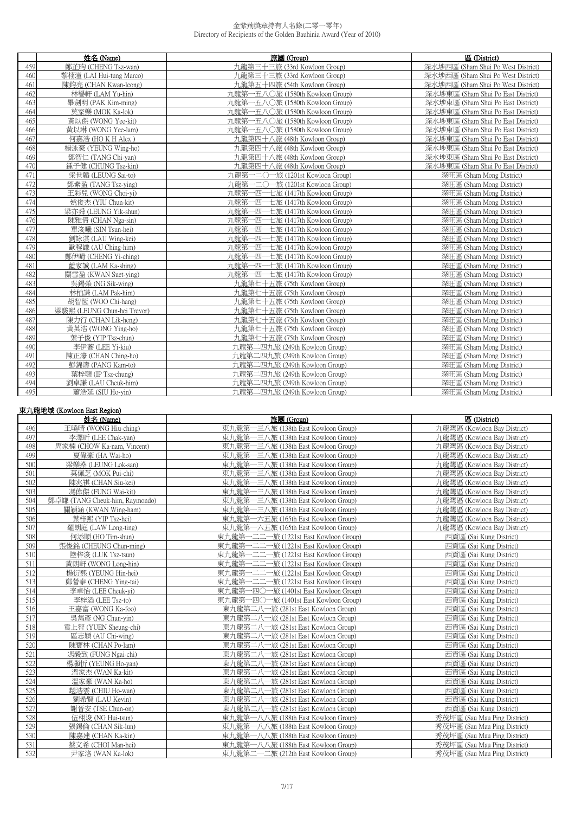|     | 姓名 (Name)                   | 旅團 (Group)                      | 區 (District)                       |
|-----|-----------------------------|---------------------------------|------------------------------------|
| 459 | 鄭芷昀 (CHENG Tsz-wan)         | 九龍第三十三旅 (33rd Kowloon Group)    | 深水埗西區 (Sham Shui Po West District) |
| 460 | 黎栩潼 (LAI Hui-tung Marco)    | 九龍第三十三旅 (33rd Kowloon Group)    | 深水埗西區 (Sham Shui Po West District) |
| 461 | 陳鈞亮 (CHAN Kwan-leong)       | 九龍第五十四旅 (54th Kowloon Group)    | 深水埗西區 (Sham Shui Po West District) |
| 462 | 林譽軒 (LAM Yu-hin)            | 九龍第一五八○旅 (1580th Kowloon Group) | 深水埗東區 (Sham Shui Po East District) |
| 463 | 畢劍明 (PAK Kim-ming)          | 九龍第一五八〇旅 (1580th Kowloon Group) | 深水埗東區 (Sham Shui Po East District) |
| 464 | 莫家樂 (MOK Ka-lok)            | 九龍第一五八〇旅 (1580th Kowloon Group) | 深水埗東區 (Sham Shui Po East District) |
| 465 | 黃以傑 (WONG Yee-kit)          | 九龍第一五八〇旅 (1580th Kowloon Group) | 深水埗東區 (Sham Shui Po East District) |
| 466 | 黃以琳 (WONG Yee-lam)          | 九龍第一五八〇旅 (1580th Kowloon Group) | 深水埗東區 (Sham Shui Po East District) |
| 467 | 何嘉浩 (HO K H Alex)           | 九龍第四十八旅 (48th Kowloon Group)    | 深水埗東區 (Sham Shui Po East District) |
| 468 | 楊泳豪 (YEUNG Wing-ho)         | 九龍第四十八旅 (48th Kowloon Group)    | 深水埗東區 (Sham Shui Po East District) |
| 469 | 鄧智仁 (TANG Chi-yan)          | 九龍第四十八旅 (48th Kowloon Group)    | 深水埗東區 (Sham Shui Po East District) |
| 470 | 鍾子健 (CHUNG Tsz-kin)         | 九龍第四十八旅 (48th Kowloon Group)    | 深水埗東區 (Sham Shui Po East District) |
| 471 | 梁世韜 (LEUNG Sai-to)          | 九龍第一二〇一旅 (1201st Kowloon Group) | 深旺區 (Sham Mong District)           |
| 472 | 鄧紫盈 (TANG Tsz-ying)         | 九龍第一二〇一旅 (1201st Kowloon Group) | 深旺區 (Sham Mong District)           |
| 473 | 王彩兒 (WONG Choi-vi)          | 九龍第一四一七旅 (1417th Kowloon Group) | 深旺區 (Sham Mong District)           |
| 474 | 姚俊杰 (YIU Chun-kit)          | 九龍第一四一七旅 (1417th Kowloon Group) | 深旺區 (Sham Mong District)           |
| 475 | 梁亦舜 (LEUNG Yik-shun)        | 九龍第一四一七旅 (1417th Kowloon Group) | 深旺區 (Sham Mong District)           |
| 476 | 陳雅倩 (CHAN Nga-sin)          | 九龍第一四一七旅 (1417th Kowloon Group) | 深旺區 (Sham Mong District)           |
| 477 | 單浚曦 (SIN Tsun-hei)          | 九龍第一四一七旅 (1417th Kowloon Group) | 深旺區 (Sham Mong District)           |
| 478 | 劉詠淇 (LAU Wing-kei)          | 九龍第一四一七旅 (1417th Kowloon Group) | 深旺區 (Sham Mong District)           |
| 479 | 歐程謙 (AU Ching-him)          | 九龍第一四一七旅 (1417th Kowloon Group) | 深旺區 (Sham Mong District)           |
| 480 | 鄭伊晴 (CHENG Yi-ching)        | 九龍第一四一七旅 (1417th Kowloon Group) | 深旺區 (Sham Mong District)           |
| 481 | 藍家誠 (LAM Ka-shing)          | 九龍第一四一七旅 (1417th Kowloon Group) | 深旺區 (Sham Mong District)           |
| 482 | 關雪盈 (KWAN Suet-ying)        | 九龍第一四一七旅 (1417th Kowloon Group) | 深旺區 (Sham Mong District)           |
| 483 | 吳錫榮 (NG Sik-wing)           | 九龍第七十五旅 (75th Kowloon Group)    | 深旺區 (Sham Mong District)           |
| 484 | 林柏謙 (LAM Pak-him)           | 九龍第七十五旅 (75th Kowloon Group)    | 深旺區 (Sham Mong District)           |
| 485 | 胡智闳 (WOO Chi-hang)          | 九龍第七十五旅 (75th Kowloon Group)    | 深旺區 (Sham Mong District)           |
| 486 | 梁駿熙 (LEUNG Chun-hei Trevor) | 九龍第七十五旅 (75th Kowloon Group)    | 深旺區 (Sham Mong District)           |
| 487 | 陳力行 (CHAN Lik-heng)         | 九龍第七十五旅 (75th Kowloon Group)    | 深旺區 (Sham Mong District)           |
| 488 | 黃英浩 (WONG Ying-ho)          | 九龍第七十五旅 (75th Kowloon Group)    | 深旺區 (Sham Mong District)           |
| 489 | 葉子俊 (YIP Tsz-chun)          | 九龍第七十五旅 (75th Kowloon Group)    | 深旺區 (Sham Mong District)           |
| 490 | 李伊蕎 (LEE Yi-kiu)            | 九龍第二四九旅 (249th Kowloon Group)   | 深旺區 (Sham Mong District)           |
| 491 | 陳正濠 (CHAN Ching-ho)         | 九龍第二四九旅 (249th Kowloon Group)   | 深旺區 (Sham Mong District)           |
| 492 | 彭錦濤 (PANG Kam-to)           | 九龍第二四九旅 (249th Kowloon Group)   | 深旺區 (Sham Mong District)           |
| 493 | 葉梓聰 (IP Tsz-chung)          | 九龍第二四九旅 (249th Kowloon Group)   | 深旺區 (Sham Mong District)           |
| 494 | 劉卓謙 (LAU Cheuk-him)         | 九龍第二四九旅 (249th Kowloon Group)   | 深旺區 (Sham Mong District)           |
| 495 | 蕭浩延 (SIU Ho-yin)            | 九龍第二四九旅 (249th Kowloon Group)   | 深旺區 (Sham Mong District)           |

# 東九龍地域 (Kowloon East Region)

|     | 姓名 (Name)                      | 旅團 (Group)                            | 區 (District)                 |
|-----|--------------------------------|---------------------------------------|------------------------------|
| 496 | 王曉晴 (WONG Hiu-ching)           | 東九龍第一三八旅 (138th East Kowloon Group)   | 九龍灣區 (Kowloon Bay District)  |
| 497 | 李澤昕 (LEE Chak-yan)             | 東九龍第一三八旅 (138th East Kowloon Group)   | 九龍灣區 (Kowloon Bay District)  |
| 498 | 周家楠 (CHOW Ka-nam, Vincent)     | 東九龍第一三八旅 (138th East Kowloon Group)   | 九龍灣區 (Kowloon Bay District)  |
| 499 | 夏偉豪 (HA Wai-ho)                | 東九龍第一三八旅 (138th East Kowloon Group)   | 九龍灣區 (Kowloon Bay District)  |
| 500 | 梁樂桑 (LEUNG Lok-san)            | 東九龍第一三八旅 (138th East Kowloon Group)   | 力龍灣區 (Kowloon Bay District)  |
| 501 | 莫佩芝 (MOK Pui-chi)              | 東九龍第一三八旅 (138th East Kowloon Group)   | 九龍灣區 (Kowloon Bay District)  |
| 502 | 陳兆祺 (CHAN Siu-kei)             | 東九龍第一三八旅 (138th East Kowloon Group)   | 九龍灣區 (Kowloon Bay District)  |
| 503 | 馮偉傑 (FUNG Wai-kit)             | 東九龍第一三八旅 (138th East Kowloon Group)   | 九龍灣區 (Kowloon Bay District)  |
| 504 | 鄧卓謙 (TANG Cheuk-him, Raymondo) | 東九龍第一三八旅 (138th East Kowloon Group)   | 九龍灣區 (Kowloon Bay District)  |
| 505 | 關穎涵 (KWAN Wing-ham)            | 東九龍第一三八旅 (138th East Kowloon Group)   | 九龍灣區 (Kowloon Bay District)  |
| 506 | 葉梓熙 (YIP Tsz-hei)              | 東九龍第一六五旅 (165th East Kowloon Group)   | 九龍灣區 (Kowloon Bay District)  |
| 507 | 羅朗庭 (LAW Long-ting)            | 東九龍第一六五旅 (165th East Kowloon Group)   | 九龍灣區 (Kowloon Bay District)  |
| 508 | 何添順 (HO Tim-shun)              | 東九龍第一二二一旅 (1221st East Kowloon Group) | 西貢區 (Sai Kung District)      |
| 509 | 張俊銘 (CHEUNG Chun-ming)         | 東九龍第一二二一旅 (1221st East Kowloon Group) | 西貢區 (Sai Kung District)      |
| 510 | 陸梓浚 (LUK Tsz-tsun)             | 東九龍第一二二一旅 (1221st East Kowloon Group) | 西貢區 (Sai Kung District)      |
| 511 | 黃朗軒 (WONG Long-hin)            | 東九龍第一二二一旅 (1221st East Kowloon Group) | 西貢區 (Sai Kung District)      |
| 512 | 楊衍熙 (YEUNG Hin-hei)            | 東九龍第一二二一旅 (1221st East Kowloon Group) | 西貢區 (Sai Kung District)      |
| 513 | 鄭營泰 (CHENG Ying-tai)           | 東九龍第一二二一旅 (1221st East Kowloon Group) | 西貢區 (Sai Kung District)      |
| 514 | 李卓怡 (LEE Cheuk-yi)             | 東九龍第一四〇一旅 (1401st East Kowloon Group) | 西貢區 (Sai Kung District)      |
| 515 | 李梓滔 (LEE Tsz-to)               | 東九龍第一四〇一旅 (1401st East Kowloon Group) | 西貢區 (Sai Kung District)      |
| 516 | 王嘉富 (WONG Ka-foo)              | 東九龍第二八一旅 (281st East Kowloon Group)   | 西貢區 (Sai Kung District)      |
| 517 | 吳雋彥 (NG Chun-yin)              | 東九龍第二八一旅 (281st East Kowloon Group)   | 西貢區 (Sai Kung District)      |
| 518 | 袁上智 (YUEN Sheung-chi)          | 東九龍第二八一旅 (281st East Kowloon Group)   | 西貢區 (Sai Kung District)      |
| 519 | 區志穎 (AU Chi-wing)              | 東九龍第二八一旅 (281st East Kowloon Group)   | 西貢區 (Sai Kung District)      |
| 520 | 陳寶林 (CHAN Po-lam)              | 東九龍第二八一旅 (281st East Kowloon Group)   | 西貢區 (Sai Kung District)      |
| 521 | 馮毅致 (FUNG Ngai-chi)            | 東九龍第二八一旅 (281st East Kowloon Group)   | 西貢區 (Sai Kung District)      |
| 522 | 楊灝忻 (YEUNG Ho-yan)             | 東九龍第二八一旅 (281st East Kowloon Group)   | 西貢區 (Sai Kung District)      |
| 523 | 溫家杰 (WAN Ka-kit)               | 東九龍第二八一旅 (281st East Kowloon Group)   | 西貢區 (Sai Kung District)      |
| 524 | 溫家豪 (WAN Ka-ho)                | 東九龍第二八一旅 (281st East Kowloon Group)   | 西貢區 (Sai Kung District)      |
| 525 | 趙浩雲 (CHIU Ho-wan)              | 東九龍第二八一旅 (281st East Kowloon Group)   | 西貢區 (Sai Kung District)      |
| 526 | 劉希賢 (LAU Kevin)                | 東九龍第二八一旅 (281st East Kowloon Group)   | 西貢區 (Sai Kung District)      |
| 527 | 謝晉安 (TSE Chun-on)              | 東九龍第二八一旅 (281st East Kowloon Group)   | 西貢區 (Sai Kung District)      |
| 528 | 伍栩浚 (NG Hui-tsun)              | 東九龍第一八八旅 (188th East Kowloon Group)   | 秀茂坪區 (Sau Mau Ping District) |
| 529 | 張錫倫 (CHAN Sik-lun)             | 東九龍第一八八旅 (188th East Kowloon Group)   | 秀茂坪區 (Sau Mau Ping District) |
| 530 | 陳嘉建 (CHAN Ka-kin)              | 東九龍第一八八旅 (188th East Kowloon Group)   | 秀茂坪區 (Sau Mau Ping District) |
| 531 | 蔡文希 (CHOI Man-hei)             | 東九龍第一八八旅 (188th East Kowloon Group)   | 秀茂坪區 (Sau Mau Ping District) |
| 532 | 尹家洛 (WAN Ka-lok)               | 東九龍第二一二旅 (212th East Kowloon Group)   | 秀茂坪區 (Sau Mau Ping District) |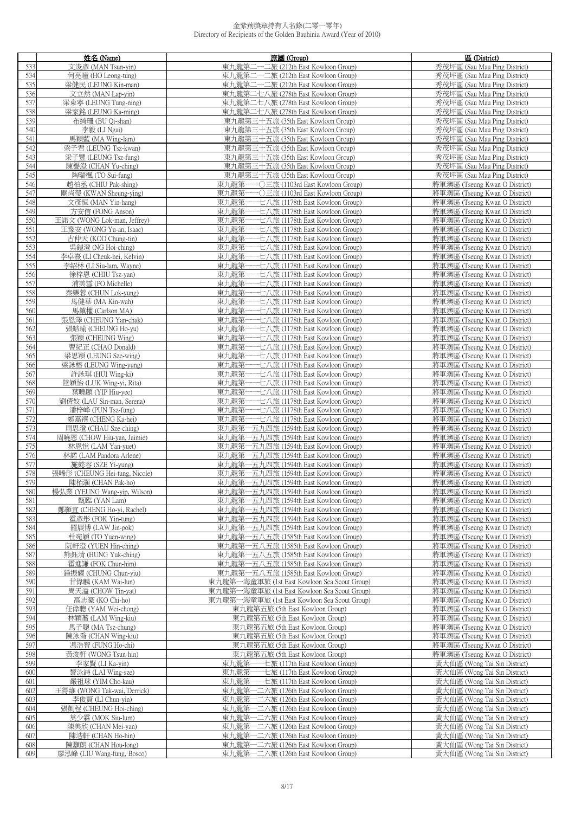|     | 姓名 (Name)                     | 旅團 (Group)                                   | 區 (District)                  |
|-----|-------------------------------|----------------------------------------------|-------------------------------|
| 533 | 文浚彥 (MAN Tsun-yin)            | 東九龍第二一二旅 (212th East Kowloon Group)          | 秀茂坪區 (Sau Mau Ping District)  |
| 534 | 何亮曈 (HO Leong-tung)           | 東九龍第二一二旅 (212th East Kowloon Group)          | 秀茂坪區 (Sau Mau Ping District)  |
| 535 | 梁健民 (LEUNG Kin-man)           | 東九龍第二一二旅 (212th East Kowloon Group)          | 秀茂坪區 (Sau Mau Ping District)  |
| 536 | 文立然 (MAN Lap-yin)             |                                              |                               |
|     |                               | 東九龍第二七八旅 (278th East Kowloon Group)          | 秀茂坪區 (Sau Mau Ping District)  |
| 537 | 梁東寧 (LEUNG Tung-ning)         | 東九龍第二七八旅 (278th East Kowloon Group)          | 秀茂坪區 (Sau Mau Ping District)  |
| 538 | 梁家銘 (LEUNG Ka-ming)           | 東九龍第二七八旅 (278th East Kowloon Group)          | 秀茂坪區 (Sau Mau Ping District)  |
| 539 | 布綺珊 (BU Qi-shan)              | 東九龍第三十五旅 (35th East Kowloon Group)           | 秀茂坪區 (Sau Mau Ping District)  |
| 540 | 李毅 (LI Ngai)                  | 東九龍第三十五旅 (35th East Kowloon Group)           | 秀茂坪區 (Sau Mau Ping District)  |
| 541 | 馬穎藍 (MA Wing-lam)             | 東九龍第三十五旅 (35th East Kowloon Group)           | 秀茂坪區 (Sau Mau Ping District)  |
| 542 | 梁子君 (LEUNG Tsz-kwan)          | 東九龍第三十五旅 (35th East Kowloon Group)           | 秀茂坪區 (Sau Mau Ping District)  |
| 543 | 梁子豐 (LEUNG Tsz-fung)          | 東九龍第三十五旅 (35th East Kowloon Group)           | 秀茂坪區 (Sau Mau Ping District)  |
| 544 | 陳譽澄 (CHAN Yu-ching)           | 東九龍第三十五旅 (35th East Kowloon Group)           | 秀茂坪區 (Sau Mau Ping District)  |
| 545 | 陶瑞楓 (TO Sui-fung)             | 東九龍第三十五旅 (35th East Kowloon Group)           | 秀茂坪區 (Sau Mau Ping District)  |
| 546 | 趙柏丞 (CHIU Pak-shing)          | 東九龍第一一〇三旅 (1103rd East Kowloon Group)        | 將軍澳區 (Tseung Kwan O District) |
| 547 | 關尚瑩 (KWAN Sheung-ying)        | 東九龍第一一〇三旅 (1103rd East Kowloon Group)        | 將軍澳區 (Tseung Kwan O District) |
| 548 | 文彥恒 (MAN Yin-hang)            | 東九龍第一一七八旅 (1178th East Kowloon Group)        | 將軍澳區 (Tseung Kwan O District) |
| 549 | 方安信 (FONG Anson)              | 東九龍第一一七八旅 (1178th East Kowloon Group)        | 將軍澳區 (Tseung Kwan O District) |
| 550 | 王諾文 (WONG Lok-man, Jeffrey)   | 東九龍第一一七八旅 (1178th East Kowloon Group)        | 將軍澳區 (Tseung Kwan O District) |
| 551 |                               |                                              |                               |
|     | 王豫安 (WONG Yu-an, Isaac)       | 東九龍第一<br>---七八旅 (1178th East Kowloon Group)  | 將軍澳區 (Tseung Kwan O District) |
| 552 | 古仲天 (KOO Chung-tin)           | 東九龍第一一七八旅 (1178th East Kowloon Group)        | 將軍澳區 (Tseung Kwan O District) |
| 553 | 吳鎧澄 (NG Hoi-ching)            | 東九龍第一一七八旅 (1178th East Kowloon Group)        | 將軍澳區 (Tseung Kwan O District) |
| 554 | 李卓熹 (LI Cheuk-hei, Kelvin)    | 東九龍第一一七八旅 (1178th East Kowloon Group)        | 將軍澳區 (Tseung Kwan O District) |
| 555 | 李紹林 (LI Siu-lam, Wayne)       | 東九龍第-<br>----七八旅 (1178th East Kowloon Group) | 將軍澳區 (Tseung Kwan O District) |
| 556 | 徐梓恩 (CHIU Tsz-yan)            | 東九龍第-<br>-七八旅 (1178th East Kowloon Group)    | 將軍澳區 (Tseung Kwan O District) |
| 557 | 浦美雪 (PO Michelle)             | 東九龍第一一七八旅 (1178th East Kowloon Group)        | 將軍澳區 (Tseung Kwan O District) |
| 558 | 秦樂蓉 (CHUN Lok-yung)           | 一一七八旅 (1178th East Kowloon Group)<br>東九龍第−   | 將軍澳區 (Tseung Kwan O District) |
| 559 | 馬健華 (MA Kin-wah)              | 東九龍第一<br>--亡八旅 (1178th East Kowloon Group)   | 將軍澳區 (Tseung Kwan O District) |
| 560 | 馬鎮權 (Carlson MA)              | 東九龍第-<br>・七八旅 (1178th East Kowloon Group)    | 將軍澳區 (Tseung Kwan O District) |
| 561 | 張恩澤 (CHEUNG Yan-chak)         | 東九龍第一一七八旅 (1178th East Kowloon Group)        | 將軍澳區 (Tseung Kwan O District) |
| 562 | 張皓瑜 (CHEUNG Ho-yu)            | 東九龍第一-<br>-七八旅 (1178th East Kowloon Group)   | 將軍澳區 (Tseung Kwan O District) |
| 563 | 張穎 (CHEUNG Wing)              | 東九龍第一一七八旅 (1178th East Kowloon Group)        | 將軍澳區 (Tseung Kwan O District) |
| 564 | 曹紀正 (CHAO Donald)             | 東九龍第<br>----七八旅 (1178th East Kowloon Group)  | 將軍澳區 (Tseung Kwan O District) |
| 565 | 梁思穎 (LEUNG Sze-wing)          | 東九龍第-<br>---七八旅 (1178th East Kowloon Group)  | 將軍澳區 (Tseung Kwan O District) |
| 566 | 梁詠榕 (LEUNG Wing-yung)         | 東九龍第一一七八旅 (1178th East Kowloon Group)        | 將軍澳區 (Tseung Kwan O District) |
| 567 |                               | 東九龍第一                                        | 將軍澳區 (Tseung Kwan O District) |
|     | 許詠琪 (HUI Wing-ki)             | ・七八旅 (1178th East Kowloon Group)             |                               |
| 568 | 陸穎怡 (LUK Wing-yi, Rita)       | 東九龍第一<br>- 七八旅 (1178th East Kowloon Group)   | 將軍澳區 (Tseung Kwan O District) |
| 569 | 葉曉頤 (YIP Hiu-yee)             | 東九龍第一一七八旅 (1178th East Kowloon Group)        | 將軍澳區 (Tseung Kwan O District) |
| 570 | 劉倩妏 (LAU Sin-man, Serena)     | 東九龍第一一七八旅 (1178th East Kowloon Group)        | 將軍澳區 (Tseung Kwan O District) |
| 571 | 潘梓峰 (PUN Tsz-fung)            | 東九龍第一一七八旅 (1178th East Kowloon Group)        | 將軍澳區 (Tseung Kwan O District) |
| 572 | 鄭嘉禧 (CHENG Ka-hei)            | 東九龍第一一七八旅 (1178th East Kowloon Group)        | 將軍澳區 (Tseung Kwan O District) |
| 573 | 周思澄 (CHAU Sze-ching)          | 東九龍第一五九四旅 (1594th East Kowloon Group)        | 將軍澳區 (Tseung Kwan O District) |
| 574 | 周曉恩 (CHOW Hiu-yan, Jaimie)    | 東九龍第一五九四旅 (1594th East Kowloon Group)        | 將軍澳區 (Tseung Kwan O District) |
| 575 | 林恩悅 (LAM Yan-yuet)            | 東九龍第一五九四旅 (1594th East Kowloon Group)        | 將軍澳區 (Tseung Kwan O District) |
| 576 | 林諾 (LAM Pandora Arlene)       | 東九龍第一五九四旅 (1594th East Kowloon Group)        | 將軍澳區 (Tseung Kwan O District) |
| 577 | 施懿容 (SZE Yi-yung)             | 東九龍第一五九四旅 (1594th East Kowloon Group)        | 將軍澳區 (Tseung Kwan O District) |
| 578 | 張晞彤 (CHEUNG Hei-tung, Nicole) | 東九龍第一五九四旅 (1594th East Kowloon Group)        | 將軍澳區 (Tseung Kwan O District) |
| 579 | 陳栢灝 (CHAN Pak-ho)             | 東九龍第一五九四旅 (1594th East Kowloon Group)        | 將軍澳區 (Tseung Kwan O District) |
| 580 | 楊弘業 (YEUNG Wang-yip, Wilson)  | 東九龍第一五九四旅 (1594th East Kowloon Group)        | 將軍澳區 (Tseung Kwan O District) |
| 581 | 甄臨 (YAN Lam)                  | 東九龍第一五九四旅 (1594th East Kowloon Group)        | 將軍澳區 (Tseung Kwan O District) |
| 582 | 鄭顥宜 (CHENG Ho-vi, Rachel)     | 東九龍第一五九四旅 (1594th East Kowloon Group)        | 將軍澳區 (Tseung Kwan O District) |
| 583 | 霍彥彤 (FOK Yin-tung)            | 東九龍第一五九四旅 (1594th East Kowloon Group)        | 將軍澳區 (Tseung Kwan O District) |
| 584 | 羅展博 (LAW Jin-pok)             | 東九龍第一五九四旅 (1594th East Kowloon Group)        | 將軍澳區 (Tseung Kwan O District) |
| 585 | 杜宛穎 (TO Yuen-wing)            | 東九龍第一五八五旅 (1585th East Kowloon Group)        | 將軍澳區 (Tseung Kwan O District) |
| 586 | 阮軒澄 (YUEN Hin-ching)          | 東九龍第一五八五旅 (1585th East Kowloon Group)        | 將軍澳區 (Tseung Kwan O District) |
| 587 | 熊鈺清 (HUNG Yuk-ching)          | 東九龍第一五八五旅 (1585th East Kowloon Group)        | 將軍澳區 (Tseung Kwan O District) |
| 588 | 霍進謙 (FOK Chun-him)            | 東九龍第一五八五旅 (1585th East Kowloon Group)        | 將軍澳區 (Tseung Kwan O District) |
| 589 | 鍾振耀 (CHUNG Chun-yiu)          | 東九龍第一五八五旅 (1585th East Kowloon Group)        | 將軍澳區 (Tseung Kwan O District) |
| 590 | 甘偉麟 (KAM Wai-lun)             | 東九龍第一海童軍旅 (1st East Kowloon Sea Scout Group) | 將軍澳區 (Tseung Kwan O District) |
| 591 |                               | 東九龍第一海童軍旅 (1st East Kowloon Sea Scout Group) | 將軍澳區 (Tseung Kwan O District) |
|     | 周天溢 (CHOW Tin-yat)            |                                              |                               |
| 592 | 高志豪 (KO Chi-ho)               | 東九龍第一海童軍旅 (1st East Kowloon Sea Scout Group) | 將軍澳區 (Tseung Kwan O District) |
| 593 | 任偉聰 (YAM Wei-chong)           | 東九龍第五旅 (5th East Kowloon Group)              | 將軍澳區 (Tseung Kwan O District) |
| 594 | 林穎蕎 (LAM Wing-kiu)            | 東九龍第五旅 (5th East Kowloon Group)              | 將軍澳區 (Tseung Kwan O District) |
| 595 | 馬子聰 (MA Tsz-chung)            | 東九龍第五旅 (5th East Kowloon Group)              | 將軍澳區 (Tseung Kwan O District) |
| 596 | 陳泳喬 (CHAN Wing-kiu)           | 東九龍第五旅 (5th East Kowloon Group)              | 將軍澳區 (Tseung Kwan O District) |
| 597 | 馮浩智 (FUNG Ho-chi)             | 東九龍第五旅 (5th East Kowloon Group)              | 將軍澳區 (Tseung Kwan O District) |
| 598 | 黃浚軒 (WONG Tsun-hin)           | 東九龍第五旅 (5th East Kowloon Group)              | 將軍澳區 (Tseung Kwan O District) |
| 599 | 李家賢 (LI Ka-yin)               | 東九龍第一一七旅 (117th East Kowloon Group)          | 黃大仙區 (Wong Tai Sin District)  |
| 600 | 黎泳詩 (LAI Wing-sze)            | 東九龍第一一七旅 (117th East Kowloon Group)          | 黃大仙區 (Wong Tai Sin District)  |
| 601 | 嚴祖球 (YIM Cho-kau)             | 東九龍第一一七旅 (117th East Kowloon Group)          | 黃大仙區 (Wong Tai Sin District)  |
| 602 | 王得維 (WONG Tak-wai, Derrick)   | 東九龍第一二六旅 (126th East Kowloon Group)          | 黃大仙區 (Wong Tai Sin District)  |
| 603 | 李俊賢 (LI Chun-yin)             | 東九龍第一二六旅 (126th East Kowloon Group)          | 黃大仙區 (Wong Tai Sin District)  |
| 604 | 張凱程 (CHEUNG Hoi-ching)        | 東九龍第一二六旅 (126th East Kowloon Group)          | 黃大仙區 (Wong Tai Sin District)  |
| 605 | 莫少霖 (MOK Siu-lum)             | 東九龍第一二六旅 (126th East Kowloon Group)          | 黃大仙區 (Wong Tai Sin District)  |
| 606 | 陳美欣 (CHAN Mei-yan)            | 東九龍第一二六旅 (126th East Kowloon Group)          | 黃大仙區 (Wong Tai Sin District)  |
| 607 | 陳浩軒 (CHAN Ho-hin)             | 東九龍第一二六旅 (126th East Kowloon Group)          | 黃大仙區 (Wong Tai Sin District)  |
| 608 | 陳灝朗 (CHAN Hou-long)           | 東九龍第一二六旅 (126th East Kowloon Group)          | 黃大仙區 (Wong Tai Sin District)  |
| 609 | 廖泓峰 (LIU Wang-fung, Bosco)    | 東九龍第一二六旅 (126th East Kowloon Group)          | 黃大仙區 (Wong Tai Sin District)  |
|     |                               |                                              |                               |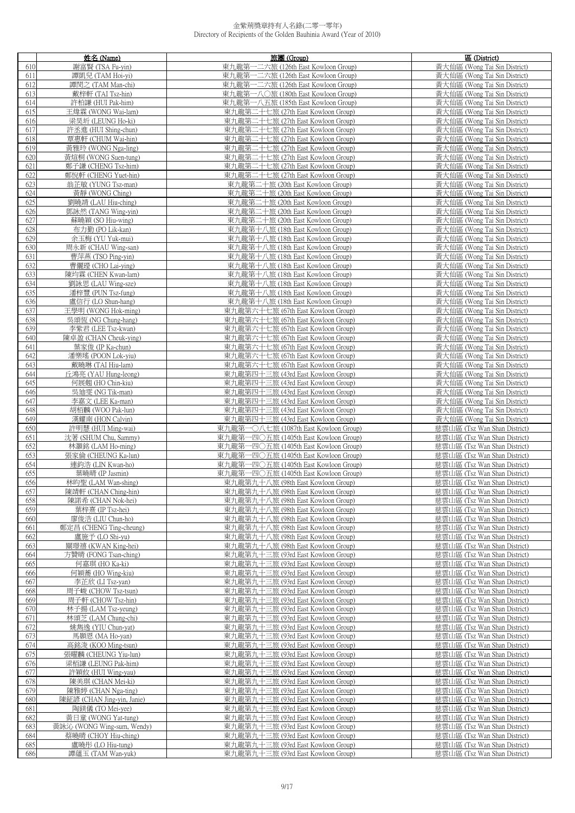|            | 姓名 (Name)                              | 旅團 (Group)                                                               | 區 (District)                                                 |
|------------|----------------------------------------|--------------------------------------------------------------------------|--------------------------------------------------------------|
| 610        | 謝富賢 (TSA Fu-yin)                       | 東九龍第一二六旅 (126th East Kowloon Group)                                      | 黃大仙區 (Wong Tai Sin District)                                 |
| 611        | 譚凱兒 (TAM Hoi-yi)                       | 東九龍第一二六旅 (126th East Kowloon Group)                                      | 黃大仙區 (Wong Tai Sin District)                                 |
| 612        | 譚閔之 (TAM Man-chi)                      | 東九龍第一二六旅 (126th East Kowloon Group)                                      | 黃大仙區 (Wong Tai Sin District)                                 |
| 613        | 戴梓軒 (TAI Tsz-hin)                      | 東九龍第一八〇旅 (180th East Kowloon Group)                                      | 黃大仙區 (Wong Tai Sin District)                                 |
| 614        | 許柏謙 (HUI Pak-him)                      | 東九龍第一八五旅 (185th East Kowloon Group)                                      | 黃大仙區 (Wong Tai Sin District)                                 |
| 615        | 王煒霖 (WONG Wai-lam)                     | 東九龍第二十七旅 (27th East Kowloon Group)                                       | 黃大仙區 (Wong Tai Sin District)                                 |
| 616        | 梁昊圻 (LEUNG Ho-ki)                      | 東九龍第二十七旅 (27th East Kowloon Group)                                       | 黃大仙區 (Wong Tai Sin District)                                 |
| 617        | 許丞進 (HUI Shing-chun)                   | 東九龍第二十七旅 (27th East Kowloon Group)                                       | 黃大仙區 (Wong Tai Sin District)                                 |
| 618        | 覃惠軒 (CHUM Wai-hin)                     | 東九龍第二十七旅 (27th East Kowloon Group)                                       | 黃大仙區 (Wong Tai Sin District)                                 |
| 619        | 黃雅玲 (WONG Nga-ling)                    | 東九龍第二十七旅 (27th East Kowloon Group)                                       | 黃大仙區 (Wong Tai Sin District)                                 |
| 620        | 黃煊桐 (WONG Suen-tung)                   | 東九龍第二十七旅 (27th East Kowloon Group)                                       | 黃大仙區 (Wong Tai Sin District)                                 |
| 621        | 鄭子謙 (CHENG Tsz-him)                    | 東九龍第二十七旅 (27th East Kowloon Group)                                       | 黃大仙區 (Wong Tai Sin District)                                 |
| 622        | 鄭悅軒 (CHENG Yuet-hin)                   | 東九龍第二十七旅 (27th East Kowloon Group)                                       | 黃大仙區 (Wong Tai Sin District)                                 |
| 623        | 翁芷敏 (YUNG Tsz-man)                     | 東九龍第二十旅 (20th East Kowloon Group)                                        | 黃大仙區 (Wong Tai Sin District)                                 |
| 624        | 黃靜 (WONG Ching)                        | 東九龍第二十旅 (20th East Kowloon Group)                                        | 黃大仙區 (Wong Tai Sin District)                                 |
| 625        | 劉曉靖 (LAU Hiu-ching)                    | 東九龍第二十旅 (20th East Kowloon Group)                                        | 黃大仙區 (Wong Tai Sin District)                                 |
| 626        | 鄧詠然 (TANG Wing-yin)                    | 東九龍第二十旅 (20th East Kowloon Group)                                        | 黃大仙區 (Wong Tai Sin District)                                 |
| 627        | 蘇曉穎 (SO Hiu-wing)                      | 東九龍第二十旅 (20th East Kowloon Group)                                        | 黃大仙區 (Wong Tai Sin District)                                 |
| 628        | 布力勤 (PO Lik-kan)                       | 東九龍第十八旅 (18th East Kowloon Group)                                        | 黃大仙區 (Wong Tai Sin District)                                 |
| 629        | 余玉梅 (YU Yuk-mui)                       | 東九龍第十八旅 (18th East Kowloon Group)                                        | 黃大仙區 (Wong Tai Sin District)                                 |
| 630        | 周永新 (CHAU Wing-san)                    | 東九龍第十八旅 (18th East Kowloon Group)                                        | 黃大仙區 (Wong Tai Sin District)                                 |
| 631        | 曹萍燕 (TSO Ping-yin)                     | 東九龍第十八旅 (18th East Kowloon Group)                                        | 黃大仙區 (Wong Tai Sin District)                                 |
| 632        | 曹儷登 (CHO Lai-ying)                     | 東九龍第十八旅 (18th East Kowloon Group)                                        | 黃大仙區 (Wong Tai Sin District)                                 |
| 633        | 陳均霖 (CHEN Kwan-lam)                    | 東九龍第十八旅 (18th East Kowloon Group)                                        | 黃大仙區 (Wong Tai Sin District)                                 |
| 634        | 劉詠思 (LAU Wing-sze)                     | 東九龍第十八旅 (18th East Kowloon Group)                                        | 黃大仙區 (Wong Tai Sin District)                                 |
| 635        | 潘梓豐 (PUN Tsz-fung)                     | 東九龍第十八旅 (18th East Kowloon Group)                                        | 黃大仙區 (Wong Tai Sin District)                                 |
| 636        | 盧信行 (LO Shun-hang)                     | 東九龍第十八旅 (18th East Kowloon Group)                                        | 黃大仙區 (Wong Tai Sin District)                                 |
| 637        | 王學明 (WONG Hok-ming)                    | 東九龍第六十七旅 (67th East Kowloon Group)                                       | 黃大仙區 (Wong Tai Sin District)                                 |
| 638        | 吳頌恆 (NG Chung-hang)                    | 東九龍第六十七旅 (67th East Kowloon Group)                                       | 黃大仙區 (Wong Tai Sin District)                                 |
| 639        | 李紫君 (LEE Tsz-kwan)                     | 東九龍第六十七旅 (67th East Kowloon Group)                                       | 黃大仙區 (Wong Tai Sin District)                                 |
| 640        | 陳卓盈 (CHAN Cheuk-ying)                  | 東九龍第六十七旅 (67th East Kowloon Group)                                       | 黃大仙區 (Wong Tai Sin District)                                 |
| 641        | 葉家俊 (IP Ka-chun)                       | 東九龍第六十七旅 (67th East Kowloon Group)                                       | 黃大仙區 (Wong Tai Sin District)                                 |
| 642        | 潘樂瑤 (POON Lok-yiu)                     | 東九龍第六十七旅 (67th East Kowloon Group)                                       | 黃大仙區 (Wong Tai Sin District)                                 |
| 643        | 戴曉琳 (TAI Hiu-lam)                      | 東九龍第六十七旅 (67th East Kowloon Group)                                       | 黃大仙區 (Wong Tai Sin District)                                 |
| 644        | 丘鴻亮 (YAU Hung-leong)                   | 東九龍第四十三旅 (43rd East Kowloon Group)                                       | 黃大仙區 (Wong Tai Sin District)                                 |
| 645        | 何展翹 (HO Chin-kiu)                      | 東九龍第四十三旅 (43rd East Kowloon Group)                                       | 黃大仙區 (Wong Tai Sin District)                                 |
| 646        | 吳迪雯 (NG Tik-man)                       | 東九龍第四十三旅 (43rd East Kowloon Group)                                       | 黃大仙區 (Wong Tai Sin District)                                 |
| 647        | 李嘉文 (LEE Ka-man)                       | 東九龍第四十三旅 (43rd East Kowloon Group)                                       | 黃大仙區 (Wong Tai Sin District)                                 |
| 648        | 胡栢麟 (WOO Pak-lun)                      | 東九龍第四十三旅 (43rd East Kowloon Group)                                       | 黃大仙區 (Wong Tai Sin District)                                 |
| 649        | 漢耀南 (HON Calvin)                       | 東九龍第四十三旅 (43rd East Kowloon Group)                                       | 黃大仙區 (Wong Tai Sin District)                                 |
| 650        | 許明慧 (HUI Ming-wai)                     | 東九龍第一〇八七旅 (1087th East Kowloon Group)                                    | 慈雲山區 (Tsz Wan Shan District)                                 |
| 651        | 沈著 (SHUM Chu, Sammy)                   | 東九龍第一四〇五旅 (1405th East Kowloon Group)                                    | 慈雲山區 (Tsz Wan Shan District)                                 |
| 652        | 林灝銘 (LAM Ho-ming)                      | 東九龍第一四〇五旅 (1405th East Kowloon Group)                                    | 慈雲山區 (Tsz Wan Shan District)                                 |
| 653        | 張家倫 (CHEUNG Ka-lun)                    | 東九龍第一四〇五旅 (1405th East Kowloon Group)                                    | 慈雲山區 (Tsz Wan Shan District)                                 |
| 654        | 連鈞浩 (LIN Kwan-ho)                      | 東九龍第一四〇五旅 (1405th East Kowloon Group)                                    | 慈雲山區 (Tsz Wan Shan District)                                 |
| 655        | 葉曉晴 (IP Jasmin)                        | 東九龍第一四〇五旅 (1405th East Kowloon Group)                                    | 慈雲山區 (Tsz Wan Shan District)                                 |
| 656        | 林昀聖 (LAM Wan-shing)                    | 東九龍第九十八旅 (98th East Kowloon Group)                                       | 慈雲山區 (Tsz Wan Shan District)                                 |
| 657        | 陳靖軒 (CHAN Ching-hin)                   | 東九龍第九十八旅 (98th East Kowloon Group)                                       | 慈雲山區 (Tsz Wan Shan District)                                 |
| 658        | 陳諾希 (CHAN Nok-hei)                     | 東九龍第九十八旅 (98th East Kowloon Group)<br>東九龍第九十八旅 (98th East Kowloon Group) | 慈雲山區 (Tsz Wan Shan District)<br>慈雲山區 (Tsz Wan Shan District) |
| 659        | 葉梓熹 (IP Tsz-hei)                       |                                                                          |                                                              |
| 660        | 廖俊浩 (LIU Chun-ho)                      | 東九龍第九十八旅 (98th East Kowloon Group)<br>東九龍第九十八旅 (98th East Kowloon Group) | 慈雲山區 (Tsz Wan Shan District)<br>慈雲山區 (Tsz Wan Shan District) |
| 661        | 鄭定昌 (CHENG Ting-cheung)                |                                                                          |                                                              |
| 662<br>663 | 盧施予 (LO Shi-vu)<br>關環禧 (KWAN King-hei) | 東九龍第九十八旅 (98th East Kowloon Group)<br>東九龍第九十八旅 (98th East Kowloon Group) | 慈雲山區 (Tsz Wan Shan District)<br>慈雲山區 (Tsz Wan Shan District) |
| 664        | 方贊晴 (FONG Tsan-ching)                  | 東九龍第九十三旅 (93rd East Kowloon Group)                                       | 慈雲山區 (Tsz Wan Shan District)                                 |
| 665        | 何嘉琪 (HO Ka-ki)                         | 東九龍第九十三旅 (93rd East Kowloon Group)                                       | 慈雲山區 (Tsz Wan Shan District)                                 |
| 666        | 何穎蕎 (HO Wing-kiu)                      | 東九龍第九十三旅 (93rd East Kowloon Group)                                       | 慈雲山區 (Tsz Wan Shan District)                                 |
| 667        | 李芷欣 (LI Tsz-yan)                       | 東九龍第九十三旅 (93rd East Kowloon Group)                                       | 慈雲山區 (Tsz Wan Shan District)                                 |
| 668        | 周子峻 (CHOW Tsz-tsun)                    | 東九龍第九十三旅 (93rd East Kowloon Group)                                       | 慈雲山區 (Tsz Wan Shan District)                                 |
| 669        | 周子軒 (CHOW Tsz-hin)                     | 東九龍第九十三旅 (93rd East Kowloon Group)                                       | 慈雲山區 (Tsz Wan Shan District)                                 |
| 670        | 林子揚 (LAM Tsz-yeung)                    | 東九龍第九十三旅 (93rd East Kowloon Group)                                       | 慈雲山區 (Tsz Wan Shan District)                                 |
| 671        | 林頌芝 (LAM Chung-chi)                    | 東九龍第九十三旅 (93rd East Kowloon Group)                                       | 慈雲山區 (Tsz Wan Shan District)                                 |
| 672        | 姚雋逸 (YIU Chun-yat)                     | 東九龍第九十三旅 (93rd East Kowloon Group)                                       | 慈雲山區 (Tsz Wan Shan District)                                 |
| 673        | 馬顥恩 (MA Ho-yan)                        | 東九龍第九十三旅 (93rd East Kowloon Group)                                       | 慈雲山區 (Tsz Wan Shan District)                                 |
| 674        | 高銘浚 (KOO Ming-tsun)                    | 東九龍第九十三旅 (93rd East Kowloon Group)                                       | 慈雲山區 (Tsz Wan Shan District)                                 |
| 675        | 張曜麟 (CHEUNG Yiu-lun)                   | 東九龍第九十三旅 (93rd East Kowloon Group)                                       | 慈雲山區 (Tsz Wan Shan District)                                 |
| 676        | 梁栢謙 (LEUNG Pak-him)                    | 東九龍第九十三旅 (93rd East Kowloon Group)                                       | 慈雲山區 (Tsz Wan Shan District)                                 |
| 677        | 許穎攸 (HUI Wing-yau)                     | 東九龍第九十三旅 (93rd East Kowloon Group)                                       | 慈雲山區 (Tsz Wan Shan District)                                 |
| 678        | 陳美琪 (CHAN Mei-ki)                      | 東九龍第九十三旅 (93rd East Kowloon Group)                                       | 慈雲山區 (Tsz Wan Shan District)                                 |
| 679        | 陳雅婷 (CHAN Nga-ting)                    | 東九龍第九十三旅 (93rd East Kowloon Group)                                       | 慈雲山區 (Tsz Wan Shan District)                                 |
| 680        | 陳鉦諺 (CHAN Jing-yin, Janie)             | 東九龍第九十三旅 (93rd East Kowloon Group)                                       | 慈雲山區 (Tsz Wan Shan District)                                 |
| 681        | 陶鎂儀 (TO Mei-yee)                       | 東九龍第九十三旅 (93rd East Kowloon Group)                                       | 慈雲山區 (Tsz Wan Shan District)                                 |
| 682        | 黃日童 (WONG Yat-tung)                    | 東九龍第九十三旅 (93rd East Kowloon Group)                                       | 慈雲山區 (Tsz Wan Shan District)                                 |
| 683        | 黃詠沁 (WONG Wing-sum, Wendy)             | 東九龍第九十三旅 (93rd East Kowloon Group)                                       | 慈雲山區 (Tsz Wan Shan District)                                 |
| 684        | 蔡曉晴 (CHOY Hiu-ching)                   | 東九龍第九十三旅 (93rd East Kowloon Group)                                       | 慈雲山區 (Tsz Wan Shan District)                                 |
| 685        | 盧曉彤 (LO Hiu-tung)                      | 東九龍第九十三旅 (93rd East Kowloon Group)                                       | 慈雲山區 (Tsz Wan Shan District)                                 |
| 686        | 譚蘊玉 (TAM Wan-yuk)                      | 東九龍第九十三旅 (93rd East Kowloon Group)                                       | 慈雲山區 (Tsz Wan Shan District)                                 |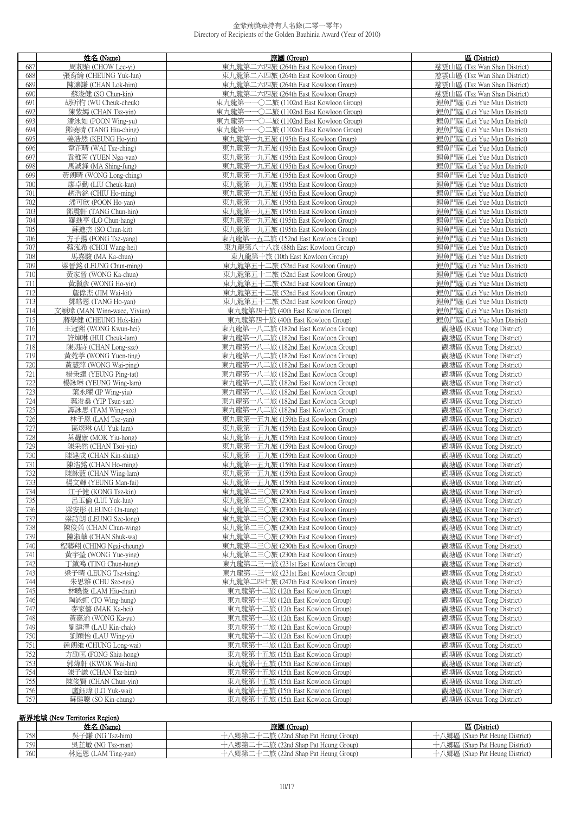|            | 姓名 (Name)                                     | 旅團 (Group)                                                                 | 區 (District)                                               |
|------------|-----------------------------------------------|----------------------------------------------------------------------------|------------------------------------------------------------|
| 687        | 周莉貽 (CHOW Lee-yi)                             | 東九龍第二六四旅 (264th East Kowloon Group)                                        | 慈雲山區 (Tsz Wan Shan District)                               |
| 688        | 張育綸 (CHEUNG Yuk-lun)                          | 東九龍第二六四旅 (264th East Kowloon Group)                                        | 慈雲山區 (Tsz Wan Shan District)                               |
| 689        | 陳濼謙 (CHAN Lok-him)                            | 東九龍第二六四旅 (264th East Kowloon Group)                                        | 慈雲山區 (Tsz Wan Shan District)                               |
| 690        | 蘇浚健 (SO Chun-kin)                             | 東九龍第二六四旅 (264th East Kowloon Group)                                        | 慈雲山區 (Tsz Wan Shan District)                               |
| 691        | 胡斫杓 (WU Cheuk-cheuk)                          | 東九龍第一一〇二旅 (1102nd East Kowloon Group)                                      | 鯉魚門區 (Lei Yue Mun District)                                |
| 692        | 陳紫嫣 (CHAN Tsz-yin)                            | 東九龍第一一〇二旅 (1102nd East Kowloon Group)                                      | 鯉魚門區 (Lei Yue Mun District)                                |
| 693        | 潘泳如 (POON Wing-yu)                            | 東九龍第一一〇二旅 (1102nd East Kowloon Group)                                      | 鯉魚門區 (Lei Yue Mun District)                                |
| 694        | 鄧曉晴 (TANG Hiu-ching)                          | 東九龍第一一〇二旅 (1102nd East Kowloon Group)                                      | 鯉魚門區 (Lei Yue Mun District)                                |
| 695        | 姜浩然 (KEUNG Ho-yin)                            | 東九龍第一九五旅 (195th East Kowloon Group)                                        | 鯉魚門區 (Lei Yue Mun District)                                |
| 696        | 韋芷晴 (WAI Tsz-ching)                           | 東九龍第一九五旅 (195th East Kowloon Group)                                        | 鯉魚門區 (Lei Yue Mun District)                                |
| 697        | 袁雅茵 (YUEN Nga-yan)                            | 東九龍第一九五旅 (195th East Kowloon Group)                                        | 鲤鱼門區 (Lei Yue Mun District)                                |
| 698        | 馬誠鋒 (MA Shing-fung)                           | 東九龍第一九五旅 (195th East Kowloon Group)                                        | 鯉魚門區 (Lei Yue Mun District)                                |
| 699        | 黃朗晴 (WONG Long-ching)                         | 東九龍第一九五旅 (195th East Kowloon Group)                                        | 鯉魚門區 (Lei Yue Mun District)                                |
| 700        | 廖卓勤 (LIU Cheuk-kan)                           | 東九龍第一九五旅 (195th East Kowloon Group)                                        | 鯉魚門區 (Lei Yue Mun District)                                |
| 701        | 趙浩銘 (CHIU Ho-ming)                            | 東九龍第一九五旅 (195th East Kowloon Group)                                        | 鯉魚門區 (Lei Yue Mun District)                                |
| 702<br>703 | 潘可欣 (POON Ho-yan)                             | 東九龍第一九五旅 (195th East Kowloon Group)                                        | 鯉魚門區 (Lei Yue Mun District)<br>鯉魚門區 (Lei Yue Mun District) |
| 704        | 鄧震軒 (TANG Chun-hin)<br>羅進亨 (LO Chun-hang)     | 東九龍第一九五旅 (195th East Kowloon Group)<br>東九龍第一九五旅 (195th East Kowloon Group) | 鯉魚門區 (Lei Yue Mun District)                                |
| 705        | 蘇進杰 (SO Chun-kit)                             | 東九龍第一九五旅 (195th East Kowloon Group)                                        | 鯉魚門區 (Lei Yue Mun District)                                |
| 706        | 方子揚 (FONG Tsz-yang)                           | 東九龍第一五二旅 (152nd East Kowloon Group)                                        | 鯉魚門區 (Lei Yue Mun District)                                |
| 707        | 蔡泓希 (CHOI Wang-hei)                           | 東九龍第八十八旅 (88th East Kowloon Group)                                         | 鯉魚門區 (Lei Yue Mun District)                                |
| 708        | 馬嘉駿 (MA Ka-chun)                              | 東九龍第十旅 (10th East Kowloon Group)                                           | 鯉魚門區 (Lei Yue Mun District)                                |
| 709        | 梁晉銘 (LEUNG Chun-ming)                         | 東九龍第五十二旅 (52nd East Kowloon Group)                                         | 鯉魚門區 (Lei Yue Mun District)                                |
| 710        | 黃家晉 (WONG Ka-chun)                            | 東九龍第五十二旅 (52nd East Kowloon Group)                                         | 鯉魚門區 (Lei Yue Mun District)                                |
| 711        | 黃灝彥 (WONG Ho-yin)                             | 東九龍第五十二旅 (52nd East Kowloon Group)                                         | 鯉魚門區 (Lei Yue Mun District)                                |
| 712        | 詹偉杰 (JIM Wai-kit)                             | 東九龍第五十二旅 (52nd East Kowloon Group)                                         | 鯉魚門區 (Lei Yue Mun District)                                |
| 713        | 鄧皓恩 (TANG Ho-yan)                             | 東九龍第五十二旅 (52nd East Kowloon Group)                                         | 鯉魚門區 (Lei Yue Mun District)                                |
| 714        | 文穎瑋 (MAN Winn-waee, Vivian)                   | 東九龍第四十旅 (40th East Kowloon Group)                                          | 鯉魚門區 (Lei Yue Mun District)                                |
| 715        | 蔣學健 (CHEUNG Hok-kin)                          | 東九龍第四十旅 (40th East Kowloon Group)                                          | 鯉魚門區 (Lei Yue Mun District)                                |
| 716        | 王冠熙 (WONG Kwun-hei)                           | 東九龍第一八二旅 (182nd East Kowloon Group)                                        | 觀塘區 (Kwun Tong District)                                   |
| 717<br>718 | 許焯琳 (HUI Cheuk-lam)<br>陳朗詩 (CHAN Long-sze)    | 東九龍第一八二旅 (182nd East Kowloon Group)<br>東九龍第一八二旅 (182nd East Kowloon Group) | 觀塘區 (Kwun Tong District)<br>觀塘區 (Kwun Tong District)       |
| 719        | 黃菀葶 (WONG Yuen-ting)                          | 東九龍第一八二旅 (182nd East Kowloon Group)                                        | 觀塘區 (Kwun Tong District)                                   |
| 720        | 黃慧萍 (WONG Wai-ping)                           | 東九龍第一八二旅 (182nd East Kowloon Group)                                        | 觀塘區 (Kwun Tong District)                                   |
| 721        | 楊秉達 (YEUNG Ping-tat)                          | 東九龍第一八二旅 (182nd East Kowloon Group)                                        | 觀塘區 (Kwun Tong District)                                   |
| 722        | 楊詠琳 (YEUNG Wing-lam)                          | 東九龍第一八二旅 (182nd East Kowloon Group)                                        | 觀塘區 (Kwun Tong District)                                   |
| 723        | 葉永曜 (IP Wing-yiu)                             | 東九龍第一八二旅 (182nd East Kowloon Group)                                        | 觀塘區 (Kwun Tong District)                                   |
| 724        | 葉浚桑 (YIP Tsun-san)                            | 東九龍第一八二旅 (182nd East Kowloon Group)                                        | 觀塘區 (Kwun Tong District)                                   |
| 725        | 譚詠思 (TAM Wing-sze)                            | 東九龍第一八二旅 (182nd East Kowloon Group)                                        | 觀塘區 (Kwun Tong District)                                   |
| 726        | 林子恩 (LAM Tsz-yan)                             | 東九龍第一五九旅 (159th East Kowloon Group)                                        | 觀塘區 (Kwun Tong District)                                   |
| 727        | 區煜琳 (AU Yuk-lam)                              | 東九龍第一五九旅 (159th East Kowloon Group)                                        | 觀塘區 (Kwun Tong District)                                   |
| 728<br>729 | 莫耀康 (MOK Yiu-hong)<br>陳采然 (CHAN Tsoi-yin)     | 東九龍第一五九旅 (159th East Kowloon Group)<br>東九龍第一五九旅 (159th East Kowloon Group) | 觀塘區 (Kwun Tong District)<br>觀塘區 (Kwun Tong District)       |
| 730        | 陳建成 (CHAN Kin-shing)                          | 東九龍第一五九旅 (159th East Kowloon Group)                                        | 觀塘區 (Kwun Tong District)                                   |
| 731        | 陳浩銘 (CHAN Ho-ming)                            | 東九龍第一五九旅 (159th East Kowloon Group)                                        | 觀塘區 (Kwun Tong District)                                   |
| 732        | 陳詠藍 (CHAN Wing-lam)                           | 東九龍第一五九旅 (159th East Kowloon Group)                                        | 觀塘區 (Kwun Tong District)                                   |
| 733        | 楊文輝 (YEUNG Man-fai)                           | 東九龍第一五九旅 (159th East Kowloon Group)                                        | 觀塘區 (Kwun Tong District)                                   |
| 734        | 江子健 (KONG Tsz-kin)                            | 東九龍第二三〇旅 (230th East Kowloon Group)                                        | 觀塘區 (Kwun Tong District)                                   |
| 735        | 呂玉倫 (LUI Yuk-lun)                             | 東九龍第二三〇旅 (230th East Kowloon Group)                                        | 觀塘區 (Kwun Tong District)                                   |
| 736        | 梁安彤 (LEUNG On-tung)                           | 東九龍第二三〇旅 (230th East Kowloon Group)                                        | 觀塘區 (Kwun Tong District)                                   |
| 737        | 梁詩朗 (LEUNG Sze-long)                          | 東九龍第二三〇旅 (230th East Kowloon Group)                                        | 觀塘區 (Kwun Tong District)                                   |
| 738        | 陳俊榮 (CHAN Chun-wing)                          | 東九龍第二三〇旅 (230th East Kowloon Group)                                        | 觀塘區 (Kwun Tong District)                                   |
| 739<br>740 | 陳淑華 (CHAN Shuk-wa)<br>程藝翔 (CHING Ngai-cheung) | 東九龍第二三〇旅 (230th East Kowloon Group)<br>東九龍第二三〇旅 (230th East Kowloon Group) | 觀塘區 (Kwun Tong District)<br>觀塘區 (Kwun Tong District)       |
| 741        | 黃宇瑩 (WONG Yue-ying)                           | 東九龍第二三〇旅 (230th East Kowloon Group)                                        | 觀塘區 (Kwun Tong District)                                   |
| 742        | 丁鎮鴻 (TING Chun-hung)                          | 東九龍第二三一旅 (231st East Kowloon Group)                                        | 觀塘區 (Kwun Tong District)                                   |
| 743        | 梁子晴 (LEUNG Tsz-tsing)                         | 東九龍第二三一旅 (231st East Kowloon Group)                                        | 觀塘區 (Kwun Tong District)                                   |
| 744        | 朱思雅 (CHU Sze-nga)                             | 東九龍第二四七旅 (247th East Kowloon Group)                                        | 觀塘區 (Kwun Tong District)                                   |
| 745        | 林曉俊 (LAM Hiu-chun)                            | 東九龍第十二旅 (12th East Kowloon Group)                                          | 觀塘區 (Kwun Tong District)                                   |
| 746        | 陶詠虹 (TO Wing-hung)                            | 東九龍第十二旅 (12th East Kowloon Group)                                          | 觀塘區 (Kwun Tong District)                                   |
| 747        | 麥家僖 (MAK Ka-hei)                              | 東九龍第十二旅 (12th East Kowloon Group)                                          | 觀塘區 (Kwun Tong District)                                   |
| 748        | 黃嘉渝 (WONG Ka-yu)                              | 東九龍第十二旅 (12th East Kowloon Group)                                          | 觀塘區 (Kwun Tong District)                                   |
| 749        | 劉建澤 (LAU Kin-chak)                            | 東九龍第十二旅 (12th East Kowloon Group)                                          | 觀塘區 (Kwun Tong District)                                   |
| 750<br>751 | 劉穎怡 (LAU Wing-yi)                             | 東九龍第十二旅 (12th East Kowloon Group)                                          | 觀塘區 (Kwun Tong District)<br>觀塘區 (Kwun Tong District)       |
| 752        | 鍾朗維 (CHUNG Long-wai)<br>方劭匡 (FONG Shiu-hong)  | 東九龍第十二旅 (12th East Kowloon Group)<br>東九龍第十五旅 (15th East Kowloon Group)     | 觀塘區 (Kwun Tong District)                                   |
| 753        | 郭煒軒 (KWOK Wai-hin)                            | 東九龍第十五旅 (15th East Kowloon Group)                                          | 觀塘區 (Kwun Tong District)                                   |
| 754        | 陳子謙 (CHAN Tsz-him)                            | 東九龍第十五旅 (15th East Kowloon Group)                                          | 觀塘區 (Kwun Tong District)                                   |
| 755        | 陳俊賢 (CHAN Chun-yin)                           | 東九龍第十五旅 (15th East Kowloon Group)                                          | 觀塘區 (Kwun Tong District)                                   |
| 756        | 盧鈺瑋 (LO Yuk-wai)                              | 東九龍第十五旅 (15th East Kowloon Group)                                          | 觀塘區 (Kwun Tong District)                                   |
| 757        | 蘇健聰 (SO Kin-chung)                            | 東九龍第十五旅 (15th East Kowloon Group)                                          | 觀塘區 (Kwun Tong District)                                   |

## 新界地域 (New Territories Region)

|     | 姓名 (Name)          | 旅團 (Group)                     | 區 (District)                         |
|-----|--------------------|--------------------------------|--------------------------------------|
| 758 | 吳子謙 (NG Tsz-him)   | 二旅 (22nd Shap Pat Heung Group) | <b>\鄉區 (Shap Pat Heung District)</b> |
| 759 | 吳芷敏 (NG Tsz-man)   | 二旅 (22nd Shap Pat Heung Group) | 八鄉區 (Shap Pat Heung District)        |
| 760 | 林庭恩 (LAM Ting-yan) | 『旅 (22nd Shap Pat Heung Group) | <b>\鄉區 (Shap Pat Heung District)</b> |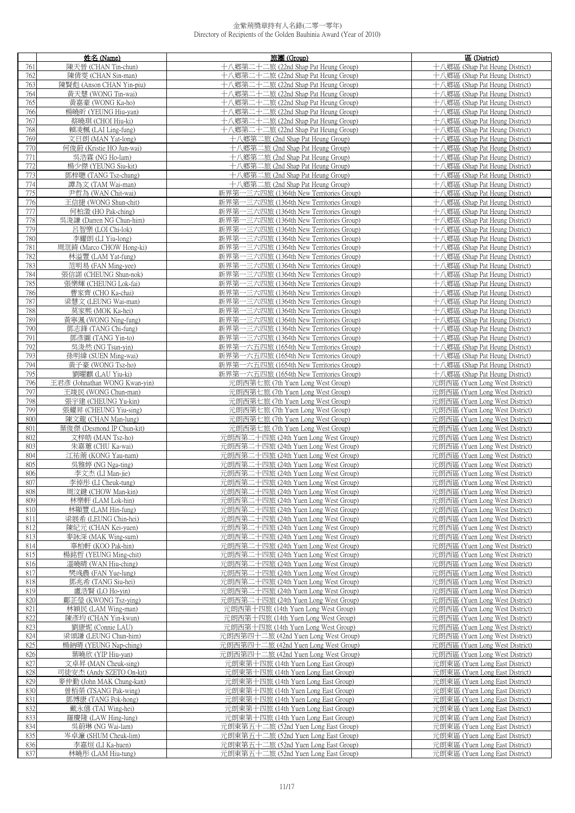|            | 姓名 (Name)                                  | 旅團 (Group)                                                                   | 區 (District)                                                     |
|------------|--------------------------------------------|------------------------------------------------------------------------------|------------------------------------------------------------------|
| 761        | 陳天晉 (CHAN Tin-chun)                        | 十八鄉第二十二旅 (22nd Shap Pat Heung Group)                                         | 十八鄉區 (Shap Pat Heung District)                                   |
| 762        | 陳倩雯 (CHAN Sin-man)                         | 十八鄉第二十二旅 (22nd Shap Pat Heung Group)                                         | 十八鄉區 (Shap Pat Heung District)                                   |
| 763        | 陳賢彪 (Anson CHAN Yin-piu)                   | 十八鄉第二十二旅 (22nd Shap Pat Heung Group)                                         | 十八鄉區 (Shap Pat Heung District)                                   |
| 764        | 黃天慧 (WONG Tin-wai)                         | 十八鄉第二十二旅 (22nd Shap Pat Heung Group)                                         | 十八鄉區 (Shap Pat Heung District)                                   |
| 765        | 黃嘉豪 (WONG Ka-ho)                           | 十八鄉第二十二旅 (22nd Shap Pat Heung Group)                                         | 十八鄉區 (Shap Pat Heung District)                                   |
| 766        | 楊曉昕 (YEUNG Hiu-yan)                        | 十八鄉第二十二旅 (22nd Shap Pat Heung Group)                                         | 十八鄉區 (Shap Pat Heung District)                                   |
| 767        | 蔡曉琪 (CHOI Hiu-ki)                          | 十八鄉第二十二旅 (22nd Shap Pat Heung Group)                                         | 十八鄉區 (Shap Pat Heung District)                                   |
| 768        | 賴凌楓 (LAI Ling-fung)                        | 十八鄉第二十二旅 (22nd Shap Pat Heung Group)                                         | 十八鄉區 (Shap Pat Heung District)                                   |
| 769        | 文日朗 (MAN Yat-long)                         | 十八鄉第二旅 (2nd Shap Pat Heung Group)                                            | 十八鄉區 (Shap Pat Heung District)                                   |
| 770        | 何俊蔚 (Kristie HO Jun-wai)                   | 十八鄉第二旅 (2nd Shap Pat Heung Group)                                            | 十八鄉區 (Shap Pat Heung District)                                   |
| 771        | 吳浩霖 (NG Ho-lam)                            | 十八鄉第二旅 (2nd Shap Pat Heung Group)                                            | 十八鄉區 (Shap Pat Heung District)                                   |
| 772        | 楊少傑 (YEUNG Siu-kit)                        | 十八鄉第二旅 (2nd Shap Pat Heung Group)                                            | 十八鄉區 (Shap Pat Heung District)                                   |
| 773        | 鄧梓聰 (TANG Tsz-chung)                       | 十八鄉第二旅 (2nd Shap Pat Heung Group)                                            | 十八鄉區 (Shap Pat Heung District)                                   |
| 774        | 譚為文 (TAM Wai-man)                          | 十八鄉第二旅 (2nd Shap Pat Heung Group)                                            | 十八鄉區 (Shap Pat Heung District)                                   |
| 775        | 尹哲為 (WAN Chit-wai)                         | 新界第一三六四旅 (1364th New Territories Group)                                      | 十八鄉區 (Shap Pat Heung District)                                   |
| 776        | 王信捷 (WONG Shun-chit)                       | 新界第一三六四旅 (1364th New Territories Group)                                      | 十八鄉區 (Shap Pat Heung District)                                   |
| 777        | 何柏澂 (HO Pak-ching)                         | 新界第一三六四旅 (1364th New Territories Group)                                      | 十八鄉區 (Shap Pat Heung District)                                   |
| 778        | 吳浚謙 (Darren NG Chun-him)                   | 新界第一三六四旅 (1364th New Territories Group)                                      | 十八鄉區 (Shap Pat Heung District)                                   |
| 779        | 呂智樂 (LOI Chi-lok)                          | 新界第一三六四旅 (1364th New Territories Group)                                      | 十八鄉區 (Shap Pat Heung District)                                   |
| 780        | 李耀朗 (LI Yiu-long)                          | 新界第一三六四旅 (1364th New Territories Group)                                      | 十八鄉區 (Shap Pat Heung District)                                   |
| 781        | 周洭錡 (Marco CHOW Hong-ki)                   | 新界第一三六四旅 (1364th New Territories Group)                                      | 十八鄉區 (Shap Pat Heung District)                                   |
| 782        | 林溢豐 (LAM Yat-fung)                         | 新界第一三六四旅 (1364th New Territories Group)                                      | 十八鄉區 (Shap Pat Heung District)                                   |
| 783        | 范明易 (FAN Ming-yee)                         | 新界第一三六四旅 (1364th New Territories Group)                                      | 十八鄉區 (Shap Pat Heung District)                                   |
| 784        | 張信諾 (CHEUNG Shun-nok)                      | 新界第一三六四旅 (1364th New Territories Group)                                      | 十八鄉區 (Shap Pat Heung District)                                   |
| 785        | 張樂輝 (CHEUNG Lok-fai)                       | 新界第一三六四旅 (1364th New Territories Group)                                      | 十八鄉區 (Shap Pat Heung District)                                   |
| 786        | 曹家齊 (CHO Ka-chai)                          | 新界第一三六四旅 (1364th New Territories Group)                                      | 十八鄉區 (Shap Pat Heung District)                                   |
| 787        | 梁慧文 (LEUNG Wai-man)                        | 新界第一三六四旅 (1364th New Territories Group)                                      | 十八鄉區 (Shap Pat Heung District)                                   |
| 788        | 莫家熙 (MOK Ka-hei)                           | 新界第一三六四旅 (1364th New Territories Group)                                      | 十八鄉區 (Shap Pat Heung District)                                   |
| 789        | 黃寧渢 (WONG Ning-fung)                       | 新界第一三六四旅 (1364th New Territories Group)                                      | 十八鄉區 (Shap Pat Heung District)                                   |
| 790        | 鄧志鋒 (TANG Chi-fung)                        | 新界第一三六四旅 (1364th New Territories Group)                                      | 十八鄉區 (Shap Pat Heung District)                                   |
| 791        | 鄧彥圖 (TANG Yin-to)                          | 新界第一三六四旅 (1364th New Territories Group)                                      | 十八鄉區 (Shap Pat Heung District)                                   |
| 792        | 吳浚然 (NG Tsun-yin)                          | 新界第一六五四旅 (1654th New Territories Group)                                      | 十八鄉區 (Shap Pat Heung District)                                   |
| 793        | 孫明緯 (SUEN Ming-wai)                        | 新界第一六五四旅 (1654th New Territories Group)                                      | 十八鄉區 (Shap Pat Heung District)                                   |
| 794        | 黃子豪 (WONG Tsz-ho)                          | 新界第一六五四旅 (1654th New Territories Group)                                      | 十八鄉區 (Shap Pat Heung District)                                   |
| 795        | 劉曜麒 (LAU Yiu-ki)                           | 新界第一六五四旅 (1654th New Territories Group)                                      | 十八鄉區 (Shap Pat Heung District)                                   |
| 796        | 王君彥 (Johnathan WONG Kwan-yin)              | 元朗西第七旅 (7th Yuen Long West Group)                                            | 元朗西區 (Yuen Long West District)                                   |
| 797        | 王竣民 (WONG Chun-man)                        | 元朗西第七旅 (7th Yuen Long West Group)                                            | 元朗西區 (Yuen Long West District)                                   |
| 798        | 張宇建 (CHEUNG Yu-kin)                        | 元朗西第七旅 (7th Yuen Long West Group)                                            | 元朗西區 (Yuen Long West District)                                   |
| 799        | 張耀昇 (CHEUNG Yiu-sing)                      | 元朗西第七旅 (7th Yuen Long West Group)                                            | 元朗西區 (Yuen Long West District)                                   |
| 800        | 陳文龍 (CHAN Man-lung)                        | 元朗西第七旅 (7th Yuen Long West Group)                                            | 元朗西區 (Yuen Long West District)                                   |
| 801        | 葉俊傑 (Desmond IP Chun-kit)                  | 元朗西第七旅 (7th Yuen Long West Group)                                            | 元朗西區 (Yuen Long West District)                                   |
| 802        | 文梓皓 (MAN Tsz-ho)                           | 元朗西第二十四旅 (24th Yuen Long West Group)                                         | 元朗西區 (Yuen Long West District)                                   |
| 803        | 朱嘉蕙 (CHU Ka-wai)                           | 元朗西第二十四旅 (24th Yuen Long West Group)                                         | 元朗西區 (Yuen Long West District)                                   |
| 804        | 江祐萳 (KONG Yau-nam)                         | 元朗西第二十四旅 (24th Yuen Long West Group)                                         | 元朗西區 (Yuen Long West District)                                   |
| 805        | 吳雅婷 (NG Nga-ting)                          | 元朗西第二十四旅 (24th Yuen Long West Group)                                         | 元朗西區 (Yuen Long West District)                                   |
| 806        | 李文杰 (LI Man-jie)                           | 元朗西第二十四旅 (24th Yuen Long West Group)                                         | 元朗西區 (Yuen Long West District)                                   |
| 807        | 李倬彤 (LI Cheuk-tung)                        | 元朗西第二十四旅 (24th Yuen Long West Group)                                         | 元朗西區 (Yuen Long West District)                                   |
| 808        | 周汶鍵 (CHOW Man-kin)                         | 元朗西第二十四旅 (24th Yuen Long West Group)                                         | 元朗西區 (Yuen Long West District)                                   |
| 809        | 林樂軒 (LAM Lok-hin)                          | 元朗西第二十四旅 (24th Yuen Long West Group)                                         | 元朗西區 (Yuen Long West District)                                   |
| 810        | 林顯豐 (LAM Hin-fung)                         | 元朗西第二十四旅 (24th Yuen Long West Group)                                         | 元朗西區 (Yuen Long West District)                                   |
| 811        | 梁展希 (LEUNG Chin-hei)                       | 元朗西第二十四旅 (24th Yuen Long West Group)                                         | 元朗西區 (Yuen Long West District)                                   |
| 812        | 陳紀元 (CHAN Kei-yuen)                        | 元朗西第二十四旅 (24th Yuen Long West Group)<br>元朗西第二十四旅 (24th Yuen Long West Group) | 元朗西區 (Yuen Long West District)                                   |
| 813<br>814 | 麥詠深 (MAK Wing-sum)                         | 元朗西第二十四旅 (24th Yuen Long West Group)                                         | 元朗西區 (Yuen Long West District)                                   |
| 815        | 辜柏軒 (KOO Pak-hin)<br>楊銘哲 (YEUNG Ming-chit) | 元朗西第二十四旅 (24th Yuen Long West Group)                                         | 元朗西區 (Yuen Long West District)<br>元朗西區 (Yuen Long West District) |
| 816        | 溫曉晴 (WAN Hiu-ching)                        | 元朗西第二十四旅 (24th Yuen Long West Group)                                         | 元朗西區 (Yuen Long West District)                                   |
| 817        | 樊彧農 (FAN Yue-lung)                         | 元朗西第二十四旅 (24th Yuen Long West Group)                                         | 元朗西區 (Yuen Long West District)                                   |
| 818        | 鄧兆希 (TANG Siu-hei)                         | 元朗西第二十四旅 (24th Yuen Long West Group)                                         | 元朗西區 (Yuen Long West District)                                   |
| 819        | 盧浩賢 (LO Ho-yin)                            | 元朗西第二十四旅 (24th Yuen Long West Group)                                         | 元朗西區 (Yuen Long West District)                                   |
| 820        | 鄺芷瑩 (KWONG Tsz-ying)                       | 元朗西第二十四旅 (24th Yuen Long West Group)                                         | 元朗西區 (Yuen Long West District)                                   |
| 821        | 林穎民 (LAM Wing-man)                         | 元朗西第十四旅 (14th Yuen Long West Group)                                          | 元朗西區 (Yuen Long West District)                                   |
| 822        | 陳彥均 (CHAN Yin-kwun)                        | 元朗西第十四旅 (14th Yuen Long West Group)                                          | 元朗西區 (Yuen Long West District)                                   |
| 823        | 劉康妮 (Connie LAU)                           | 元朗西第十四旅 (14th Yuen Long West Group)                                          | 元朗西區 (Yuen Long West District)                                   |
| 824        | 梁頌謙 (LEUNG Chun-him)                       | 元朗西第四十二旅 (42nd Yuen Long West Group)                                         | 元朗西區 (Yuen Long West District)                                   |
| 825        | 楊鈉晴 (YEUNG Nap-ching)                      | 元朗西第四十二旅 (42nd Yuen Long West Group)                                         | 元朗西區 (Yuen Long West District)                                   |
| 826        | 葉曉欣 (YIP Hiu-yan)                          | 元朗西第四十二旅 (42nd Yuen Long West Group)                                         | 元朗西區 (Yuen Long West District)                                   |
| 827        | 文卓昇 (MAN Cheuk-sing)                       | 元朗東第十四旅 (14th Yuen Long East Group)                                          | 元朗東區 (Yuen Long East District)                                   |
| 828        | 司徒安杰 (Andy SZETO On-kit)                   | 元朗東第十四旅 (14th Yuen Long East Group)                                          | 元朗東區 (Yuen Long East District)                                   |
| 829        | 麥仲勤 (John MAK Chung-kan)                   | 元朗東第十四旅 (14th Yuen Long East Group)                                          | 元朗東區 (Yuen Long East District)                                   |
| 830        | 曾栢榮 (TSANG Pak-wing)                       | 元朗東第十四旅 (14th Yuen Long East Group)                                          | 元朗東區 (Yuen Long East District)                                   |
| 831        | 鄧博康 (TANG Pok-hong)                        | 元朗東第十四旅 (14th Yuen Long East Group)                                          | 元朗東區 (Yuen Long East District)                                   |
| 832        | 戴永僖 (TAI Wing-hei)                         | 元朗東第十四旅 (14th Yuen Long East Group)                                          | 元朗東區 (Yuen Long East District)                                   |
| 833        | 羅慶隆 (LAW Hing-lung)                        | 元朗東第十四旅 (14th Yuen Long East Group)                                          | 元朗東區 (Yuen Long East District)                                   |
| 834        | 吳蔚琳 (NG Wai-lam)                           | 元朗東第五十二旅 (52nd Yuen Long East Group)                                         | 元朗東區 (Yuen Long East District)                                   |
| 835        | 岑卓濂 (SHUM Cheuk-lim)                       | 元朗東第五十二旅 (52nd Yuen Long East Group)                                         | 元朗東區 (Yuen Long East District)                                   |
| 836        | 李嘉烜 (LI Ka-huen)                           | 元朗東第五十二旅 (52nd Yuen Long East Group)                                         | 元朗東區 (Yuen Long East District)                                   |
| 837        | 林曉彤 (LAM Hiu-tung)                         | 元朗東第五十二旅 (52nd Yuen Long East Group)                                         | 元朗東區 (Yuen Long East District)                                   |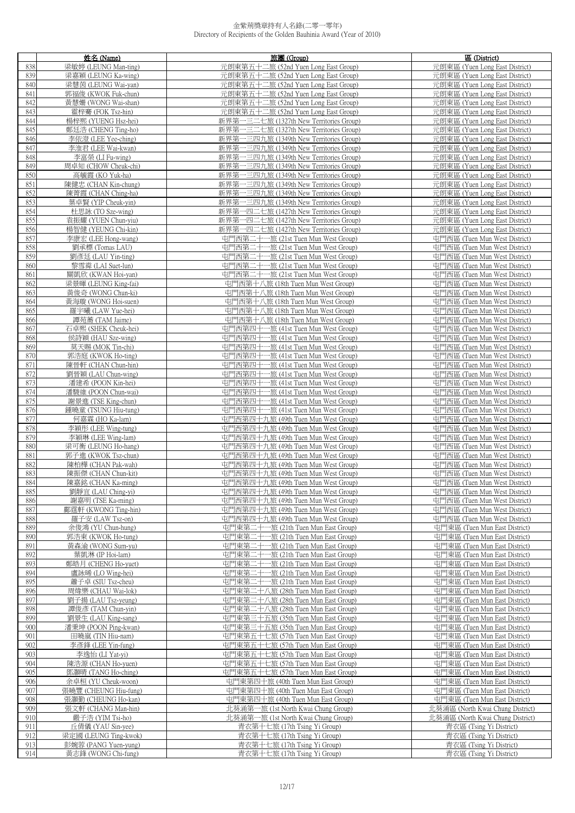|            | 姓名 (Name)                                   | 旅團 (Group)                                                                         | 區 (District)                                                     |
|------------|---------------------------------------------|------------------------------------------------------------------------------------|------------------------------------------------------------------|
| 838        | 梁敏婷 (LEUNG Man-ting)                        | 元朗東第五十二旅 (52nd Yuen Long East Group)                                               | 元朗東區 (Yuen Long East District)                                   |
| 839        | 梁嘉穎 (LEUNG Ka-wing)                         | 元朗東第五十二旅 (52nd Yuen Long East Group)                                               | 元朗東區 (Yuen Long East District)                                   |
| 840        | 梁慧茵 (LEUNG Wai-yan)                         | 元朗東第五十二旅 (52nd Yuen Long East Group)                                               | 元朗東區 (Yuen Long East District)                                   |
| 841        | 郭福俊 (KWOK Fuk-chun)                         | 元朗東第五十二旅 (52nd Yuen Long East Group)                                               | 元朗東區 (Yuen Long East District)                                   |
| 842        | 黃慧姍 (WONG Wai-shan)                         | 元朗東第五十二旅 (52nd Yuen Long East Group)                                               | 元朗東區 (Yuen Long East District)                                   |
| 843        | 霍梓騫 (FOK Tsz-hin)                           | 元朗東第五十二旅 (52nd Yuen Long East Group)                                               | 元朗東區 (Yuen Long East District)                                   |
| 844        | 楊梓熙 (YUENG Hsz-hei)                         | 新界第一三二七旅 (1327th New Territories Group)                                            | 元朗東區 (Yuen Long East District)                                   |
| 845        | 鄭廷浩 (CHENG Ting-ho)<br>李依澄 (LEE Yee-ching)  | 新界第一三二七旅 (1327th New Territories Group)                                            | 元朗東區 (Yuen Long East District)                                   |
| 846<br>847 |                                             | 新界第一三四九旅 (1349th New Territories Group)                                            | 元朗東區 (Yuen Long East District)                                   |
| 848        | 李淮君 (LEE Wai-kwan)<br>李富榮 (LI Fu-wing)      | 新界第一三四九旅 (1349th New Territories Group)<br>新界第一三四九旅 (1349th New Territories Group) | 元朗東區 (Yuen Long East District)<br>元朗東區 (Yuen Long East District) |
| 849        | 周卓知 (CHOW Cheuk-chi)                        | 新界第一三四九旅 (1349th New Territories Group)                                            | 元朗東區 (Yuen Long East District)                                   |
| 850        | 高毓霞 (KO Yuk-ha)                             | 新界第一三四九旅 (1349th New Territories Group)                                            | 元朗東區 (Yuen Long East District)                                   |
| 851        | 陳健忠 (CHAN Kin-chung)                        | 新界第一三四九旅 (1349th New Territories Group)                                            | 元朗東區 (Yuen Long East District)                                   |
| 852        | 陳菁霞 (CHAN Ching-ha)                         | 新界第一三四九旅 (1349th New Territories Group)                                            | 元朗東區 (Yuen Long East District)                                   |
| 853        | 葉卓賢 (YIP Cheuk-yin)                         | 新界第一三四九旅 (1349th New Territories Group)                                            | 元朗東區 (Yuen Long East District)                                   |
| 854        | 杜思詠 (TO Sze-wing)                           | 新界第一四二七旅 (1427th New Territories Group)                                            | 元朗東區 (Yuen Long East District)                                   |
| 855        | 袁振耀 (YUEN Chun-yiu)                         | 新界第一四二七旅 (1427th New Territories Group)                                            | 元朗東區 (Yuen Long East District)                                   |
| 856        | 楊智健 (YEUNG Chi-kin)                         | 新界第一四二七旅 (1427th New Territories Group)                                            | 元朗東區 (Yuen Long East District)                                   |
| 857        | 李康宏 (LEE Hong-wang)                         | 屯門西第二十一旅 (21st Tuen Mun West Group)                                                | 屯門西區 (Tuen Mun West District)                                    |
| 858        | 劉承標 (Tomas LAU)                             | 屯門西第二十一旅 (21st Tuen Mun West Group)                                                | 屯門西區 (Tuen Mun West District)                                    |
| 859        | 劉彥廷 (LAU Yin-ting)                          | 屯門西第二十一旅 (21st Tuen Mun West Group)                                                | 屯門西區 (Tuen Mun West District)                                    |
| 860        | 黎雪粦 (LAI Suet-lun)                          | 屯門西第二十一旅 (21st Tuen Mun West Group)                                                | 屯門西區 (Tuen Mun West District)                                    |
| 861        | 關凱欣 (KWAN Hoi-yan)                          | 屯門西第二十一旅 (21st Tuen Mun West Group)                                                | 屯門西區 (Tuen Mun West District)                                    |
| 862<br>863 | 梁景暉 (LEUNG King-fai)                        | 屯門西第十八旅 (18th Tuen Mun West Group)                                                 | 屯門西區 (Tuen Mun West District)                                    |
| 864        | 黃俊奇 (WONG Chun-ki)<br>黃海璇 (WONG Hoi-suen)   | 屯門西第十八旅 (18th Tuen Mun West Group)<br>屯門西第十八旅 (18th Tuen Mun West Group)           | 屯門西區 (Tuen Mun West District)<br>屯門西區 (Tuen Mun West District)   |
| 865        | 羅宇曦 (LAW Yue-hei)                           | 屯門西第十八旅 (18th Tuen Mun West Group)                                                 | 屯門西區 (Tuen Mun West District)                                    |
| 866        | 譚苑蕎 (TAM Jaime)                             | 屯門西第十八旅 (18th Tuen Mun West Group)                                                 | 屯門西區 (Tuen Mun West District)                                    |
| 867        | 石卓熙 (SHEK Cheuk-hei)                        | 屯門西第四十一旅 (41st Tuen Mun West Group)                                                | 屯門西區 (Tuen Mun West District)                                    |
| 868        | 侯詩穎 (HAU Sze-wing)                          | 屯門西第四十一旅 (41st Tuen Mun West Group)                                                | 屯門西區 (Tuen Mun West District)                                    |
| 869        | 莫天賜 (MOK Tin-chi)                           | 屯門西第四十一旅 (41st Tuen Mun West Group)                                                | 屯門西區 (Tuen Mun West District)                                    |
| 870        | 郭浩庭 (KWOK Ho-ting)                          | 屯門西第四十一旅 (41st Tuen Mun West Group)                                                | 屯門西區 (Tuen Mun West District)                                    |
| 871        | 陳晉軒 (CHAN Chun-hin)                         | 屯門西第四十一旅 (41st Tuen Mun West Group)                                                | 屯門西區 (Tuen Mun West District)                                    |
| 872        | 劉晉穎 (LAU Chun-wing)                         | 屯門西第四十一旅 (41st Tuen Mun West Group)                                                | 屯門西區 (Tuen Mun West District)                                    |
| 873        | 潘建希 (POON Kin-hei)                          | 屯門西第四十一旅 (41st Tuen Mun West Group)                                                | 屯門西區 (Tuen Mun West District)                                    |
| 874        | 潘駿維 (POON Chun-wai)                         | 屯門西第四十一旅 (41st Tuen Mun West Group)                                                | 屯門西區 (Tuen Mun West District)                                    |
| 875<br>876 | 謝景進 (TSE King-chun)<br>鍾曉童 (TSUNG Hiu-tung) | 屯門西第四十一旅 (41st Tuen Mun West Group)<br>屯門西第四十一旅 (41st Tuen Mun West Group)         | 屯門西區 (Tuen Mun West District)<br>屯門西區 (Tuen Mun West District)   |
| 877        | 何嘉霖 (HO Ka-lam)                             | 屯門西第四十九旅 (49th Tuen Mun West Group)                                                | 屯門西區 (Tuen Mun West District)                                    |
| 878        | 李穎彤 (LEE Wing-tung)                         | 屯門西第四十九旅 (49th Tuen Mun West Group)                                                | 屯門西區 (Tuen Mun West District)                                    |
| 879        | 李穎琳 (LEE Wing-lam)                          | 屯門西第四十九旅 (49th Tuen Mun West Group)                                                | 屯門西區 (Tuen Mun West District)                                    |
| 880        | 梁可衡 (LEUNG Ho-hang)                         | 屯門西第四十九旅 (49th Tuen Mun West Group)                                                | 屯門西區 (Tuen Mun West District)                                    |
| 881        | 郭子進 (KWOK Tsz-chun)                         | 屯門西第四十九旅 (49th Tuen Mun West Group)                                                | 屯門西區 (Tuen Mun West District)                                    |
| 882        | 陳柏樺 (CHAN Pak-wah)                          | 屯門西第四十九旅 (49th Tuen Mun West Group)                                                | 屯門西區 (Tuen Mun West District)                                    |
| 883        | 陳振傑 (CHAN Chun-kit)                         | 屯門西第四十九旅 (49th Tuen Mun West Group)                                                | 屯門西區 (Tuen Mun West District)                                    |
| 884        | 陳嘉銘 (CHAN Ka-ming)                          | 屯門西第四十九旅 (49th Tuen Mun West Group)                                                | 屯門西區 (Tuen Mun West District)                                    |
| 885        | 劉靜宜 (LAU Ching-yi)                          | 屯門西第四十九旅 (49th Tuen Mun West Group)                                                | 屯門西區 (Tuen Mun West District)                                    |
| 886<br>887 | 謝嘉明 (TSE Ka-ming)<br>鄺霆軒 (KWONG Ting-hin)   | 屯門西第四十九旅 (49th Tuen Mun West Group)<br>屯門西第四十九旅 (49th Tuen Mun West Group)         | 屯門西區 (Tuen Mun West District)<br>屯門西區 (Tuen Mun West District)   |
| 888        | 羅子安 (LAW Tsz-on)                            | 屯門西第四十九旅 (49th Tuen Mun West Group)                                                | 屯門西區 (Tuen Mun West District)                                    |
| 889        | 余俊鴻 (YU Chun-hung)                          | 屯門東第二十一旅 (21th Tuen Mun East Group)                                                | 屯門東區 (Tuen Mun East District)                                    |
| 890        | 郭浩東 (KWOK Ho-tung)                          | 屯門東第二十一旅 (21th Tuen Mun East Group)                                                | 屯門東區 (Tuen Mun East District)                                    |
| 891        | 黃森渝 (WONG Sum-yu)                           | 屯門東第二十一旅 (21th Tuen Mun East Group)                                                | 屯門東區 (Tuen Mun East District)                                    |
| 892        | 葉凱淋 (IP Hoi-lam)                            | 屯門東第二十一旅 (21th Tuen Mun East Group)                                                | 屯門東區 (Tuen Mun East District)                                    |
| 893        | 鄭皓月 (CHENG Ho-yuet)                         | 屯門東第二十一旅 (21th Tuen Mun East Group)                                                | 屯門東區 (Tuen Mun East District)                                    |
| 894        | 盧詠晞 (LO Wing-hei)                           | 屯門東第二十一旅 (21th Tuen Mun East Group)                                                | 屯門東區 (Tuen Mun East District)                                    |
| 895        | 蕭子卓 (SIU Tsz-cheu)                          | 屯門東第二十一旅 (21th Tuen Mun East Group)                                                | 屯門東區 (Tuen Mun East District)                                    |
| 896        | 周煒樂 (CHAU Wai-lok)                          | 屯門東第二十八旅 (28th Tuen Mun East Group)                                                | 屯門東區 (Tuen Mun East District)                                    |
| 897        | 劉子揚 (LAU Tsz-yeung)                         | 屯門東第二十八旅 (28th Tuen Mun East Group)                                                | 屯門東區 (Tuen Mun East District)                                    |
| 898<br>899 | 譚俊彥 (TAM Chun-yin)<br>劉景生 (LAU King-sang)   | 屯門東第二十八旅 (28th Tuen Mun East Group)<br>屯門東第三十五旅 (35th Tuen Mun East Group)         | 屯門東區 (Tuen Mun East District)<br>屯門東區 (Tuen Mun East District)   |
| 900        | 潘秉坤 (POON Ping-kwan)                        | 屯門東第三十五旅 (35th Tuen Mun East Group)                                                | 屯門東區 (Tuen Mun East District)                                    |
| 901        | 田曉嵐 (TIN Hiu-nam)                           | 屯門東第五十七旅 (57th Tuen Mun East Group)                                                | 屯門東區 (Tuen Mun East District)                                    |
| 902        | 李彥鋒 (LEE Yin-fung)                          | 屯門東第五十七旅 (57th Tuen Mun East Group)                                                | 屯門東區 (Tuen Mun East District)                                    |
| 903        | 李逸怡 (LI Yat-yi)                             | 屯門東第五十七旅 (57th Tuen Mun East Group)                                                | 屯門東區 (Tuen Mun East District)                                    |
| 904        | 陳浩源 (CHAN Ho-yuen)                          | 屯門東第五十七旅 (57th Tuen Mun East Group)                                                | 屯門東區 (Tuen Mun East District)                                    |
| 905        | 鄧灝晴 (TANG Ho-ching)                         | 屯門東第五十七旅 (57th Tuen Mun East Group)                                                | 屯門東區 (Tuen Mun East District)                                    |
| 906        | 余卓桓 (YU Cheuk-woon)                         | 屯門東第四十旅 (40th Tuen Mun East Group)                                                 | 屯門東區 (Tuen Mun East District)                                    |
| 907        | 張曉豐 (CHEUNG Hiu-fung)                       | 屯門東第四十旅 (40th Tuen Mun East Group)                                                 | 屯門東區 (Tuen Mun East District)                                    |
| 908        | 張灝勤 (CHEUNG Ho-kan)                         | 屯門東第四十旅 (40th Tuen Mun East Group)                                                 | 屯門東區 (Tuen Mun East District)                                    |
| 909        | 張文軒 (CHANG Man-hin)                         | 北葵涌第一旅 (1st North Kwai Chung Group)                                                | 北葵涌區 (North Kwai Chung District)                                 |
| 910<br>911 | 嚴子浩 (YIM Tsi-ho)<br>丘倩儀 (YAU Sin-yee)       | 北葵涌第一旅 (1st North Kwai Chung Group)<br>青衣第十七旅 (17th Tsing Yi Group)                | 北葵涌區 (North Kwai Chung District)<br>青衣區 (Tsing Yi District)      |
| 912        | 梁定國 (LEUNG Ting-kwok)                       | 青衣第十七旅 (17th Tsing Yi Group)                                                       | 青衣區 (Tsing Yi District)                                          |
| 913        | 彭婉蓉 (PANG Yuen-yung)                        | 青衣第十七旅 (17th Tsing Yi Group)                                                       | 青衣區 (Tsing Yi District)                                          |
| 914        | 黃志鋒 (WONG Chi-fung)                         | 青衣第十七旅 (17th Tsing Yi Group)                                                       | 青衣區 (Tsing Yi District)                                          |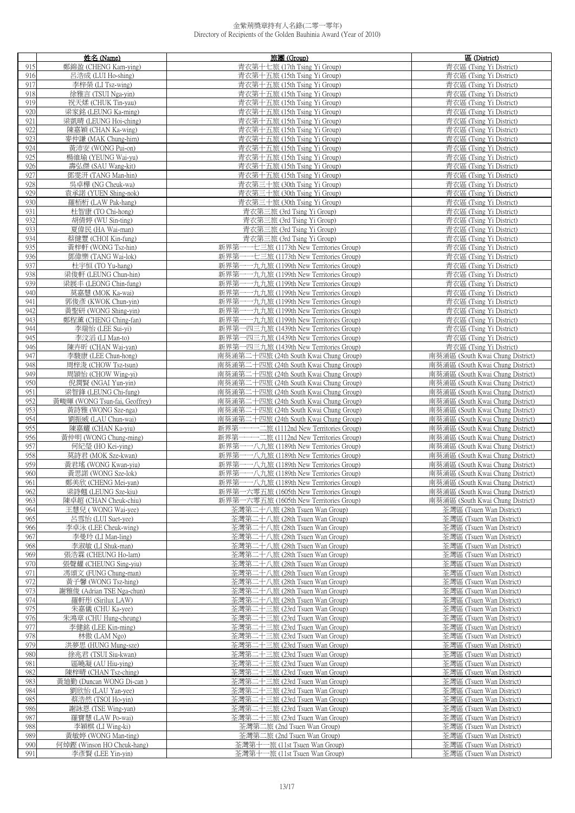|            | 姓名 (Name)                                | 旅團 (Group)                                                                         | 區 (District)                                         |
|------------|------------------------------------------|------------------------------------------------------------------------------------|------------------------------------------------------|
| 915        | 鄭錦盈 (CHENG Kam-ying)                     | 青衣第十七旅 (17th Tsing Yi Group)                                                       | 青衣區 (Tsing Yi District)                              |
| 916        | 呂浩成 (LUI Ho-shing)                       | 青衣第十五旅 (15th Tsing Yi Group)                                                       | 青衣區 (Tsing Yi District)                              |
| 917        | 李梓榮 (LI Tsz-wing)                        | 青衣第十五旅 (15th Tsing Yi Group)                                                       | 青衣區 (Tsing Yi District)                              |
| 918        | 徐雅言 (TSUI Nga-yin)                       | 青衣第十五旅 (15th Tsing Yi Group)                                                       | 青衣區 (Tsing Yi District)                              |
| 919        | 祝天煣 (CHUK Tin-yau)                       | 青衣第十五旅 (15th Tsing Yi Group)                                                       | 青衣區 (Tsing Yi District)                              |
| 920        | 梁家銘 (LEUNG Ka-ming)                      | 青衣第十五旅 (15th Tsing Yi Group)                                                       | 青衣區 (Tsing Yi District)                              |
| 921        | 梁凱晴 (LEUNG Hoi-ching)                    | 青衣第十五旅 (15th Tsing Yi Group)                                                       | 青衣區 (Tsing Yi District)                              |
| 922        | 陳嘉穎 (CHAN Ka-wing)                       | 青衣第十五旅 (15th Tsing Yi Group)                                                       | 青衣區 (Tsing Yi District)                              |
| 923        | 麥仲謙 (MAK Chung-him)                      | 青衣第十五旅 (15th Tsing Yi Group)                                                       | 青衣區 (Tsing Yi District)                              |
| 924        | 黃沛安 (WONG Pui-on)                        | 青衣第十五旅 (15th Tsing Yi Group)                                                       | 青衣區 (Tsing Yi District)                              |
| 925        | 楊維瑜 (YEUNG Wai-yu)                       | 青衣第十五旅 (15th Tsing Yi Group)                                                       | 青衣區 (Tsing Yi District)                              |
| 926        | 壽弘傑 (SAU Wang-kit)                       | 青衣第十五旅 (15th Tsing Yi Group)                                                       | 青衣區 (Tsing Yi District)                              |
| 927        | 鄧雯汧 (TANG Man-hin)                       | 青衣第十五旅 (15th Tsing Yi Group)                                                       | 青衣區 (Tsing Yi District)                              |
| 928        | 吳卓樺 (NG Cheuk-wa)                        | 青衣第三十旅 (30th Tsing Yi Group)                                                       | 青衣區 (Tsing Yi District)                              |
| 929        | 袁承諾 (YUEN Shing-nok)                     | 青衣第三十旅 (30th Tsing Yi Group)                                                       | 青衣區 (Tsing Yi District)                              |
| 930        | 羅栢桁 (LAW Pak-hang)                       | 青衣第三十旅 (30th Tsing Yi Group)                                                       | 青衣區 (Tsing Yi District)                              |
| 931        | 杜智康 (TO Chi-hong)                        | 青衣第三旅 (3rd Tsing Yi Group)                                                         | 青衣區 (Tsing Yi District)                              |
| 932        | 胡倩婷 (WU Sin-ting)                        | 青衣第三旅 (3rd Tsing Yi Group)                                                         | 青衣區 (Tsing Yi District)                              |
| 933        | 夏偉民 (HA Wai-man)                         | 青衣第三旅 (3rd Tsing Yi Group)                                                         | 青衣區 (Tsing Yi District)                              |
| 934        | 蔡健豐 (CHOI Kin-fung)                      | 青衣第三旅 (3rd Tsing Yi Group)                                                         | 青衣區 (Tsing Yi District)                              |
| 935        | 黃梓軒 (WONG Tsz-hin)                       | 新界第一一七三旅 (1173th New Territories Group)                                            | 青衣區 (Tsing Yi District)                              |
| 936        |                                          |                                                                                    |                                                      |
| 937        | 鄧偉樂 (TANG Wai-lok)<br>杜宇恒 (TO Yu-hang)   | 新界第一一七三旅 (1173th New Territories Group)<br>新界第一一九九旅 (1199th New Territories Group) | 青衣區 (Tsing Yi District)<br>青衣區 (Tsing Yi District)   |
| 938        | 梁俊軒 (LEUNG Chun-hin)                     | 新界第一一九九旅 (1199th New Territories Group)                                            | 青衣區 (Tsing Yi District)                              |
| 939        | 梁展丰 (LEONG Chin-fung)                    | 新界第一一九九旅 (1199th New Territories Group)                                            | 青衣區 (Tsing Yi District)                              |
| 940        |                                          | 新界第-                                                                               |                                                      |
| 941        | 莫嘉慧 (MOK Ka-wai)<br>郭俊彥 (KWOK Chun-yin)  | 一一九九旅 (1199th New Territories Group)<br>新界第一一九九旅 (1199th New Territories Group)    | 青衣區 (Tsing Yi District)<br>青衣區 (Tsing Yi District)   |
| 942        | 黃聖研 (WONG Shing-yin)                     | 新界第一一九九旅 (1199th New Territories Group)                                            | 青衣區 (Tsing Yi District)                              |
| 943        | 鄭程薰 (CHENG Ching-fan)                    | 新界第一一九九旅 (1199th New Territories Group)                                            | 青衣區 (Tsing Yi District)                              |
| 944        | 李瑞怡 (LEE Sui-yi)                         | 新界第一四三九旅 (1439th New Territories Group)                                            | 青衣區 (Tsing Yi District)                              |
| 945        | 李汶滔 (LI Man-to)                          | 新界第一四三九旅 (1439th New Territories Group)                                            | 青衣區 (Tsing Yi District)                              |
| 946        | 陳卉昕 (CHAN Wai-yan)                       | 新界第一四三九旅 (1439th New Territories Group)                                            | 青衣區 (Tsing Yi District)                              |
| 947        | 李駿康 (LEE Chun-hong)                      | 南葵涌第二十四旅 (24th South Kwai Chung Group)                                             | 南葵涌區 (South Kwai Chung District)                     |
| 948        | 周梓浚 (CHOW Tsz-tsun)                      | 南葵涌第二十四旅 (24th South Kwai Chung Group)                                             | 南葵涌區 (South Kwai Chung District)                     |
| 949        | 周頴怡 (CHOW Wing-yi)                       | 南葵涌第二十四旅 (24th South Kwai Chung Group)                                             | 南葵涌區 (South Kwai Chung District)                     |
| 950        | 倪潤賢 (NGAI Yun-yin)                       | 南葵涌第二十四旅 (24th South Kwai Chung Group)                                             | 南葵涌區 (South Kwai Chung District)                     |
| 951        | 梁智鋒 (LEUNG Chi-fung)                     | 南葵涌第二十四旅 (24th South Kwai Chung Group)                                             | 南葵涌區 (South Kwai Chung District)                     |
| 952        | 黃畯暉 (WONG Tsun-fai, Geoffrey)            | 南葵涌第二十四旅 (24th South Kwai Chung Group)                                             | 南葵涌區 (South Kwai Chung District)                     |
| 953        | 黃詩雅 (WONG Sze-nga)                       | 南葵涌第二十四旅 (24th South Kwai Chung Group)                                             | 南葵涌區 (South Kwai Chung District)                     |
| 954        | 劉振威 (LAU Chun-wai)                       | 南葵涌第二十四旅 (24th South Kwai Chung Group)                                             | 南葵涌區 (South Kwai Chung District)                     |
| 955        | 陳嘉耀 (CHAN Ka-yiu)                        | 新界第一一一二旅 (1112nd New Territories Group)                                            | 南葵涌區 (South Kwai Chung District)                     |
| 956        | 黃仲明 (WONG Chung-ming)                    | ——— 二旅 (1112nd New Territories Group)<br>新界第                                       | 南葵涌區 (South Kwai Chung District)                     |
| 957        | 何紀瑩 (HO Kei-ying)                        | 新界第一一八九旅 (1189th New Territories Group)                                            | 南葵涌區 (South Kwai Chung District)                     |
| 958        | 莫詩君 (MOK Sze-kwan)                       | 新界第一一八九旅 (1189th New Territories Group)                                            | 南葵涌區 (South Kwai Chung District)                     |
| 959        | 黃君瑤 (WONG Kwan-yiu)                      | 新界第一一八九旅 (1189th New Territories Group)                                            | 南葵涌區 (South Kwai Chung District)                     |
| 960        | 黃思諾 (WONG Sze-lok)                       | 新界第一一八九旅 (1189th New Territories Group)                                            | 南葵涌區 (South Kwai Chung District)                     |
| 961        | 鄭美欣 (CHENG Mei-yan)                      | 新界第一一八九旅 (1189th New Territories Group)                                            | 南葵涌區 (South Kwai Chung District)                     |
| 962        | 梁詩翹 (LEUNG Sze-kiu)                      | 新界第一六零五旅 (1605th New Territories Group)                                            | 南葵涌區 (South Kwai Chung District)                     |
| 963        | 陳卓超 (CHAN Cheuk-chiu)                    | 新界第一六零五旅 (1605th New Territories Group)                                            | 南葵涌區 (South Kwai Chung District)                     |
| 964<br>965 | 王慧兒 (WONG Wai-yee)<br>呂雪怡 (LUI Suet-yee) | 荃灣第二十八旅 (28th Tsuen Wan Group)<br>荃灣第二十八旅 (28th Tsuen Wan Group)                   | 荃灣區 (Tsuen Wan District)<br>荃灣區 (Tsuen Wan District) |
| 966        | 李卓泳 (LEE Cheuk-wing)                     | 荃灣第二十八旅 (28th Tsuen Wan Group)                                                     | 荃灣區 (Tsuen Wan District)                             |
| 967        | 李曼玲 (LI Man-ling)                        | 荃灣第二十八旅 (28th Tsuen Wan Group)                                                     | 荃灣區 (Tsuen Wan District)                             |
| 968        | 李淑敏 (LI Shuk-man)                        | 荃灣第二十八旅 (28th Tsuen Wan Group)                                                     | 荃灣區 (Tsuen Wan District)                             |
| 969        | 張浩霖 (CHEUNG Ho-lam)                      | 荃灣第二十八旅 (28th Tsuen Wan Group)                                                     | 荃灣區 (Tsuen Wan District)                             |
| 970        | 張聲耀 (CHEUNG Sing-yiu)                    | 荃灣第二十八旅 (28th Tsuen Wan Group)                                                     | 荃灣區 (Tsuen Wan District)                             |
| 971        | 馮頌文 (FUNG Chung-man)                     | 荃灣第二十八旅 (28th Tsuen Wan Group)                                                     | 荃灣區 (Tsuen Wan District)                             |
| 972        | 黃子馨 (WONG Tsz-hing)                      | 荃灣第二十八旅 (28th Tsuen Wan Group)                                                     | 荃灣區 (Tsuen Wan District)                             |
| 973        | 謝雅俊 (Adrian TSE Nga-chun)                | 荃灣第二十八旅 (28th Tsuen Wan Group)                                                     | 荃灣區 (Tsuen Wan District)                             |
| 974        | 羅軒彤 (Sirilux LAW)                        | 荃灣第二十八旅 (28th Tsuen Wan Group)                                                     | 荃灣區 (Tsuen Wan District)                             |
| 975        | 朱嘉儀 (CHU Ka-yee)                         | 荃灣第二十三旅 (23rd Tsuen Wan Group)                                                     | 荃灣區 (Tsuen Wan District)                             |
| 976        | 朱鴻章 (CHU Hung-cheung)                    | 荃灣第二十三旅 (23rd Tsuen Wan Group)                                                     | 荃灣區 (Tsuen Wan District)                             |
| 977        | 李健銘 (LEE Kin-ming)                       | 荃灣第二十三旅 (23rd Tsuen Wan Group)                                                     | 荃灣區 (Tsuen Wan District)                             |
| 978        | 林傲 (LAM Ngo)                             | 荃灣第二十三旅 (23rd Tsuen Wan Group)                                                     | 荃灣區 (Tsuen Wan District)                             |
| 979        | 洪夢思 (HUNG Mung-sze)                      | 荃灣第二十三旅 (23rd Tsuen Wan Group)                                                     | 荃灣區 (Tsuen Wan District)                             |
| 980        | 徐兆君 (TSUI Siu-kwan)                      | 荃灣第二十三旅 (23rd Tsuen Wan Group)                                                     | 荃灣區 (Tsuen Wan District)                             |
| 981        | 區曉凝 (AU Hiu-ying)                        | 荃灣第二十三旅 (23rd Tsuen Wan Group)                                                     | 荃灣區 (Tsuen Wan District)                             |
| 982        | 陳梓晴 (CHAN Tsz-ching)                     | 荃灣第二十三旅 (23rd Tsuen Wan Group)                                                     | 荃灣區 (Tsuen Wan District)                             |
| 983        | 黃廸勤 (Duncan WONG Di-can)                 | 荃灣第二十三旅 (23rd Tsuen Wan Group)                                                     | 荃灣區 (Tsuen Wan District)                             |
| 984        | 劉欣怡 (LAU Yan-yee)                        | 荃灣第二十三旅 (23rd Tsuen Wan Group)                                                     | 荃灣區 (Tsuen Wan District)                             |
| 985        | 蔡浩然 (TSOI Ho-yin)                        | 荃灣第二十三旅 (23rd Tsuen Wan Group)                                                     | 荃灣區 (Tsuen Wan District)                             |
| 986        | 謝詠恩 (TSE Wing-yan)                       | 荃灣第二十三旅 (23rd Tsuen Wan Group)                                                     | 荃灣區 (Tsuen Wan District)                             |
| 987        | 羅寶慧 (LAW Po-wai)                         | 荃灣第二十三旅 (23rd Tsuen Wan Group)                                                     | 荃灣區 (Tsuen Wan District)                             |
| 988<br>989 | 李穎棋 (LI Wing-ki)<br>黃敏婷 (WONG Man-ting)  | 荃灣第二旅 (2nd Tsuen Wan Group)<br>荃灣第二旅 (2nd Tsuen Wan Group)                         | 荃灣區 (Tsuen Wan District)<br>荃灣區 (Tsuen Wan District) |
| 990        | 何焯鏗 (Winson HO Cheuk-hang)               | 荃灣第十一旅 (11st Tsuen Wan Group)                                                      | 荃灣區 (Tsuen Wan District)                             |
| 991        | 李彥賢 (LEE Yin-yin)                        | 荃灣第十一旅 (11st Tsuen Wan Group)                                                      | 荃灣區 (Tsuen Wan District)                             |
|            |                                          |                                                                                    |                                                      |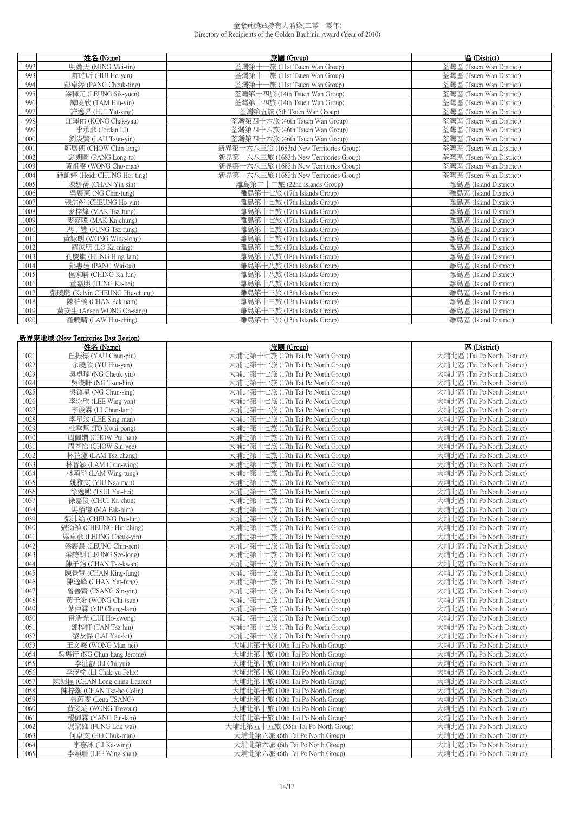|      | 姓名 (Name)                     | 旅團 (Group)                              | 區 (District)             |
|------|-------------------------------|-----------------------------------------|--------------------------|
| 992  | 明媚天 (MING Mei-tin)            | 荃灣第十<br>-旅 (11st Tsuen Wan Group)       | 荃灣區 (Tsuen Wan District) |
| 993  | 許晧昕 (HUI Ho-yan)              | 荃灣第十一旅 (11st Tsuen Wan Group)           | 荃灣區 (Tsuen Wan District) |
| 994  | 彭卓婷 (PANG Cheuk-ting)         | 荃灣第十一旅 (11st Tsuen Wan Group)           | 荃灣區 (Tsuen Wan District) |
| 995  | 梁釋元 (LEUNG Sik-yuen)          | 荃灣第十四旅 (14th Tsuen Wan Group)           | 荃灣區 (Tsuen Wan District) |
| 996  | 譚曉欣 (TAM Hiu-yin)             | 荃灣第十四旅 (14th Tsuen Wan Group)           | 荃灣區 (Tsuen Wan District) |
| 997  | 許逸昇 (HUI Yat-sing)            | 荃灣第五旅 (5th Tsuen Wan Group)             | 荃灣區 (Tsuen Wan District) |
| 998  | 江澤佑 (KONG Chak-yau)           | 荃灣第四十六旅 (46th Tsuen Wan Group)          | 荃灣區 (Tsuen Wan District) |
| 999  | 李承彥 (Jordan LI)               | 荃灣第四十六旅 (46th Tsuen Wan Group)          | 荃灣區 (Tsuen Wan District) |
| 1000 | 劉浚賢 (LAU Tsun-yin)            | 荃灣第四十六旅 (46th Tsuen Wan Group)          | 荃灣區 (Tsuen Wan District) |
| 1001 | 鄒展朗 (CHOW Chin-long)          | 新界第一六八三旅 (1683rd New Territories Group) | 荃灣區 (Tsuen Wan District) |
| 1002 | 彭朗圖 (PANG Long-to)            | 新界第一六八三旅 (1683th New Territories Group) | 荃灣區 (Tsuen Wan District) |
| 1003 | 黃祖雯 (WONG Cho-man)            | 新界第一六八三旅 (1683th New Territories Group) | 荃灣區 (Tsuen Wan District) |
| 1004 | 鍾凱婷 (Heidi CHUNG Hoi-ting)    | 新界第一六八三旅 (1683th New Territories Group) | 荃灣區 (Tsuen Wan District) |
| 1005 | 陳妍蒨 (CHAN Yin-sin)            | 離島第二十二旅 (22nd Islands Group)            | 離島區 (Island District)    |
| 1006 | 吳展東 (NG Chin-tung)            | 離島第十七旅 (17th Islands Group)             | 離島區 (Island District)    |
| 1007 | 張浩然 (CHEUNG Ho-vin)           | 離島第十七旅 (17th Islands Group)             | 離島區 (Island District)    |
| 1008 | 麥梓烽 (MAK Tsz-fung)            | 離島第十七旅 (17th Islands Group)             | 離島區 (Island District)    |
| 1009 | 麥嘉聰 (MAK Ka-chung)            | 離島第十七旅 (17th Islands Group)             | 離島區 (Island District)    |
| 1010 | 馮子豐 (FUNG Tsz-fung)           | 離島第十七旅 (17th Islands Group)             | 離島區 (Island District)    |
| 1011 | 黃詠朗 (WONG Wing-long)          | 離島第十七旅 (17th Islands Group)             | 離島區 (Island District)    |
| 1012 | 羅家明 (LO Ka-ming)              | 離島第十七旅 (17th Islands Group)             | 離島區 (Island District)    |
| 1013 | 孔慶嵐 (HUNG Hing-lam)           | 離島第十八旅 (18th Islands Group)             | 離島區 (Island District)    |
| 1014 | 彭惠達 (PANG Wai-tai)            | 離島第十八旅 (18th Islands Group)             | 離島區 (Island District)    |
| 1015 | 程家麟 (CHING Ka-lun)            | 離島第十八旅 (18th Islands Group)             | 離島區 (Island District)    |
| 1016 | 董嘉熙 (TUNG Ka-hei)             | 離島第十八旅 (18th Islands Group)             | 離島區 (Island District)    |
| 1017 | 張曉聰 (Kelvin CHEUNG Hiu-chung) | 離島第十三旅 (13th Islands Group)             | 離島區 (Island District)    |
| 1018 | 陳柏楠 (CHAN Pak-nam)            | 離島第十三旅 (13th Islands Group)             | 離島區 (Island District)    |
| 1019 | 黃安生 (Anson WONG On-sang)      | 離島第十三旅 (13th Islands Group)             | 離島區 (Island District)    |
| 1020 | 羅曉晴 (LAW Hiu-ching)           | 離島第十三旅 (13th Islands Group)             | 離島區 (Island District)    |

|      | 新界東地域 (New Territories East Region) |                                    |                              |  |
|------|-------------------------------------|------------------------------------|------------------------------|--|
|      | 姓名 (Name)                           | 旅團 (Group)                         | 區 (District)                 |  |
| 1021 | 丘振標 (YAU Chun-piu)                  | 大埔北第十七旅 (17th Tai Po North Group)  | 大埔北區 (Tai Po North District) |  |
| 1022 | 余曉欣 (YU Hiu-yan)                    | 大埔北第十七旅 (17th Tai Po North Group)  | 大埔北區 (Tai Po North District) |  |
| 1023 | 吳卓瑤 (NG Cheuk-yiu)                  | 大埔北第十七旅 (17th Tai Po North Group)  | 大埔北區 (Tai Po North District) |  |
| 1024 | 吳浚軒 (NG Tsun-hin)                   | 大埔北第十七旅 (17th Tai Po North Group)  | 大埔北區 (Tai Po North District) |  |
| 1025 | 吳鎮星 (NG Chun-sing)                  | 大埔北第十七旅 (17th Tai Po North Group)  | 大埔北區 (Tai Po North District) |  |
| 1026 | 李泳欣 (LEE Wing-yan)                  | 大埔北第十七旅 (17th Tai Po North Group)  | 大埔北區 (Tai Po North District) |  |
| 1027 | 李俊霖 (LI Chun-lam)                   | 大埔北第十七旅 (17th Tai Po North Group)  | 大埔北區 (Tai Po North District) |  |
| 1028 | 李星汶 (LEE Sing-man)                  | 大埔北第十七旅 (17th Tai Po North Group)  | 大埔北區 (Tai Po North District) |  |
| 1029 | 杜季幫 (TO Kwai-pong)                  | 大埔北第十七旅 (17th Tai Po North Group)  | 大埔北區 (Tai Po North District) |  |
| 1030 | 周佩嫻 (CHOW Pui-han)                  | 大埔北第十七旅 (17th Tai Po North Group)  | 大埔北區 (Tai Po North District) |  |
| 1031 | 周善怡 (CHOW Sin-yee)                  | 大埔北第十七旅 (17th Tai Po North Group)  | 大埔北區 (Tai Po North District) |  |
| 1032 | 林芷澄 (LAM Tsz-chang)                 | 大埔北第十七旅 (17th Tai Po North Group)  | 大埔北區 (Tai Po North District) |  |
| 1033 | 林晉潁 (LAM Chun-wing)                 | 大埔北第十七旅 (17th Tai Po North Group)  | 大埔北區 (Tai Po North District) |  |
| 1034 | 林穎彤 (LAM Wing-tung)                 | 大埔北第十七旅 (17th Tai Po North Group)  | 大埔北區 (Tai Po North District) |  |
| 1035 | 姚雅文 (YIU Nga-man)                   | 大埔北第十七旅 (17th Tai Po North Group)  | 大埔北區 (Tai Po North District) |  |
| 1036 | 徐逸熙 (TSUI Yat-hei)                  | 大埔北第十七旅 (17th Tai Po North Group)  | 大埔北區 (Tai Po North District) |  |
| 1037 | 徐嘉俊 (CHUI Ka-chun)                  | 大埔北第十七旅 (17th Tai Po North Group)  | 大埔北區 (Tai Po North District) |  |
| 1038 | 馬栢謙 (MA Pak-him)                    | 大埔北第十七旅 (17th Tai Po North Group)  | 大埔北區 (Tai Po North District) |  |
| 1039 | 張沛綸 (CHEUNG Pui-lun)                | 大埔北第十七旅 (17th Tai Po North Group)  | 大埔北區 (Tai Po North District) |  |
| 1040 | 張衍禎 (CHEUNG Hin-ching)              | 大埔北第十七旅 (17th Tai Po North Group)  | 大埔北區 (Tai Po North District) |  |
| 1041 | 梁卓彥 (LEUNG Cheuk-yin)               | 大埔北第十七旅 (17th Tai Po North Group)  | 大埔北區 (Tai Po North District) |  |
| 1042 | 梁展晨 (LEUNG Chin-sen)                | 大埔北第十七旅 (17th Tai Po North Group)  | 大埔北區 (Tai Po North District) |  |
| 1043 | 梁詩朗 (LEUNG Sze-long)                | 大埔北第十七旅 (17th Tai Po North Group)  | 大埔北區 (Tai Po North District) |  |
| 1044 | 陳子鈞 (CHAN Tsz-kwan)                 | 大埔北第十七旅 (17th Tai Po North Group)  | 大埔北區 (Tai Po North District) |  |
| 1045 | 陳景豐 (CHAN King-fung)                | 大埔北第十七旅 (17th Tai Po North Group)  | 大埔北區 (Tai Po North District) |  |
| 1046 | 陳逸峰 (CHAN Yat-fung)                 | 大埔北第十七旅 (17th Tai Po North Group)  | 大埔北區 (Tai Po North District) |  |
| 1047 | 曾善賢 (TSANG Sin-yin)                 | 大埔北第十七旅 (17th Tai Po North Group)  | 大埔北區 (Tai Po North District) |  |
| 1048 | 黃子浚 (WONG Chi-tsun)                 | 大埔北第十七旅 (17th Tai Po North Group)  | 大埔北區 (Tai Po North District) |  |
| 1049 | 葉仲霖 (YIP Chung-lam)                 | 大埔北第十七旅 (17th Tai Po North Group)  | 大埔北區 (Tai Po North District) |  |
| 1050 | 雷浩光 (LUI Ho-kwong)                  | 大埔北第十七旅 (17th Tai Po North Group)  | 大埔北區 (Tai Po North District) |  |
| 1051 | 鄧梓軒 (TAN Tsz-hin)                   | 大埔北第十七旅 (17th Tai Po North Group)  | 大埔北區 (Tai Po North District) |  |
| 1052 | 黎友傑 (LAI Yau-kit)                   | 大埔北第十七旅 (17th Tai Po North Group)  | 大埔北區 (Tai Po North District) |  |
| 1053 | 王文羲 (WONG Man-hei)                  | 大埔北第十旅 (10th Tai Po North Group)   | 大埔北區 (Tai Po North District) |  |
| 1054 | 吳雋行 (NG Chun-hang Jerome)           | 大埔北第十旅 (10th Tai Po North Group)   | 大埔北區 (Tai Po North District) |  |
| 1055 | 李沚叡 (LI Chi-yui)                    | 大埔北第十旅 (10th Tai Po North Group)   | 大埔北區 (Tai Po North District) |  |
| 1056 | 李澤榆 (LI Chak-yu Felix)              | 大埔北第十旅 (10th Tai Po North Group)   | 大埔北區 (Tai Po North District) |  |
| 1057 | 陳朗程 (CHAN Long-ching Lauren)        | 大埔北第十旅 (10th Tai Po North Group)   | 大埔北區 (Tai Po North District) |  |
| 1058 | 陳梓灝 (CHAN Tsz-ho Colin)             | 大埔北第十旅 (10th Tai Po North Group)   | 大埔北區 (Tai Po North District) |  |
| 1059 | 曾蔚雯 (Lena TSANG)                    | 大埔北第十旅 (10th Tai Po North Group)   | 大埔北區 (Tai Po North District) |  |
| 1060 | 黃俊瑜 (WONG Trevour)                  | 大埔北第十旅 (10th Tai Po North Group)   | 大埔北區 (Tai Po North District) |  |
| 1061 | 楊佩霖 (YANG Pui-lam)                  | 大埔北第十旅 (10th Tai Po North Group)   | 大埔北區 (Tai Po North District) |  |
| 1062 | 馮樂維 (FUNG Lok-wai)                  | 大埔北第五十五旅 (55th Tai Po North Group) | 大埔北區 (Tai Po North District) |  |
| 1063 | 何卓文 (HO Chuk-man)                   | 大埔北第六旅 (6th Tai Po North Group)    | 大埔北區 (Tai Po North District) |  |
| 1064 | 李嘉詠 (LI Ka-wing)                    | 大埔北第六旅 (6th Tai Po North Group)    | 大埔北區 (Tai Po North District) |  |
| 1065 | 李穎珊 (LEE Wing-shan)                 | 大埔北第六旅 (6th Tai Po North Group)    | 大埔北區 (Tai Po North District) |  |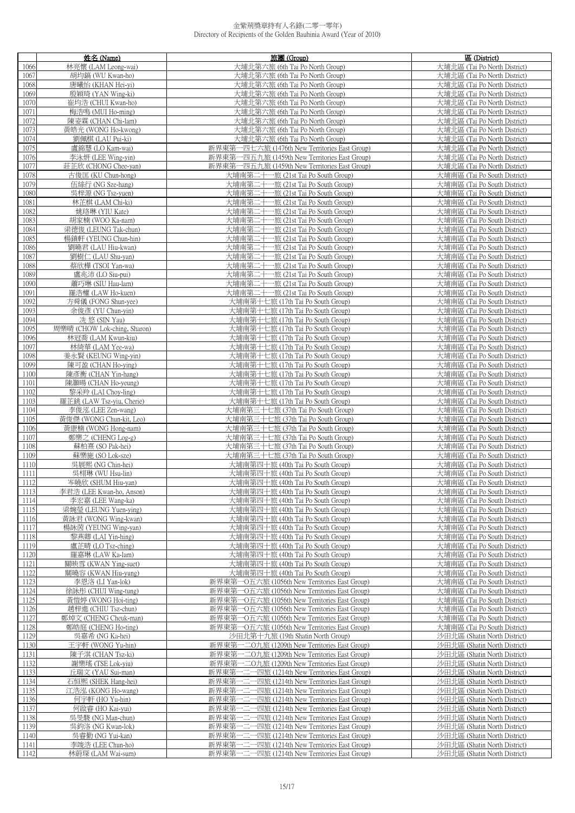|              | 姓名 (Name)                                  | 旅團 (Group)                                                                                     | 區 (District)                                                 |
|--------------|--------------------------------------------|------------------------------------------------------------------------------------------------|--------------------------------------------------------------|
| 1066         | 林亮懷 (LAM Leong-wai)                        | 大埔北第六旅 (6th Tai Po North Group)                                                                | 大埔北區 (Tai Po North District)                                 |
| 1067         | 胡均鎬 (WU Kwan-ho)                           | 大埔北第六旅 (6th Tai Po North Group)                                                                | 大埔北區 (Tai Po North District)                                 |
| 1068         | 唐曦怡 (KHAN Hei-yi)                          | 大埔北第六旅 (6th Tai Po North Group)                                                                | 大埔北區 (Tai Po North District)                                 |
| 1069         | 殷穎琦 (YAN Wing-ki)                          | 大埔北第六旅 (6th Tai Po North Group)                                                                | 大埔北區 (Tai Po North District)                                 |
| 1070         | 崔均浩 (CHUI Kwan-ho)                         | 大埔北第六旅 (6th Tai Po North Group)                                                                | 大埔北區 (Tai Po North District)                                 |
| 1071         | 梅浩鳴 (MUI Ho-ming)                          | 大埔北第六旅 (6th Tai Po North Group)                                                                | 大埔北區 (Tai Po North District)                                 |
| 1072         | 陳姿霖 (CHAN Chi-lam)                         | 大埔北第六旅 (6th Tai Po North Group)                                                                | 大埔北區 (Tai Po North District)                                 |
| 1073         | 黃皓光 (WONG Ho-kwong)                        | 大埔北第六旅 (6th Tai Po North Group)                                                                | 大埔北區 (Tai Po North District)                                 |
| 1074         | 劉佩棋 (LAU Pui-ki)                           | 大埔北第六旅 (6th Tai Po North Group)                                                                | 大埔北區 (Tai Po North District)                                 |
| 1075         | 盧錦慧 (LO Kam-wai)                           | 新界東第一四七六旅 (1476th New Territories East Group)                                                  | 大埔北區 (Tai Po North District)                                 |
| 1076         | 李泳妍 (LEE Wing-yin)                         | 新界東第一四五九旅 (1459th New Territories East Group)                                                  | 大埔北區 (Tai Po North District)                                 |
| 1077         | 莊芷欣 (CHONG Chee-yan)                       | 新界東第一四五九旅 (1459th New Territories East Group)                                                  | 大埔北區 (Tai Po North District)                                 |
| 1078         | 古俊匡 (KU Chun-hong)                         | 大埔南第二十一旅 (21st Tai Po South Group)                                                             | 大埔南區 (Tai Po South District)                                 |
| 1079         | 伍絲行 (NG Sze-hang)                          | 大埔南第二十一旅 (21st Tai Po South Group)                                                             | 大埔南區 (Tai Po South District)                                 |
| 1080         | 吳梓源 (NG Tsz-yuen)                          | 大埔南第二十一旅 (21st Tai Po South Group)                                                             | 大埔南區 (Tai Po South District)                                 |
| 1081         | 林芷棋 (LAM Chi-ki)                           | 大埔南第二十一旅 (21st Tai Po South Group)                                                             | 大埔南區 (Tai Po South District)                                 |
| 1082         | 姚珞琳 (YIU Kate)                             | 大埔南第二十一旅 (21st Tai Po South Group)                                                             | 大埔南區 (Tai Po South District)                                 |
| 1083         | 胡家楠 (WOO Ka-nam)                           | 大埔南第二十一旅 (21st Tai Po South Group)                                                             | 大埔南區 (Tai Po South District)                                 |
| 1084         | 梁德俊 (LEUNG Tak-chun)                       | 大埔南第二十一旅 (21st Tai Po South Group)                                                             | 大埔南區 (Tai Po South District)                                 |
| 1085         | 楊鎮軒 (YEUNG Chun-hin)                       | 大埔南第二十一旅 (21st Tai Po South Group)                                                             | 大埔南區 (Tai Po South District)                                 |
|              |                                            | 大埔南第二十一旅 (21st Tai Po South Group)                                                             | 大埔南區 (Tai Po South District)                                 |
| 1086<br>1087 | 劉曉君 (LAU Hiu-kwan)<br>劉樹仁 (LAU Shu-yan)    | 大埔南第二十一旅 (21st Tai Po South Group)                                                             | 大埔南區 (Tai Po South District)                                 |
| 1088         | 蔡欣樺 (TSOI Yan-wa)                          | 大埔南第二十一旅 (21st Tai Po South Group)                                                             | 大埔南區 (Tai Po South District)                                 |
| 1089         | 盧兆沛 (LO Siu-pui)                           | 大埔南第二十一旅 (21st Tai Po South Group)                                                             | 大埔南區 (Tai Po South District)                                 |
| 1090         | 蕭巧琳 (SIU Hau-lam)                          | 大埔南第二十一旅 (21st Tai Po South Group)                                                             | 大埔南區 (Tai Po South District)                                 |
| 1091         | 羅浩權 (LAW Ho-kuen)                          | 大埔南第二十一旅 (21st Tai Po South Group)                                                             | 大埔南區 (Tai Po South District)                                 |
| 1092         | 方舜儀 (FONG Shun-yee)                        | 大埔南第十七旅 (17th Tai Po South Group)                                                              | 大埔南區 (Tai Po South District)                                 |
| 1093         | 余俊彥 (YU Chun-yin)                          | 大埔南第十七旅 (17th Tai Po South Group)                                                              | 大埔南區 (Tai Po South District)                                 |
| 1094         | 冼 悠 (SIN Yau)                              | 大埔南第十七旅 (17th Tai Po South Group)                                                              | 大埔南區 (Tai Po South District)                                 |
| 1095         | 周樂晴 (CHOW Lok-ching, Sharon)               | 大埔南第十七旅 (17th Tai Po South Group)                                                              | 大埔南區 (Tai Po South District)                                 |
| 1096         | 林冠喬 (LAM Kwun-kiu)                         | 大埔南第十七旅 (17th Tai Po South Group)                                                              | 大埔南區 (Tai Po South District)                                 |
| 1097         | 林綺華 (LAM Yee-wa)                           | 大埔南第十七旅 (17th Tai Po South Group)                                                              | 大埔南區 (Tai Po South District)                                 |
| 1098         | 姜永賢 (KEUNG Wing-yin)                       | 大埔南第十七旅 (17th Tai Po South Group)                                                              | 大埔南區 (Tai Po South District)                                 |
| 1099         | 陳可盈 (CHAN Ho-ying)                         | 大埔南第十七旅 (17th Tai Po South Group)                                                              | 大埔南區 (Tai Po South District)                                 |
| 1100         | 陳彥衡 (CHAN Yin-hang)                        | 大埔南第十七旅 (17th Tai Po South Group)                                                              | 大埔南區 (Tai Po South District)                                 |
| 1101         | 陳灝暘 (CHAN Ho-yeung)                        | 大埔南第十七旅 (17th Tai Po South Group)                                                              | 大埔南區 (Tai Po South District)                                 |
| 1102         | 黎采羚 (LAI Choy-ling)                        | 大埔南第十七旅 (17th Tai Po South Group)                                                              | 大埔南區 (Tai Po South District)                                 |
| 1103         | 羅芷銚 (LAW Tsz-yiu, Cherie)                  | 大埔南第十七旅 (17th Tai Po South Group)                                                              | 大埔南區 (Tai Po South District)                                 |
| 1104         | 李俊泓 (LEE Zen-wang)                         | 大埔南第三十七旅 (37th Tai Po South Group)                                                             | 大埔南區 (Tai Po South District)                                 |
| 1105         | 黃俊傑 (WONG Chun-kit, Leo)                   | 大埔南第三十七旅 (37th Tai Po South Group)                                                             | 大埔南區 (Tai Po South District)                                 |
| 1106         | 黃康楠 (WONG Hong-nam)                        | 大埔南第三十七旅 (37th Tai Po South Group)                                                             | 大埔南區 (Tai Po South District)                                 |
| 1107         | 鄭樂之 (CHENG Log-g)                          | 大埔南第三十七旅 (37th Tai Po South Group)                                                             | 大埔南區 (Tai Po South District)                                 |
| 1108         | 蘇柏熹 (SO Pak-hei)                           | 大埔南第三十七旅 (37th Tai Po South Group)                                                             | 大埔南區 (Tai Po South District)                                 |
| 1109         | 蘇樂施 (SO Lok-sze)                           | 大埔南第三十七旅 (37th Tai Po South Group)                                                             | 大埔南區 (Tai Po South District)                                 |
| 1110         | 吳展熙 (NG Chin-hei)                          | 大埔南第四十旅 (40th Tai Po South Group)                                                              | 大埔南區 (Tai Po South District)                                 |
| 1111         | 吳栩琳 (WU Hsu-lin)                           | 大埔南第四十旅 (40th Tai Po South Group)                                                              | 大埔南區 (Tai Po South District)                                 |
| 1112         | 岑曉欣 (SHUM Hiu-yan)                         | 大埔南第四十旅 (40th Tai Po South Group)                                                              | 大埔南區 (Tai Po South District)                                 |
| 1113         | 李君浩 (LEE Kwan-ho, Anson)                   | 大埔南第四十旅 (40th Tai Po South Group)                                                              | 大埔南區 (Tai Po South District)                                 |
| 1114<br>1115 | 李宏嘉 (LEE Wang-ka)<br>梁婉瑩 (LEUNG Yuen-ying) | 大埔南第四十旅 (40th Tai Po South Group)<br>大埔南第四十旅 (40th Tai Po South Group)                         | 大埔南區 (Tai Po South District)<br>大埔南區 (Tai Po South District) |
| 1116         | 黃詠君 (WONG Wing-kwan)                       | 大埔南第四十旅 (40th Tai Po South Group)                                                              | 大埔南區 (Tai Po South District)                                 |
| 1117         | 楊詠茵 (YEUNG Wing-yan)                       | 大埔南第四十旅 (40th Tai Po South Group)                                                              | 大埔南區 (Tai Po South District)                                 |
| 1118         | 黎燕卿 (LAI Yin-hing)                         | 大埔南第四十旅 (40th Tai Po South Group)                                                              | 大埔南區 (Tai Po South District)                                 |
| 1119         | 盧芷晴 (LO Tsz-ching)                         | 大埔南第四十旅 (40th Tai Po South Group)                                                              | 大埔南區 (Tai Po South District)                                 |
| 1120         | 羅嘉琳 (LAW Ka-lam)                           | 大埔南第四十旅 (40th Tai Po South Group)                                                              | 大埔南區 (Tai Po South District)                                 |
| 1121         | 關映雪 (KWAN Ying-suet)                       | 大埔南第四十旅 (40th Tai Po South Group)                                                              | 大埔南區 (Tai Po South District)                                 |
| 1122         | 關曉容 (KWAN Hiu-yung)                        | 大埔南第四十旅 (40th Tai Po South Group)                                                              | 大埔南區 (Tai Po South District)                                 |
| 1123         | 李恩洛 (LI Yan-lok)                           | 新界東第一O五六旅 (1056th New Territories East Group)                                                  | 大埔南區 (Tai Po South District)                                 |
| 1124         | 徐詠彤 (CHUI Wing-tung)                       | 新界東第一O五六旅 (1056th New Territories East Group)                                                  | 大埔南區 (Tai Po South District)                                 |
| 1125         | 黃愷婷 (WONG Hoi-ting)                        | 新界東第一O五六旅 (1056th New Territories East Group)                                                  | 大埔南區 (Tai Po South District)                                 |
| 1126         | 趙梓進 (CHIU Tsz-chun)                        | 新界東第一O五六旅 (1056th New Territories East Group)                                                  | 大埔南區 (Tai Po South District)                                 |
| 1127         | 鄭焯文 (CHENG Cheuk-man)                      | 新界東第一O五六旅 (1056th New Territories East Group)                                                  | 大埔南區 (Tai Po South District)                                 |
| 1128         | 鄭皓庭 (CHENG Ho-ting)                        | 新界東第一O五六旅 (1056th New Territories East Group)                                                  | 大埔南區 (Tai Po South District)                                 |
| 1129         | 吳嘉希 (NG Ka-hei)                            | 沙田北第十九旅 (19th Shatin North Group)                                                              | 沙田北區 (Shatin North District)                                 |
| 1130         | 王宇軒 (WONG Yu-hin)                          | 新界東第一二O九旅 (1209th New Territories East Group)                                                  | 沙田北區 (Shatin North District)                                 |
| 1131         | 陳子淇 (CHAN Tsz-ki)                          | 新界東第一二O九旅 (1209th New Territories East Group)                                                  | 沙田北區 (Shatin North District)                                 |
| 1132         | 謝樂瑤 (TSE Lok-yiu)                          | 新界東第一二O九旅 (1209th New Territories East Group)                                                  | 沙田北區 (Shatin North District)                                 |
| 1133         | 丘瑞文 (YAU Sui-man)                          | 新界東第一二一四旅 (1214th New Territories East Group)                                                  | 沙田北區 (Shatin North District)                                 |
| 1134         | 石恒熙 (SHEK Hang-hei)                        | 新界東第一二一四旅 (1214th New Territories East Group)                                                  | 沙田北區 (Shatin North District)                                 |
| 1135         | 江浩泓 (KONG Ho-wang)                         | 新界東第一二一四旅 (1214th New Territories East Group)                                                  | 沙田北區 (Shatin North District)                                 |
| 1136         | 何宇軒 (HO Yu-hin)                            | 新界東第一二一四旅 (1214th New Territories East Group)                                                  | 沙田北區 (Shatin North District)                                 |
| 1137         | 何啟睿 (HO Kai-yui)<br>吳旻駿 (NG Man-chun)      | 新界東第一二一四旅 (1214th New Territories East Group)<br>新界東第一二一四旅 (1214th New Territories East Group) | 沙田北區 (Shatin North District)<br>沙田北區 (Shatin North District) |
| 1138<br>1139 | 吳鈞洛 (NG Kwan-lok)                          | 新界東第一二一四旅 (1214th New Territories East Group)                                                  | 沙田北區 (Shatin North District)                                 |
| 1140         | 吳睿勤 (NG Yui-kan)                           | 新界東第一二一四旅 (1214th New Territories East Group)                                                  | 沙田北區 (Shatin North District)                                 |
| 1141         | 李竣浩 (LEE Chun-ho)                          | 新界東第一二一四旅 (1214th New Territories East Group)                                                  | 沙田北區 (Shatin North District)                                 |
| 1142         | 林蔚琛 (LAM Wai-sum)                          | 新界東第一二一四旅 (1214th New Territories East Group)                                                  | 沙田北區 (Shatin North District)                                 |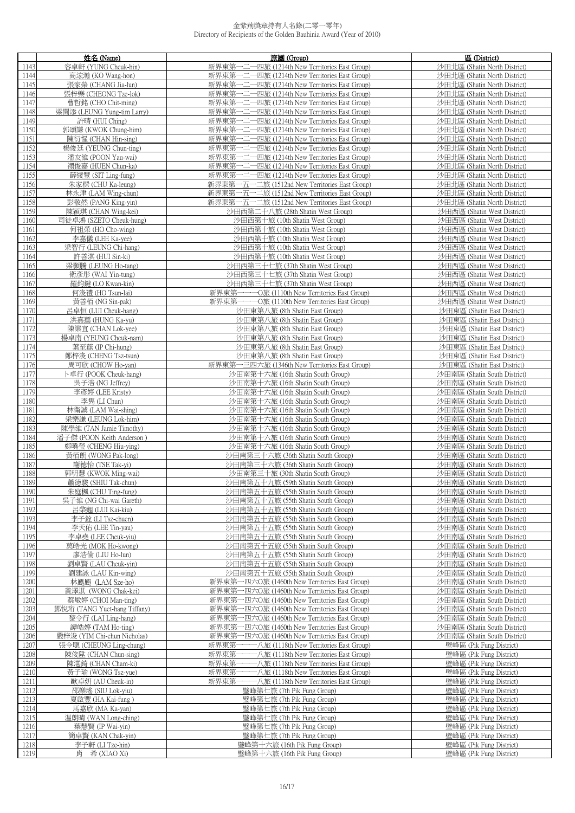|              | 姓名 (Name)                               | 旅團 (Group)                                                               | 區 (District)                                                 |
|--------------|-----------------------------------------|--------------------------------------------------------------------------|--------------------------------------------------------------|
| 1143         | 容卓軒 (YUNG Cheuk-hin)                    | 新界東第一二一四旅 (1214th New Territories East Group)                            | 沙田北區 (Shatin North District)                                 |
| 1144         | 高浤瀚 (KO Wang-hon)                       | 新界東第一二一四旅 (1214th New Territories East Group)                            | 沙田北區 (Shatin North District)                                 |
| 1145         | 張家榮 (CHANG Jia-lun)                     | 新界東第一二一四旅 (1214th New Territories East Group)                            | 沙田北區 (Shatin North District)                                 |
| 1146         | 張梓樂 (CHEONG Tze-lok)                    | 新界東第一二一四旅 (1214th New Territories East Group)                            | 沙田北區 (Shatin North District)                                 |
| 1147         | 曹哲銘 (CHO Chit-ming)                     | 新界東第一二一四旅 (1214th New Territories East Group)                            | 沙田北區 (Shatin North District)                                 |
| 1148         | 梁閏添 (LEUNG Yung-tim Larry)              | 新界東第一二一四旅 (1214th New Territories East Group)                            | 沙田北區 (Shatin North District)                                 |
| 1149         | 許晴 (HUI Ching)                          | 新界東第一二一四旅 (1214th New Territories East Group)                            | 沙田北區 (Shatin North District)                                 |
| 1150         | 郭頌謙 (KWOK Chung-him)                    | 新界東第一二一四旅 (1214th New Territories East Group)                            | 沙田北區 (Shatin North District)                                 |
| 1151         | 陳衍惺 (CHAN Hin-sing)                     | 新界東第一二一四旅 (1214th New Territories East Group)                            | 沙田北區 (Shatin North District)                                 |
| 1152         | 楊俊廷 (YEUNG Chun-ting)                   | 新界東第一二一四旅 (1214th New Territories East Group)                            | 沙田北區 (Shatin North District)                                 |
| 1153         | 潘友維 (POON Yau-wai)                      | 新界東第一二一四旅 (1214th New Territories East Group)                            | 沙田北區 (Shatin North District)                                 |
| 1154         | 禤俊嘉 (HUEN Chun-ka)                      | 新界東第一二一四旅 (1214th New Territories East Group)                            | 沙田北區 (Shatin North District)                                 |
| 1155         | 薛綾豐 (SIT Ling-fung)                     | 新界東第一二一四旅 (1214th New Territories East Group)                            | 沙田北區 (Shatin North District)                                 |
| 1156         | 朱家樑 (CHU Ka-leung)                      | 新界東第一五一二旅 (1512nd New Territories East Group)                            | 沙田北區 (Shatin North District)                                 |
| 1157         | 林永津 (LAM Wing-chun)                     | 新界東第一五一二旅 (1512nd New Territories East Group)                            | 沙田北區 (Shatin North District)                                 |
| 1158         | 彭敬然 (PANG King-yin)                     | 新界東第一五一二旅 (1512nd New Territories East Group)                            | 沙田北區 (Shatin North District)                                 |
| 1159         | 陳穎琪 (CHAN Wing-kei)                     | 沙田西第二十八旅 (28th Shatin West Group)                                        | 沙田西區 (Shatin West District)                                  |
| 1160         | 司徒卓鴻 (SZETO Cheuk-hung)                 | 沙田西第十旅 (10th Shatin West Group)                                          | 沙田西區 (Shatin West District)                                  |
| 1161         | 何祖榮 (HO Cho-wing)                       | 沙田西第十旅 (10th Shatin West Group)                                          | 沙田西區 (Shatin West District)                                  |
| 1162         | 李嘉儀 (LEE Ka-yee)                        | 沙田西第十旅 (10th Shatin West Group)                                          | 沙田西區 (Shatin West District)                                  |
| 1163         | 梁智行 (LEUNG Chi-hang)                    | 沙田西第十旅 (10th Shatin West Group)                                          | 沙田西區 (Shatin West District)                                  |
| 1164         | 許善淇 (HUI Sin-ki)                        | 沙田西第十旅 (10th Shatin West Group)                                          | 沙田西區 (Shatin West District)                                  |
| 1165         | 梁顥騰 (LEUNG Ho-tang)                     | 沙田西第三十七旅 (37th Shatin West Group)                                        | 沙田西區 (Shatin West District)                                  |
| 1166         | 衛彥彤 (WAI Yin-tung)                      | 沙田西第三十七旅 (37th Shatin West Group)                                        | 沙田西區 (Shatin West District)                                  |
| 1167         | 羅鈞鍵 (LO Kwan-kin)                       | 沙田西第三十七旅 (37th Shatin West Group)                                        | 沙田西區 (Shatin West District)                                  |
| 1168         | 何浚禮 (HO Tsun-lai)                       | 新界東第一一一O旅 (1110th New Territories East Group)                            | 沙田西區 (Shatin West District)                                  |
| 1169         | 黃善栢 (NG Sin-pak)                        | 新界東第一一一O旅 (1110th New Territories East Group)                            | 沙田西區 (Shatin West District)                                  |
| 1170         | 呂卓恒 (LUI Cheuk-hang)                    | 沙田東第八旅 (8th Shatin East Group)                                           | 沙田東區 (Shatin East District)                                  |
| 1171         | 洪嘉孺 (HUNG Ka-yu)                        | 沙田東第八旅 (8th Shatin East Group)                                           | 沙田東區 (Shatin East District)                                  |
| 1172         | 陳樂宜 (CHAN Lok-yee)                      | 沙田東第八旅 (8th Shatin East Group)                                           | 沙田東區 (Shatin East District)                                  |
| 1173         | 楊卓南 (YEUNG Cheuk-nam)                   | 沙田東第八旅 (8th Shatin East Group)                                           | 沙田東區 (Shatin East District)                                  |
| 1174         | 葉至蕻 (IP Chi-hung)                       | 沙田東第八旅 (8th Shatin East Group)                                           | 沙田東區 (Shatin East District)                                  |
| 1175         | 鄭梓浚 (CHENG Tsz-tsun)                    | 沙田東第八旅 (8th Shatin East Group)                                           | 沙田東區 (Shatin East District)                                  |
| 1176         | 周可欣 (CHOW Ho-yan)                       | 新界東第一三四六旅 (1346th New Territories East Group)                            | 沙田東區 (Shatin East District)                                  |
| 1177         | 卜卓行 (POOK Cheuk-hang)                   | 沙田南第十六旅 (16th Shatin South Group)                                        | 沙田南區 (Shatin South District)                                 |
| 1178         | 吳子浩 (NG Jeffrey)                        | 沙田南第十六旅 (16th Shatin South Group)                                        | 沙田南區 (Shatin South District)                                 |
| 1179         | 李彥婷 (LEE Kristy)                        | 沙田南第十六旅 (16th Shatin South Group)                                        | 沙田南區 (Shatin South District)                                 |
| 1180         | 李隽 (LI Chun)                            | 沙田南第十六旅 (16th Shatin South Group)                                        | 沙田南區 (Shatin South District)                                 |
| 1181         | 林衛誠 (LAM Wai-shing)                     | 沙田南第十六旅 (16th Shatin South Group)                                        | 沙田南區 (Shatin South District)                                 |
| 1182         | 梁樂謙 (LEUNG Lok-him)                     | 沙田南第十六旅 (16th Shatin South Group)                                        | 沙田南區 (Shatin South District)                                 |
| 1183         | 陳學維 (TAN Jamie Timothy)                 | 沙田南第十六旅 (16th Shatin South Group)                                        | 沙田南區 (Shatin South District)                                 |
| 1184         | 潘子傑 (POON Keith Anderson)               | 沙田南第十六旅 (16th Shatin South Group)                                        | 沙田南區 (Shatin South District)                                 |
| 1185         | 鄭曉瑩 (CHENG Hiu-ying)                    | 沙田南第十六旅 (16th Shatin South Group)                                        | 沙田南區 (Shatin South District)                                 |
| 1186         | 黃栢朗 (WONG Pak-long)                     | 沙田南第三十六旅 (36th Shatin South Group)                                       | 沙田南區 (Shatin South District)                                 |
| 1187         | 謝德怡 (TSE Tak-vi)                        | 沙田南第三十六旅 (36th Shatin South Group)                                       | 沙田南區 (Shatin South District)                                 |
| 1188         | 郭明慧 (KWOK Ming-wai)                     | 沙田南第三十旅 (30th Shatin South Group)                                        | 沙田南區 (Shatin South District)                                 |
| 1189         | 蕭德駿 (SHIU Tak-chun)                     | 沙田南第五十九旅 (59th Shatin South Group)                                       | 沙田南區 (Shatin South District)                                 |
| 1190         | 朱庭楓 (CHU Ting-fung)                     | 沙田南第五十五旅 (55th Shatin South Group)                                       | 沙田南區 (Shatin South District)                                 |
| 1191         | 吳子維 (NG Chi-wai Gareth)                 | 沙田南第五十五旅 (55th Shatin South Group)                                       | 沙田南區 (Shatin South District)                                 |
| 1192         | 呂棨翹 (LUI Kai-kiu)                       | 沙田南第五十五旅 (55th Shatin South Group)                                       | 沙田南區 (Shatin South District)                                 |
| 1193         | 李子銓 (LI Tsz-chuen)                      | 沙田南第五十五旅 (55th Shatin South Group)                                       | 沙田南區 (Shatin South District)                                 |
| 1194         | 李天佑 (LEE Tin-yau)                       | 沙田南第五十五旅 (55th Shatin South Group)                                       | 沙田南區 (Shatin South District)                                 |
| 1195         | 李卓堯 (LEE Cheuk-yiu)                     | 沙田南第五十五旅 (55th Shatin South Group)                                       | 沙田南區 (Shatin South District)                                 |
| 1196         | 莫皓光 (MOK Ho-kwong)                      | 沙田南第五十五旅 (55th Shatin South Group)                                       | 沙田南區 (Shatin South District)                                 |
| 1197         | 廖浩倫 (LIU Ho-lun)                        | 沙田南第五十五旅 (55th Shatin South Group)                                       | 沙田南區 (Shatin South District)                                 |
| 1198         | 劉卓賢 (LAU Cheuk-yin)                     | 沙田南第五十五旅 (55th Shatin South Group)<br>沙田南第五十五旅 (55th Shatin South Group) | 沙田南區 (Shatin South District)                                 |
| 1199         | 劉建詠 (LAU Kin-wing)                      | 新界東第一四六O旅 (1460th New Territories East Group)                            | 沙田南區 (Shatin South District)                                 |
| 1200<br>1201 | 林颸颱 (LAM Sze-ho)<br>黃澤淇 (WONG Chak-kei) | 新界東第一四六O旅 (1460th New Territories East Group)                            | 沙田南區 (Shatin South District)<br>沙田南區 (Shatin South District) |
| 1202         | 蔡敏婷 (CHOI Man-ting)                     | 新界東第一四六O旅 (1460th New Territories East Group)                            | 沙田南區 (Shatin South District)                                 |
| 1203         | 鄧悅珩 (TANG Yuet-hang Tiffany)            | 新界東第一四六O旅 (1460th New Territories East Group)                            | 沙田南區 (Shatin South District)                                 |
| 1204         | 黎令行 (LAI Ling-hang)                     | 新界東第一四六O旅 (1460th New Territories East Group)                            | 沙田南區 (Shatin South District)                                 |
| 1205         | 譚皓婷 (TAM Ho-ting)                       | 新界東第一四六O旅 (1460th New Territories East Group)                            | 沙田南區 (Shatin South District)                                 |
| 1206         | 嚴梓浚 (YIM Chi-chun Nicholas)             | 新界東第一四六O旅 (1460th New Territories East Group)                            | 沙田南區 (Shatin South District)                                 |
| 1207         | 張令聰 (CHEUNG Ling-chung)                 | 新界東第一一一八旅 (1118th New Territories East Group)                            | 壁峰區 (Pik Fung District)                                      |
| 1208         | 陳俊陞 (CHAN Chun-sing)                    | 新界東第一一一八旅 (1118th New Territories East Group)                            | 壁峰區 (Pik Fung District)                                      |
| 1209         | 陳湛錡 (CHAN Cham-ki)                      | 新界東第一一一八旅 (1118th New Territories East Group)                            | 壁峰區 (Pik Fung District)                                      |
| 1210         | 黃子瑜 (WONG Tsz-yue)                      | 新界東第一一一八旅 (1118th New Territories East Group)                            | 壁峰區 (Pik Fung District)                                      |
| 1211         | 歐卓妍 (AU Cheuk-in)                       | 新界東第一一一八旅 (1118th New Territories East Group)                            | 壁峰區 (Pik Fung District)                                      |
| 1212         | 邵樂瑤 (SIU Lok-yiu)                       | 璧峰第七旅 (7th Pik Fung Group)                                               | 壁峰區 (Pik Fung District)                                      |
| 1213         | 夏啟豐 (HA Kai-fung)                       | 璧峰第七旅 (7th Pik Fung Group)                                               | 壁峰區 (Pik Fung District)                                      |
| 1214         | 馬嘉欣 (MA Ka-yan)                         | 璧峰第七旅 (7th Pik Fung Group)                                               | 壁峰區 (Pik Fung District)                                      |
| 1215         | 温朗晴 (WAN Long-ching)                    | 璧峰第七旅 (7th Pik Fung Group)                                               | 壁峰區 (Pik Fung District)                                      |
| 1216         | 葉慧賢 (IP Wai-yin)                        | 璧峰第七旅 (7th Pik Fung Group)                                               | 壁峰區 (Pik Fung District)                                      |
| 1217         | 簡卓賢 (KAN Chak-yin)                      | 璧峰第七旅 (7th Pik Fung Group)                                               | 壁峰區 (Pik Fung District)                                      |
| 1218         | 李子軒 (LI Tze-hin)                        | 璧峰第十六旅 (16th Pik Fung Group)                                             | 壁峰區 (Pik Fung District)                                      |
| 1219         | 肖 希(XIAO Xi)                            | 璧峰第十六旅 (16th Pik Fung Group)                                             | 壁峰區 (Pik Fung District)                                      |